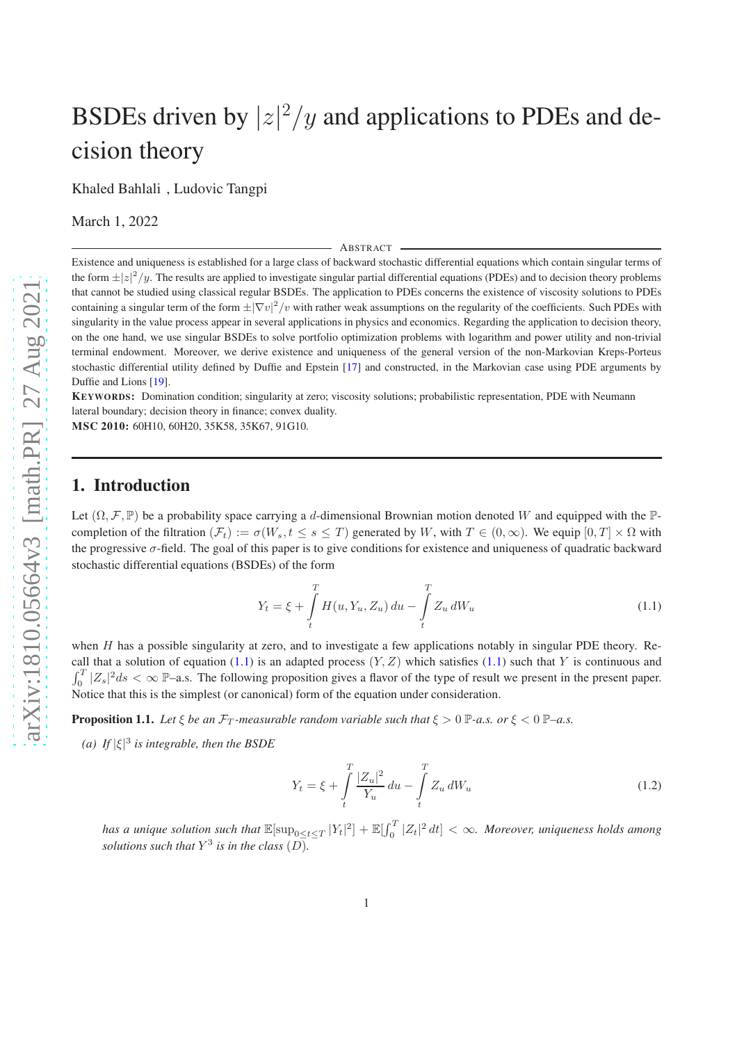# BSDEs driven by  $|z|^2/y$  and applications to PDEs and decision theory

Khaled Bahlali , Ludovic Tangpi

March 1, 2022

ABSTRACT

Existence and uniqueness is established for a large class of backward stochastic differential equations which contain singular terms of the form  $\pm |z|^2/y$ . The results are applied to investigate singular partial differential equations (PDEs) and to decision theory problems that cannot be studied using classical regular BSDEs. The application to PDEs concerns the existence of viscosity solutions to PDEs containing a singular term of the form  $\pm |\nabla v|^2/v$  with rather weak assumptions on the regularity of the coefficients. Such PDEs with singularity in the value process appear in several applications in physics and economics. Regarding the application to decision theory, on the one hand, we use singular BSDEs to solve portfolio optimization problems with logarithm and power utility and non-trivial terminal endowment. Moreover, we derive existence and uniqueness of the general version of the non-Markovian Kreps-Porteus stochastic differential utility defined by Duffie and Epstein [\[17\]](#page-33-0) and constructed, in the Markovian case using PDE arguments by Duffie and Lions [\[19](#page-34-0)].

KEYWORDS: Domination condition; singularity at zero; viscosity solutions; probabilistic representation, PDE with Neumann lateral boundary; decision theory in finance; convex duality.

MSC 2010: 60H10, 60H20, 35K58, 35K67, 91G10.

# 1. Introduction

Let  $(\Omega, \mathcal{F}, \mathbb{P})$  be a probability space carrying a d-dimensional Brownian motion denoted W and equipped with the  $\mathbb{P}$ completion of the filtration  $(\mathcal{F}_t) := \sigma(W_s, t \le s \le T)$  generated by W, with  $T \in (0, \infty)$ . We equip  $[0, T] \times \Omega$  with the progressive  $\sigma$ -field. The goal of this paper is to give conditions for existence and uniqueness of quadratic backward stochastic differential equations (BSDEs) of the form

<span id="page-0-0"></span>
$$
Y_t = \xi + \int_t^T H(u, Y_u, Z_u) \, du - \int_t^T Z_u \, dW_u \tag{1.1}
$$

when H has a possible singularity at zero, and to investigate a few applications notably in singular PDE theory. Re-call that a solution of equation [\(1.1\)](#page-0-0) is an adapted process  $(Y, Z)$  which satisfies (1.1) such that Y is continuous and  $\int_0^T |Z_s|^2 ds < \infty$  P–a.s. The following proposition gives a flavor of the type of result we present in the present paper. Notice that this is the simplest (or canonical) form of the equation under consideration.

**Proposition 1.1.** *Let*  $\xi$  *be an*  $\mathcal{F}_T$ *-measurable random variable such that*  $\xi > 0$   $\mathbb{P}$ *-a.s. or*  $\xi < 0$   $\mathbb{P}$ *-a.s.* 

*(a)* If  $|\xi|^3$  is integrable, then the BSDE

<span id="page-0-1"></span>
$$
Y_t = \xi + \int\limits_t^T \frac{|Z_u|^2}{Y_u} du - \int\limits_t^T Z_u dW_u \tag{1.2}
$$

*has a unique solution such that*  $\mathbb{E}[\sup_{0\leq t\leq T}|Y_t|^2]+\mathbb{E}[\int_0^T|Z_t|^2 dt]<\infty$ *. Moreover, uniqueness holds among solutions such that*  $Y^3$  *is in the class*  $(D)$ *.*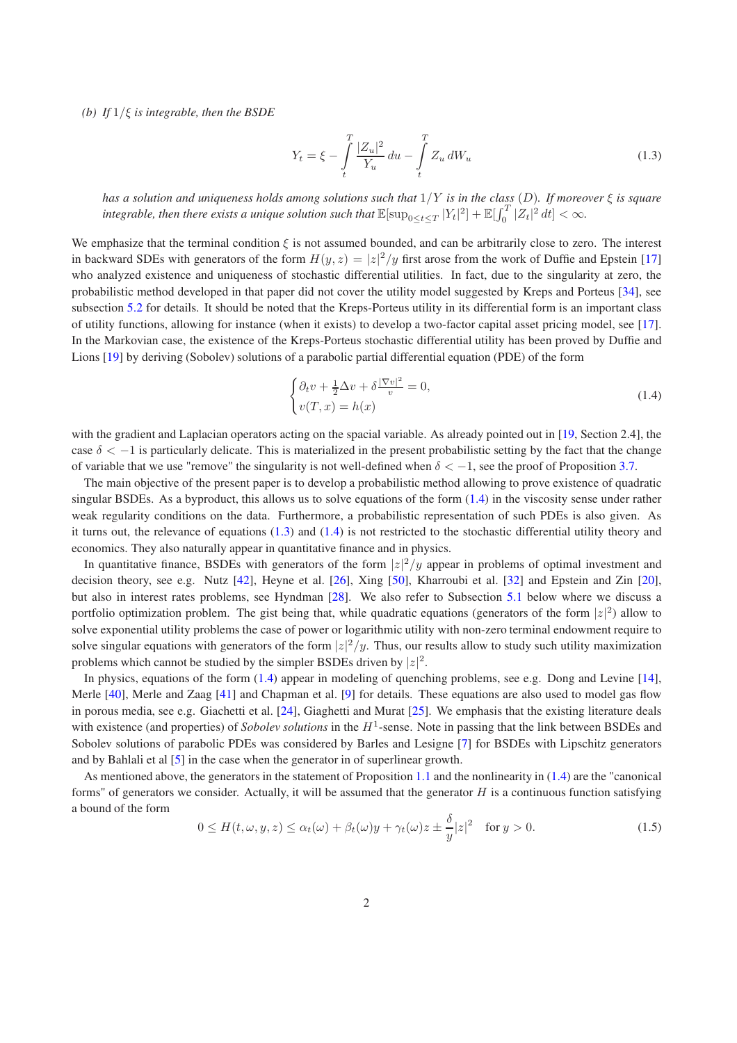*(b) If* 1/ξ *is integrable, then the BSDE*

<span id="page-1-1"></span>
$$
Y_t = \xi - \int\limits_t^T \frac{|Z_u|^2}{Y_u} du - \int\limits_t^T Z_u dW_u \tag{1.3}
$$

*has a solution and uniqueness holds among solutions such that* 1/Y *is in the class* (D)*. If moreover* ξ *is square* integrable, then there exists a unique solution such that  $\mathbb{E}[\sup_{0\leq t\leq T}|Y_t|^2]+\mathbb{E}[\int_0^T|Z_t|^2\,dt]<\infty$ .

We emphasize that the terminal condition  $\xi$  is not assumed bounded, and can be arbitrarily close to zero. The interest in backward SDEs with generators of the form  $H(y, z) = |z|^2/y$  first arose from the work of Duffie and Epstein [\[17\]](#page-33-0) who analyzed existence and uniqueness of stochastic differential utilities. In fact, due to the singularity at zero, the probabilistic method developed in that paper did not cover the utility model suggested by Kreps and Porteus [\[34\]](#page-34-1), see subsection [5.2](#page-29-0) for details. It should be noted that the Kreps-Porteus utility in its differential form is an important class of utility functions, allowing for instance (when it exists) to develop a two-factor capital asset pricing model, see [\[17](#page-33-0)]. In the Markovian case, the existence of the Kreps-Porteus stochastic differential utility has been proved by Duffie and Lions [\[19](#page-34-0)] by deriving (Sobolev) solutions of a parabolic partial differential equation (PDE) of the form

<span id="page-1-0"></span>
$$
\begin{cases} \partial_t v + \frac{1}{2} \Delta v + \delta \frac{|\nabla v|^2}{v} = 0, \\ v(T, x) = h(x) \end{cases}
$$
\n(1.4)

with the gradient and Laplacian operators acting on the spacial variable. As already pointed out in [\[19,](#page-34-0) Section 2.4], the case  $\delta < -1$  is particularly delicate. This is materialized in the present probabilistic setting by the fact that the change of variable that we use "remove" the singularity is not well-defined when  $\delta < -1$ , see the proof of Proposition [3.7.](#page-11-0)

The main objective of the present paper is to develop a probabilistic method allowing to prove existence of quadratic singular BSDEs. As a byproduct, this allows us to solve equations of the form [\(1.4\)](#page-1-0) in the viscosity sense under rather weak regularity conditions on the data. Furthermore, a probabilistic representation of such PDEs is also given. As it turns out, the relevance of equations  $(1.3)$  and  $(1.4)$  is not restricted to the stochastic differential utility theory and economics. They also naturally appear in quantitative finance and in physics.

In quantitative finance, BSDEs with generators of the form  $|z|^2/y$  appear in problems of optimal investment and decision theory, see e.g. Nutz [\[42\]](#page-34-2), Heyne et al. [\[26](#page-34-3)], Xing [\[50\]](#page-35-0), Kharroubi et al. [\[32\]](#page-34-4) and Epstein and Zin [\[20](#page-34-5)], but also in interest rates problems, see Hyndman [\[28](#page-34-6)]. We also refer to Subsection [5.1](#page-27-0) below where we discuss a portfolio optimization problem. The gist being that, while quadratic equations (generators of the form  $|z|^2$ ) allow to solve exponential utility problems the case of power or logarithmic utility with non-zero terminal endowment require to solve singular equations with generators of the form  $|z|^2/y$ . Thus, our results allow to study such utility maximization problems which cannot be studied by the simpler BSDEs driven by  $|z|^2$ .

In physics, equations of the form [\(1.4\)](#page-1-0) appear in modeling of quenching problems, see e.g. Dong and Levine [\[14](#page-33-1)], Merle [\[40\]](#page-34-7), Merle and Zaag [\[41\]](#page-34-8) and Chapman et al. [\[9\]](#page-33-2) for details. These equations are also used to model gas flow in porous media, see e.g. Giachetti et al. [\[24\]](#page-34-9), Giaghetti and Murat [\[25\]](#page-34-10). We emphasis that the existing literature deals with existence (and properties) of *Sobolev solutions* in the  $H^1$ -sense. Note in passing that the link between BSDEs and Sobolev solutions of parabolic PDEs was considered by Barles and Lesigne [\[7\]](#page-33-3) for BSDEs with Lipschitz generators and by Bahlali et al [\[5](#page-33-4)] in the case when the generator in of superlinear growth.

As mentioned above, the generators in the statement of Proposition [1.1](#page-0-1) and the nonlinearity in [\(1.4\)](#page-1-0) are the "canonical forms" of generators we consider. Actually, it will be assumed that the generator  $H$  is a continuous function satisfying a bound of the form

<span id="page-1-2"></span>
$$
0 \le H(t,\omega,y,z) \le \alpha_t(\omega) + \beta_t(\omega)y + \gamma_t(\omega)z \pm \frac{\delta}{y}|z|^2 \quad \text{for } y > 0.
$$
 (1.5)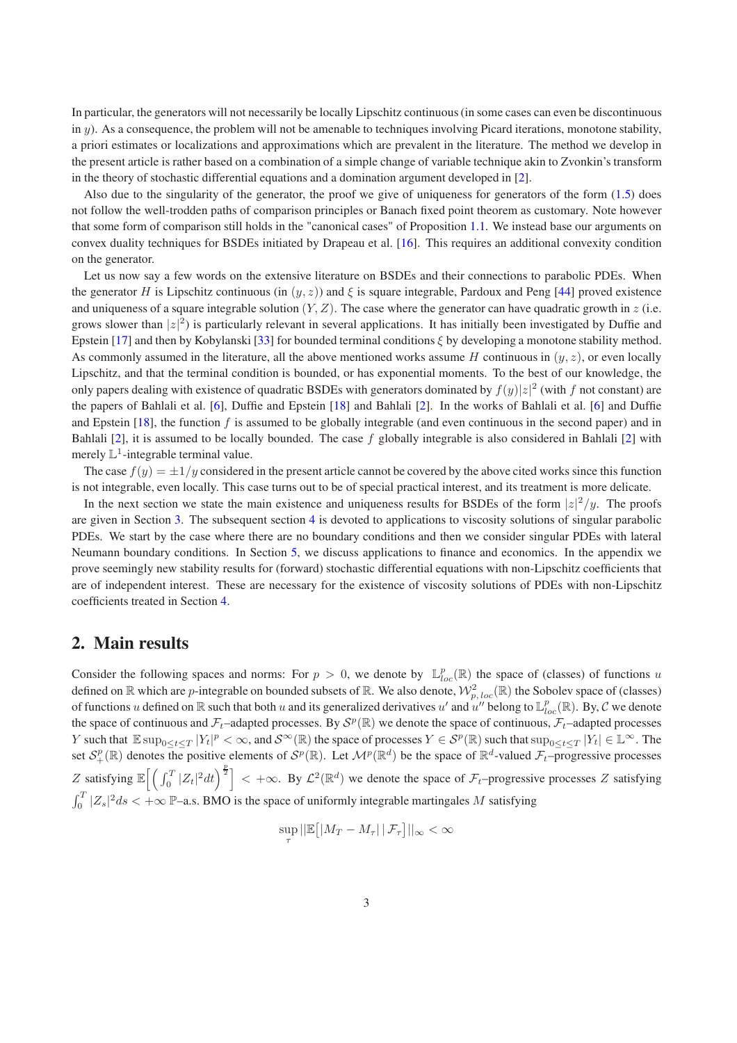In particular, the generators will not necessarily be locally Lipschitz continuous (in some cases can even be discontinuous in  $y$ ). As a consequence, the problem will not be amenable to techniques involving Picard iterations, monotone stability, a priori estimates or localizations and approximations which are prevalent in the literature. The method we develop in the present article is rather based on a combination of a simple change of variable technique akin to Zvonkin's transform in the theory of stochastic differential equations and a domination argument developed in [\[2\]](#page-33-5).

Also due to the singularity of the generator, the proof we give of uniqueness for generators of the form  $(1.5)$  does not follow the well-trodden paths of comparison principles or Banach fixed point theorem as customary. Note however that some form of comparison still holds in the "canonical cases" of Proposition [1.1.](#page-0-1) We instead base our arguments on convex duality techniques for BSDEs initiated by Drapeau et al. [\[16\]](#page-33-6). This requires an additional convexity condition on the generator.

Let us now say a few words on the extensive literature on BSDEs and their connections to parabolic PDEs. When the generator H is Lipschitz continuous (in  $(y, z)$ ) and  $\xi$  is square integrable, Pardoux and Peng [\[44\]](#page-34-11) proved existence and uniqueness of a square integrable solution  $(Y, Z)$ . The case where the generator can have quadratic growth in z (i.e. grows slower than  $|z|^2$ ) is particularly relevant in several applications. It has initially been investigated by Duffie and Epstein [\[17](#page-33-0)] and then by Kobylanski [\[33](#page-34-12)] for bounded terminal conditions  $\xi$  by developing a monotone stability method. As commonly assumed in the literature, all the above mentioned works assume H continuous in  $(y, z)$ , or even locally Lipschitz, and that the terminal condition is bounded, or has exponential moments. To the best of our knowledge, the only papers dealing with existence of quadratic BSDEs with generators dominated by  $f(y)|z|^2$  (with f not constant) are the papers of Bahlali et al. [\[6\]](#page-33-7), Duffie and Epstein [\[18](#page-33-8)] and Bahlali [\[2\]](#page-33-5). In the works of Bahlali et al. [\[6\]](#page-33-7) and Duffie and Epstein [\[18\]](#page-33-8), the function  $f$  is assumed to be globally integrable (and even continuous in the second paper) and in Bahlali  $[2]$ , it is assumed to be locally bounded. The case f globally integrable is also considered in Bahlali  $[2]$  with merely  $\mathbb{L}^1$ -integrable terminal value.

The case  $f(y) = \pm 1/y$  considered in the present article cannot be covered by the above cited works since this function is not integrable, even locally. This case turns out to be of special practical interest, and its treatment is more delicate.

In the next section we state the main existence and uniqueness results for BSDEs of the form  $|z|^2/y$ . The proofs are given in Section [3.](#page-5-0) The subsequent section [4](#page-19-0) is devoted to applications to viscosity solutions of singular parabolic PDEs. We start by the case where there are no boundary conditions and then we consider singular PDEs with lateral Neumann boundary conditions. In Section [5,](#page-26-0) we discuss applications to finance and economics. In the appendix we prove seemingly new stability results for (forward) stochastic differential equations with non-Lipschitz coefficients that are of independent interest. These are necessary for the existence of viscosity solutions of PDEs with non-Lipschitz coefficients treated in Section [4.](#page-19-0)

### 2. Main results

Consider the following spaces and norms: For  $p > 0$ , we denote by  $\mathbb{L}_{loc}^p(\mathbb{R})$  the space of (classes) of functions u defined on  $\R$  which are  $p$ -integrable on bounded subsets of  $\R$ . We also denote,  $\mathcal{W}_{p,\,loc}^2(\R)$  the Sobolev space of (classes) of functions u defined on  $\R$  such that both u and its generalized derivatives u' and  $u''$  belong to  $\mathbb{L}_{loc}^p(\R)$ . By, C we denote the space of continuous and  $\mathcal{F}_t$ –adapted processes. By  $\mathcal{S}^p(\mathbb{R})$  we denote the space of continuous,  $\mathcal{F}_t$ –adapted processes The such that  $\mathbb{E} \sup_{0 \leq t \leq T} |Y_t|^p < \infty$ , and  $\mathcal{S}^{\infty}(\mathbb{R})$  the space of processes  $Y \in \mathcal{S}^p(\mathbb{R})$  such that  $\sup_{0 \leq t \leq T} |Y_t| \in \mathbb{L}^{\infty}$ . The set  $S^p_+(\mathbb{R})$  denotes the positive elements of  $S^p(\mathbb{R})$ . Let  $\mathcal{M}^p(\mathbb{R}^d)$  be the space of  $\mathbb{R}^d$ -valued  $\mathcal{F}_t$ -progressive processes Z satisfying  $\mathbb{E}\left[\left(\int_0^T |Z_t|^2 dt\right)^{\frac{p}{2}}\right]<+\infty$ . By  $\mathcal{L}^2(\mathbb{R}^d)$  we denote the space of  $\mathcal{F}_t$ -progressive processes Z satisfying  $\int_0^T |Z_s|^2 ds < +\infty$  P–a.s. BMO is the space of uniformly integrable martingales M satisfying

$$
\sup_{\tau}||\mathbb{E}\big[|M_T - M_{\tau}|\,|\,\mathcal{F}_{\tau}\big]||_{\infty} < \infty
$$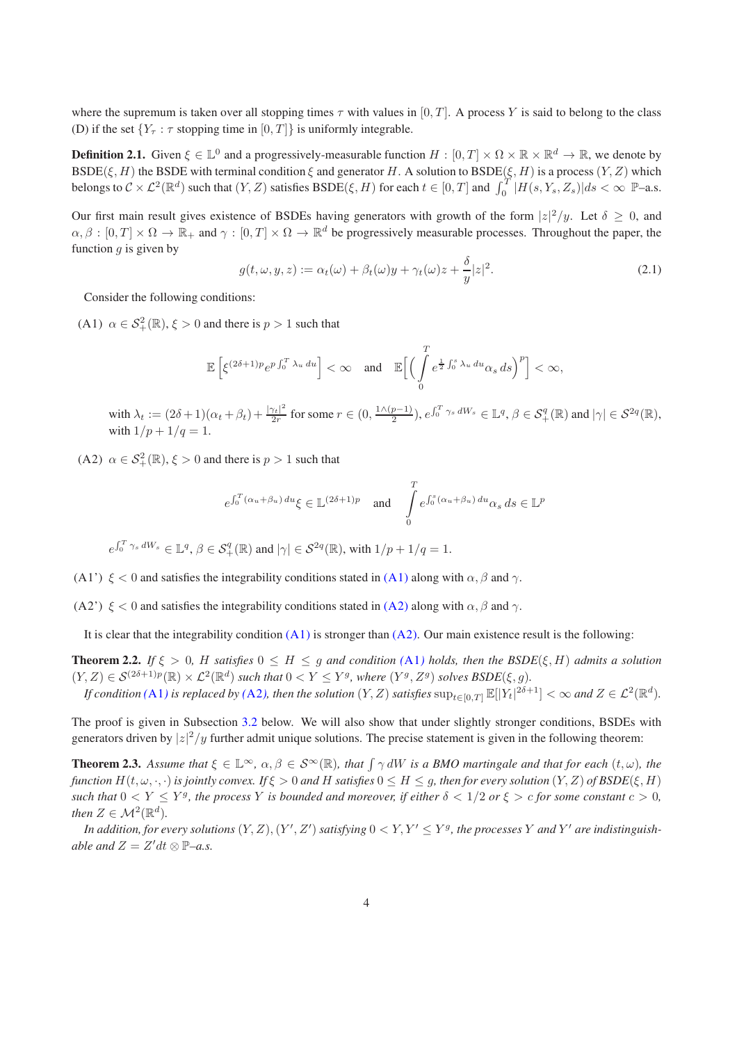where the supremum is taken over all stopping times  $\tau$  with values in [0, T]. A process Y is said to belong to the class (D) if the set  ${Y_\tau : \tau \text{ stopping time in } [0, T]}$  is uniformly integrable.

**Definition 2.1.** Given  $\xi \in \mathbb{L}^0$  and a progressively-measurable function  $H : [0,T] \times \Omega \times \mathbb{R} \times \mathbb{R}^d \to \mathbb{R}$ , we denote by BSDE( $\xi$ , H) the BSDE with terminal condition  $\xi$  and generator H. A solution to BSDE( $\xi$ , H) is a process (Y, Z) which belongs to  $\mathcal{C} \times \mathcal{L}^2(\mathbb{R}^d)$  such that  $(Y, Z)$  satisfies  $\text{BSDE}(\xi, H)$  for each  $t \in [0, T]$  and  $\int_0^T |H(s, Y_s, Z_s)| ds < \infty$  P–a.s.

Our first main result gives existence of BSDEs having generators with growth of the form  $|z|^2/y$ . Let  $\delta \geq 0$ , and  $\alpha, \beta : [0,T] \times \Omega \to \mathbb{R}_+$  and  $\gamma : [0,T] \times \Omega \to \mathbb{R}^d$  be progressively measurable processes. Throughout the paper, the function  $q$  is given by

<span id="page-3-5"></span><span id="page-3-4"></span>
$$
g(t, \omega, y, z) := \alpha_t(\omega) + \beta_t(\omega)y + \gamma_t(\omega)z + \frac{\delta}{y}|z|^2.
$$
\n(2.1)

<span id="page-3-0"></span>Consider the following conditions:

(A1)  $\alpha \in S^2_+(\mathbb{R}), \xi > 0$  and there is  $p > 1$  such that

$$
\mathbb{E}\left[\xi^{(2\delta+1)p}e^{p\int_0^T\lambda_u\,du}\right]<\infty\quad\text{and}\quad\mathbb{E}\Big[\Big(\int\limits_0^Te^{\frac{1}{2}\int_0^s\lambda_u\,du}\alpha_s\,ds\Big)^p\Big]<\infty,
$$

with  $\lambda_t := (2\delta + 1)(\alpha_t + \beta_t) + \frac{|\gamma_t|^2}{2r}$  $\frac{\gamma_t|^2}{2r}$  for some  $r \in (0, \frac{1 \wedge (p-1)}{2})$  $\left(\frac{p-1}{2}\right), e^{\int_0^T \gamma_s dW_s} \in \mathbb{L}^q, \beta \in \mathcal{S}_+^q(\mathbb{R}) \text{ and } |\gamma| \in \mathcal{S}^{2q}(\mathbb{R}),$ with  $1/p + 1/q = 1$ .

<span id="page-3-1"></span>(A2)  $\alpha \in S^2_+(\mathbb{R}), \xi > 0$  and there is  $p > 1$  such that

<span id="page-3-7"></span><span id="page-3-3"></span>
$$
e^{\int_0^T (\alpha_u + \beta_u) du} \xi \in \mathbb{L}^{(2\delta + 1)p} \quad \text{and} \quad \int_0^T e^{\int_0^s (\alpha_u + \beta_u) du} \alpha_s ds \in \mathbb{L}^p
$$

 $e^{\int_0^T \gamma_s dW_s} \in \mathbb{L}^q$ ,  $\beta \in \mathcal{S}_+^q(\mathbb{R})$  and  $|\gamma| \in \mathcal{S}^{2q}(\mathbb{R})$ , with  $1/p + 1/q = 1$ .

<span id="page-3-6"></span><span id="page-3-2"></span>(A1')  $\xi$  < 0 and satisfies the integrability conditions stated in [\(A1\)](#page-3-0) along with  $\alpha$ ,  $\beta$  and  $\gamma$ .

(A2')  $\xi$  < 0 and satisfies the integrability conditions stated in [\(A2\)](#page-3-1) along with  $\alpha$ ,  $\beta$  and  $\gamma$ .

It is clear that the integrability condition  $(A1)$  is stronger than  $(A2)$ . Our main existence result is the following:

**Theorem 2.2.** *If*  $\xi > 0$ , *H satisfies*  $0 \leq H \leq g$  *and condition* ([A1](#page-3-0)) *holds, then the BSDE*( $\xi$ , *H*) *admits a solution*  $(Y, Z) \in \mathcal{S}^{(2\delta+1)p}(\mathbb{R}) \times \mathcal{L}^2(\mathbb{R}^d)$  such that  $0 < Y \leq Y^g$ , where  $(Y^g, Z^g)$  solves  $\text{BSDE}(\xi, g)$ .

*If condition* ([A1](#page-3-0)) *is replaced by* ([A2](#page-3-1)), *then the solution*  $(Y, Z)$  *satisfies*  $\sup_{t \in [0,T]} \mathbb{E}[|Y_t|^{2\delta+1}] < \infty$  and  $Z \in \mathcal{L}^2(\mathbb{R}^d)$ .

The proof is given in Subsection [3.2](#page-6-0) below. We will also show that under slightly stronger conditions, BSDEs with generators driven by  $|z|^2/y$  further admit unique solutions. The precise statement is given in the following theorem:

**Theorem 2.3.** Assume that  $\xi \in \mathbb{L}^{\infty}$ ,  $\alpha, \beta \in \mathcal{S}^{\infty}(\mathbb{R})$ , that  $\int \gamma dW$  is a BMO martingale and that for each  $(t, \omega)$ , the *function*  $H(t, \omega, \cdot, \cdot)$  *is jointly convex.* If  $\xi > 0$  *and* H *satisfies*  $0 \le H \le g$ *, then for every solution*  $(Y, Z)$  *of BSDE*( $\xi, H$ ) *such that*  $0 < Y \leq Y^g$ , the process Y is bounded and moreover, if either  $\delta < 1/2$  or  $\xi > c$  for some constant  $c > 0$ , *then*  $Z \in \mathcal{M}^2(\mathbb{R}^d)$ *.* 

In addition, for every solutions  $(Y, Z)$ ,  $(Y', Z')$  satisfying  $0 < Y, Y' \leq Y^g$ , the processes Y and Y' are indistinguish*able and*  $Z = Z'dt \otimes P-a.s.$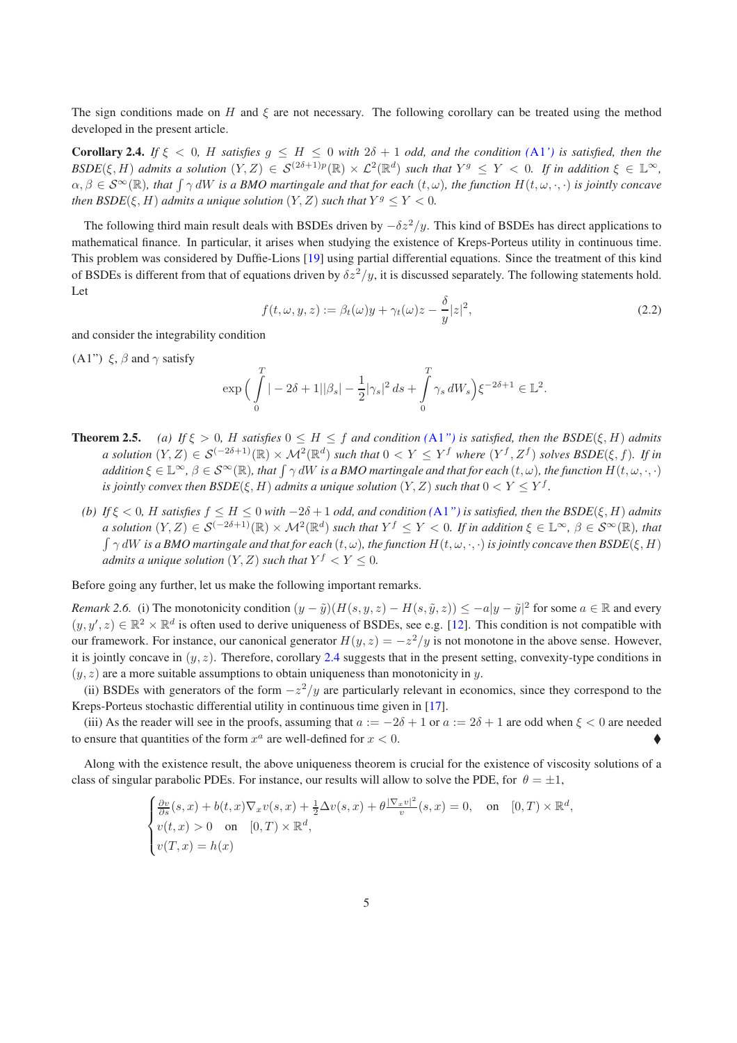<span id="page-4-1"></span>The sign conditions made on H and  $\xi$  are not necessary. The following corollary can be treated using the method developed in the present article.

**Corollary 2.4.** *If*  $\xi$  < 0, *H satisfies*  $g \leq H \leq 0$  *with*  $2\delta + 1$  *odd, and the condition*  $(A1')$  $(A1')$  $(A1')$  *is satisfied, then the*  $BSDE(\xi, H)$  admits a solution  $(Y, Z) \in S^{(2\delta+1)p}(\mathbb{R}) \times L^2(\mathbb{R}^d)$  such that  $Y^g \leq Y < 0$ . If in addition  $\xi \in \mathbb{L}^{\infty}$ ,  $\alpha, \beta \in S^{\infty}(\mathbb{R})$ , that  $\int \gamma dW$  *is a BMO martingale and that for each*  $(t, \omega)$ , the function  $H(t, \omega, \cdot, \cdot)$  *is jointly concave then BSDE*( $\xi$ , *H*) *admits a unique solution*  $(Y, Z)$  *such that*  $Y^g \le Y < 0$ .

The following third main result deals with BSDEs driven by  $-\delta z^2/y$ . This kind of BSDEs has direct applications to mathematical finance. In particular, it arises when studying the existence of Kreps-Porteus utility in continuous time. This problem was considered by Duffie-Lions [\[19](#page-34-0)] using partial differential equations. Since the treatment of this kind of BSDEs is different from that of equations driven by  $\delta z^2/y$ , it is discussed separately. The following statements hold. Let

$$
f(t, \omega, y, z) := \beta_t(\omega)y + \gamma_t(\omega)z - \frac{\delta}{y}|z|^2,
$$
\n(2.2)

<span id="page-4-0"></span>and consider the integrability condition

(A1")  $\xi$ ,  $\beta$  and  $\gamma$  satisfy

$$
\exp\Big(\int_{0}^{T}|-2\delta+1||\beta_{s}|-\frac{1}{2}|\gamma_{s}|^{2} ds+\int_{0}^{T}\gamma_{s} dW_{s}\Big)\xi^{-2\delta+1}\in\mathbb{L}^{2}.
$$

- <span id="page-4-2"></span>**Theorem 2.5.** *(a)* If  $\xi > 0$ , H satisfies  $0 \leq H \leq f$  and condition  $(A1'')$  $(A1'')$  $(A1'')$  is satisfied, then the BSDE( $\xi$ , H) admits *a* solution  $(Y, Z) \in \mathcal{S}^{(-2\delta+1)}(\mathbb{R}) \times \mathcal{M}^2(\mathbb{R}^d)$  such that  $0 < Y \leq Y^f$  where  $(Y^f, Z^f)$  solves  $\text{BSDE}(\xi, f)$ . If in  $addition \, \xi \in \mathbb{L}^\infty, \, \beta \in \mathcal{S}^\infty(\mathbb{R})$ , that  $\int \gamma dW$  is a BMO martingale and that for each  $(t, \omega)$ , the function  $H(t, \omega, \cdot, \cdot)$ *is jointly convex then*  $\mathit{BSDE}(\xi,H)$  *admits a unique solution*  $(Y,Z)$  *such that*  $0 < Y \leq Y^f$ .
	- *(b)* If  $\xi$  < 0, H satisfies  $f \leq H \leq 0$  *with*  $-2\delta + 1$  *odd, and condition*  $(A1'')$  $(A1'')$  $(A1'')$  *is satisfied, then the BSDE*( $\xi$ , H) *admits*  $a$  solution  $(Y, Z) \in \mathcal{S}^{(-2\delta+1)}(\mathbb{R}) \times \mathcal{M}^{2}(\mathbb{R}^{d})$  such that  $Y^{f} \leq Y < 0$ . If in addition  $\xi \in \mathbb{L}^{\infty}$ ,  $\beta \in \mathcal{S}^{\infty}(\mathbb{R})$ , that  $\int \gamma dW$  *is a BMO martingale and that for each*  $(t, \omega)$ , the function  $H(t, \omega, \cdot, \cdot)$  *is jointly concave then BSDE*( $\xi$ , *H*) *admits a unique solution*  $(Y, Z)$  *such that*  $Y^f < Y \leq 0$ .

Before going any further, let us make the following important remarks.

*Remark 2.6.* (i) The monotonicity condition  $(y - \tilde{y})(H(s, y, z) - H(s, \tilde{y}, z)) \le -a|y - \tilde{y}|^2$  for some  $a \in \mathbb{R}$  and every  $(y, y', z) \in \mathbb{R}^2 \times \mathbb{R}^d$  is often used to derive uniqueness of BSDEs, see e.g. [\[12\]](#page-33-9). This condition is not compatible with our framework. For instance, our canonical generator  $H(y, z) = -z^2/y$  is not monotone in the above sense. However, it is jointly concave in  $(y, z)$ . Therefore, corollary [2.4](#page-4-1) suggests that in the present setting, convexity-type conditions in  $(y, z)$  are a more suitable assumptions to obtain uniqueness than monotonicity in y.

(ii) BSDEs with generators of the form  $-z^2/y$  are particularly relevant in economics, since they correspond to the Kreps-Porteus stochastic differential utility in continuous time given in [\[17\]](#page-33-0).

(iii) As the reader will see in the proofs, assuming that  $a := -2\delta + 1$  or  $a := 2\delta + 1$  are odd when  $\xi < 0$  are needed to ensure that quantities of the form  $x^a$  are well-defined for  $x < 0$ .

Along with the existence result, the above uniqueness theorem is crucial for the existence of viscosity solutions of a class of singular parabolic PDEs. For instance, our results will allow to solve the PDE, for  $\theta = \pm 1$ ,

$$
\begin{cases} \frac{\partial v}{\partial s}(s,x) + b(t,x)\nabla_x v(s,x) + \frac{1}{2}\Delta v(s,x) + \theta \frac{|\nabla_x v|^2}{v}(s,x) = 0, & \text{on} \quad [0,T) \times \mathbb{R}^d, \\ v(t,x) > 0 & \text{on} \quad [0,T) \times \mathbb{R}^d, \\ v(T,x) = h(x) \end{cases}
$$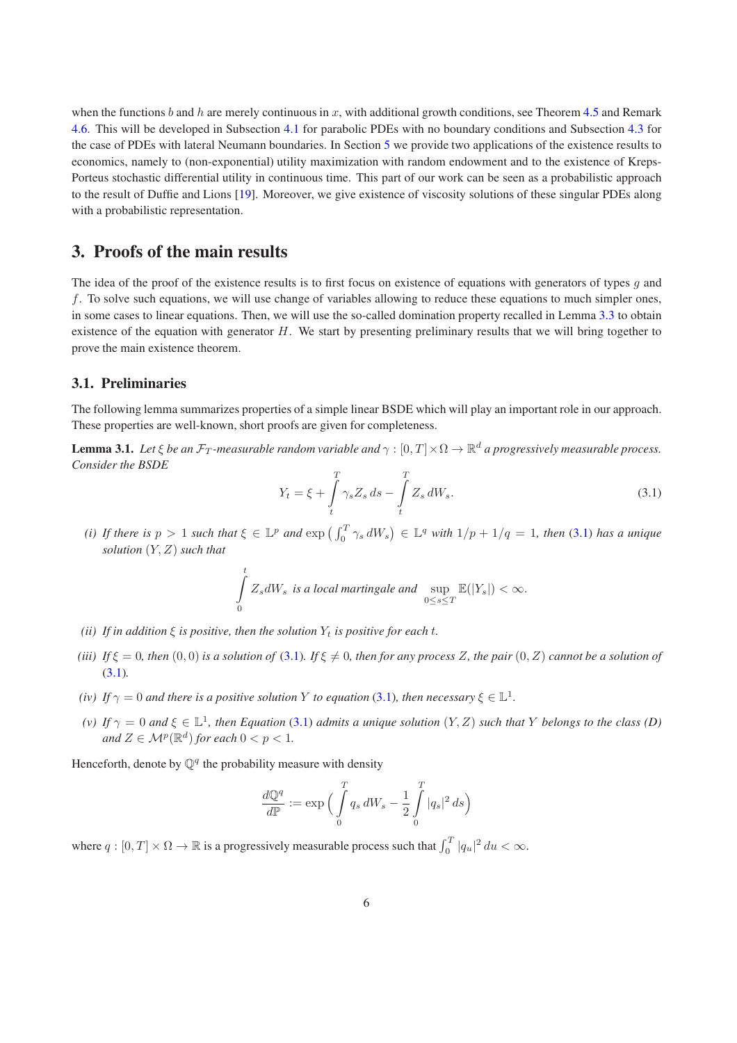when the functions b and h are merely continuous in x, with additional growth conditions, see Theorem [4.5](#page-23-0) and Remark [4.6.](#page-23-1) This will be developed in Subsection [4.1](#page-19-1) for parabolic PDEs with no boundary conditions and Subsection [4.3](#page-24-0) for the case of PDEs with lateral Neumann boundaries. In Section [5](#page-26-0) we provide two applications of the existence results to economics, namely to (non-exponential) utility maximization with random endowment and to the existence of Kreps-Porteus stochastic differential utility in continuous time. This part of our work can be seen as a probabilistic approach to the result of Duffie and Lions [\[19\]](#page-34-0). Moreover, we give existence of viscosity solutions of these singular PDEs along with a probabilistic representation.

# <span id="page-5-0"></span>3. Proofs of the main results

The idea of the proof of the existence results is to first focus on existence of equations with generators of types  $g$  and f. To solve such equations, we will use change of variables allowing to reduce these equations to much simpler ones, in some cases to linear equations. Then, we will use the so-called domination property recalled in Lemma [3.3](#page-6-1) to obtain existence of the equation with generator  $H$ . We start by presenting preliminary results that we will bring together to prove the main existence theorem.

#### 3.1. Preliminaries

<span id="page-5-2"></span>The following lemma summarizes properties of a simple linear BSDE which will play an important role in our approach. These properties are well-known, short proofs are given for completeness.

<span id="page-5-1"></span>**Lemma 3.1.** Let  $\xi$  be an  $\mathcal{F}_T$ -measurable random variable and  $\gamma:[0,T]\times\Omega\to\mathbb{R}^d$  a progressively measurable process. *Consider the BSDE*  $\overline{a}$ 

$$
Y_t = \xi + \int\limits_t^T \gamma_s Z_s \, ds - \int\limits_t^T Z_s \, dW_s. \tag{3.1}
$$

(*i*) If there is  $p > 1$  such that  $\xi \in \mathbb{L}^p$  and  $\exp\left(\int_0^T \gamma_s dW_s\right) \in \mathbb{L}^q$  with  $1/p + 1/q = 1$ , then [\(3.1\)](#page-5-1) has a unique *solution* (Y, Z) *such that*

$$
\int\limits_0^t Z_s dW_s \text{ is a local martingale and } \sup\limits_{0 \le s \le T} \mathbb{E}(|Y_s|) < \infty.
$$

- *(ii)* If in addition  $\xi$  *is positive, then the solution*  $Y_t$  *is positive for each t.*
- *(iii)* If  $\xi = 0$ , then  $(0,0)$  *is a solution of* [\(3.1\)](#page-5-1). If  $\xi \neq 0$ , then for any process Z, the pair  $(0, Z)$  *cannot be a solution of* [\(3.1\)](#page-5-1)*.*
- *(iv) If*  $\gamma = 0$  *and there is a positive solution Y to equation* [\(3.1\)](#page-5-1)*, then necessary*  $\xi \in \mathbb{L}^1$ *.*
- *(v)* If  $\gamma = 0$  and  $\xi \in \mathbb{L}^1$ , then Equation [\(3.1\)](#page-5-1) admits a unique solution  $(Y, Z)$  such that Y belongs to the class (D) *and*  $Z \in \mathcal{M}^p(\mathbb{R}^d)$  *for each*  $0 < p < 1$ *.*

Henceforth, denote by  $\mathbb{Q}^q$  the probability measure with density

$$
\frac{d\mathbb{Q}^q}{d\mathbb{P}}:=\exp\Big(\int\limits_0^Tq_s\,dW_s-\frac{1}{2}\int\limits_0^T|q_s|^2\,ds\Big)
$$

where  $q:[0,T]\times\Omega\to\mathbb{R}$  is a progressively measurable process such that  $\int_0^T|q_u|^2 du<\infty$ .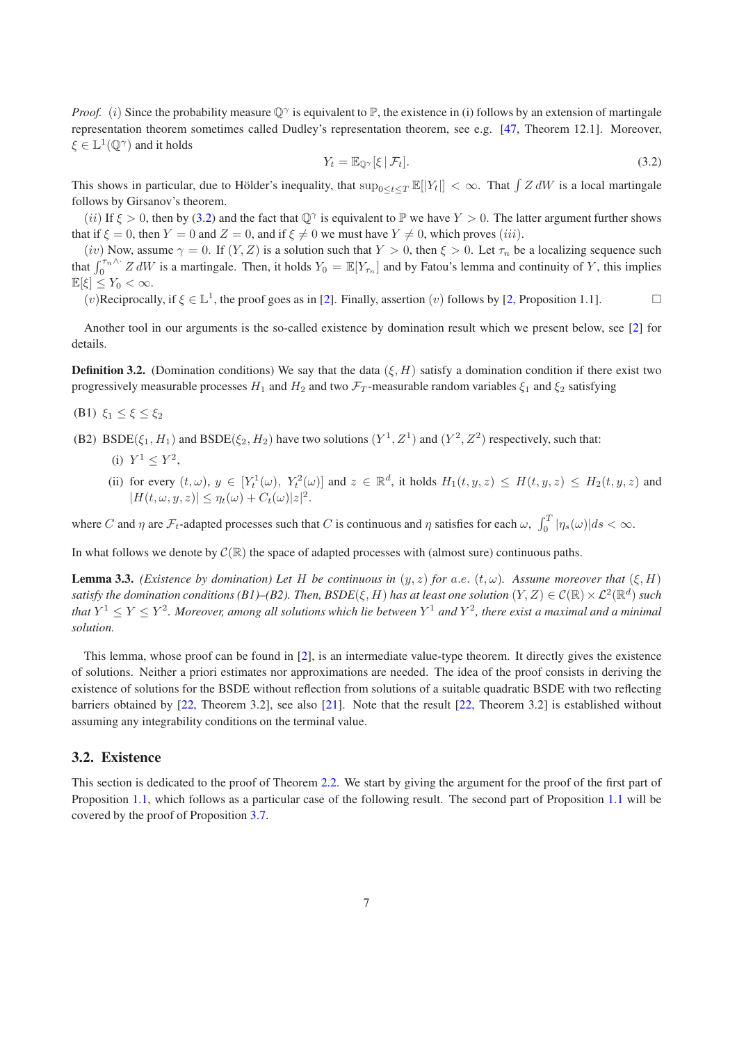<span id="page-6-2"></span>*Proof.* (i) Since the probability measure  $\mathbb{Q}^{\gamma}$  is equivalent to  $\mathbb{P}$ , the existence in (i) follows by an extension of martingale representation theorem sometimes called Dudley's representation theorem, see e.g. [\[47](#page-35-1), Theorem 12.1]. Moreover,  $\xi \in \mathbb{L}^1(\mathbb{Q}^\gamma)$  and it holds

<span id="page-6-1"></span>
$$
Y_t = \mathbb{E}_{\mathbb{Q}^\gamma}[\xi \,|\, \mathcal{F}_t].\tag{3.2}
$$

This shows in particular, due to Hölder's inequality, that  $\sup_{0 \le t \le T} \mathbb{E}[|Y_t|] < \infty$ . That  $\int Z dW$  is a local martingale follows by Girsanov's theorem.

(ii) If  $\xi > 0$ , then by [\(3.2\)](#page-6-2) and the fact that  $\mathbb{Q}^{\gamma}$  is equivalent to  $\mathbb{P}$  we have  $Y > 0$ . The latter argument further shows that if  $\xi = 0$ , then  $Y = 0$  and  $Z = 0$ , and if  $\xi \neq 0$  we must have  $Y \neq 0$ , which proves (iii).

(iv) Now, assume  $\gamma = 0$ . If  $(Y, Z)$  is a solution such that  $Y > 0$ , then  $\xi > 0$ . Let  $\tau_n$  be a localizing sequence such that  $\int_0^{\tau_n \wedge \cdot} Z dW$  is a martingale. Then, it holds  $Y_0 = \mathbb{E}[Y_{\tau_n}]$  and by Fatou's lemma and continuity of Y, this implies  $\mathbb{E}[\xi] \leq Y_0 < \infty.$ 

(v)Reciprocally, if  $\xi \in \mathbb{L}^1$ , the proof goes as in [\[2\]](#page-33-5). Finally, assertion (v) follows by [\[2](#page-33-5), Proposition 1.1].

Another tool in our arguments is the so-called existence by domination result which we present below, see [\[2\]](#page-33-5) for details.

**Definition 3.2.** (Domination conditions) We say that the data  $(\xi, H)$  satisfy a domination condition if there exist two progressively measurable processes  $H_1$  and  $H_2$  and two  $\mathcal{F}_T$ -measurable random variables  $\xi_1$  and  $\xi_2$  satisfying

- (B1)  $\xi_1 \leq \xi \leq \xi_2$
- (B2) BSDE( $\xi_1$ ,  $H_1$ ) and BSDE( $\xi_2$ ,  $H_2$ ) have two solutions ( $Y^1$ ,  $Z^1$ ) and ( $Y^2$ ,  $Z^2$ ) respectively, such that:
	- (i)  $Y^1 \leq Y^2$ ,
	- (ii) for every  $(t,\omega), y \in [Y_t^1(\omega), Y_t^2(\omega)]$  and  $z \in \mathbb{R}^d$ , it holds  $H_1(t,y,z) \leq H(t,y,z) \leq H_2(t,y,z)$  and  $|H(t,\omega, y, z)| \leq \eta_t(\omega) + C_t(\omega)|z|^2.$

where C and  $\eta$  are  $\mathcal{F}_t$ -adapted processes such that C is continuous and  $\eta$  satisfies for each  $\omega$ ,  $\int_0^T |\eta_s(\omega)| ds < \infty$ .

In what follows we denote by  $\mathcal{C}(\mathbb{R})$  the space of adapted processes with (almost sure) continuous paths.

**Lemma 3.3.** *(Existence by domination) Let* H *be continuous in*  $(y, z)$  *for* a.e.  $(t, \omega)$ *. Assume moreover that*  $(\xi, H)$ satisfy the domination conditions (B1)–(B2). Then,  $BSDE(\xi,H)$  has at least one solution  $(Y,Z)\in\mathcal C(\mathbb R)\times\mathcal L^2(\mathbb R^d)$  such that  $Y^1 \leq Y \leq Y^2$ . Moreover, among all solutions which lie between  $Y^1$  and  $Y^2$ , there exist a maximal and a minimal *solution.*

This lemma, whose proof can be found in [\[2](#page-33-5)], is an intermediate value-type theorem. It directly gives the existence of solutions. Neither a priori estimates nor approximations are needed. The idea of the proof consists in deriving the existence of solutions for the BSDE without reflection from solutions of a suitable quadratic BSDE with two reflecting barriers obtained by [\[22](#page-34-13), Theorem 3.2], see also [\[21](#page-34-14)]. Note that the result [\[22,](#page-34-13) Theorem 3.2] is established without assuming any integrability conditions on the terminal value.

#### <span id="page-6-0"></span>3.2. Existence

This section is dedicated to the proof of Theorem [2.2.](#page-3-3) We start by giving the argument for the proof of the first part of Proposition [1.1,](#page-0-1) which follows as a particular case of the following result. The second part of Proposition [1.1](#page-0-1) will be covered by the proof of Proposition [3.7.](#page-11-0)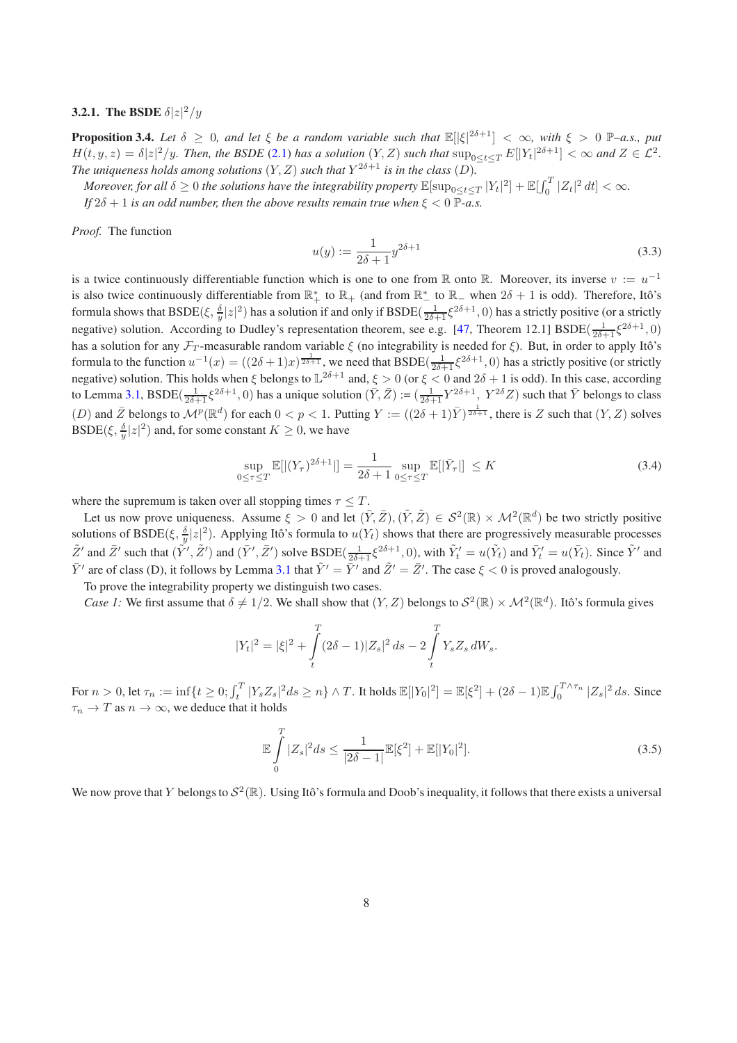#### **3.2.1.** The BSDE  $\delta |z|^2/y$

**Proposition 3.4.** Let  $\delta \geq 0$ , and let  $\xi$  be a random variable such that  $\mathbb{E}[|\xi|^{2\delta+1}] < \infty$ , with  $\xi > 0$  P–a.s., put  $H(t, y, z) = \delta |z|^2/y$ . Then, the BSDE [\(2.1\)](#page-3-4) has a solution  $(Y, Z)$  such that  $\sup_{0 \le t \le T} E[|Y_t|^{2\delta+1}] < \infty$  and  $Z \in \mathcal{L}^2$ . The uniqueness holds among solutions  $(Y, Z)$  such that  $Y^{2\delta+1}$  is in the class  $(D)$ .

*Moreover, for all*  $\delta \geq 0$  *the solutions have the integrability property*  $\mathbb{E}[\sup_{0\leq t\leq T}|Y_t|^2]+\mathbb{E}[\int_{0}^{T}|Z_t|^2\,dt]<\infty$ . *If*  $2\delta + 1$  *is an odd number, then the above results remain true when*  $\xi < 0$   $\overline{P}$ -*a.s.* 

*Proof.* The function

$$
u(y) := \frac{1}{2\delta + 1} y^{2\delta + 1}
$$
\n(3.3)

is a twice continuously differentiable function which is one to one from R onto R. Moreover, its inverse  $v := u^{-1}$ is also twice continuously differentiable from  $\mathbb{R}_+^*$  to  $\mathbb{R}_+$  (and from  $\mathbb{R}_+^*$  to  $\mathbb{R}_-$  when  $2\delta + 1$  is odd). Therefore, Itô's formula shows that  $\text{BSDE}(\xi, \frac{\delta}{y} |z|^2)$  has a solution if and only if  $\text{BSDE}(\frac{1}{2\delta+1}\xi^{2\delta+1}, 0)$  has a strictly positive (or a strictly negative) solution. According to Dudley's representation theorem, see e.g. [\[47,](#page-35-1) Theorem 12.1] BSDE( $\frac{1}{2\delta+1}\xi^{2\delta+1}$ , 0) has a solution for any  $\mathcal{F}_T$ -measurable random variable  $\xi$  (no integrability is needed for  $\xi$ ). But, in order to apply Itô's formula to the function  $u^{-1}(x) = ((2\delta + 1)x)^{\frac{1}{2\delta + 1}}$ , we need that BSDE( $\frac{1}{2\delta + 1}\xi^{2\delta + 1}$ , 0) has a strictly positive (or strictly negative) solution. This holds when  $\xi$  belongs to  $\mathbb{L}^{2\delta+1}$  and,  $\xi > 0$  (or  $\xi < 0$  and  $2\delta + 1$  is odd). In this case, according to Lemma [3.1,](#page-5-2) BSDE( $\frac{1}{2\delta+1}\xi^{2\delta+1}$ , 0) has a unique solution  $(\bar{Y}, \bar{Z}) := (\frac{1}{2\delta+1}Y^{2\delta+1}, Y^{2\delta}Z)$  such that  $\bar{Y}$  belongs to class (D) and  $\overline{Z}$  belongs to  $\mathcal{M}^p(\mathbb{R}^d)$  for each  $0 < p < 1$ . Putting  $Y := ((2\delta + 1)\overline{Y})^{\frac{1}{2\delta+1}}$ , there is Z such that  $(Y, Z)$  solves BSDE( $\xi$ ,  $\frac{\delta}{y}|z|^2$ ) and, for some constant  $K \geq 0$ , we have

$$
\sup_{0 \le \tau \le T} \mathbb{E}[|(Y_{\tau})^{2\delta + 1}|] = \frac{1}{2\delta + 1} \sup_{0 \le \tau \le T} \mathbb{E}[|\bar{Y}_{\tau}|] \le K
$$
\n(3.4)

where the supremum is taken over all stopping times  $\tau \leq T$ .

Let us now prove uniqueness. Assume  $\xi > 0$  and let  $(\bar{Y}, \bar{Z}), (\tilde{Y}, \tilde{Z}) \in S^2(\mathbb{R}) \times \mathcal{M}^2(\mathbb{R}^d)$  be two strictly positive solutions of BSDE( $\xi$ ,  $\frac{\delta}{y}|z|^2$ ). Applying Itô's formula to  $u(Y_t)$  shows that there are progressively measurable processes  $\tilde{Z}'$  and  $\overline{Z}'$  such that  $(\tilde{Y}', \tilde{Z}')$  and  $(\overline{Y}', \overline{Z}')$  solve BSDE( $\frac{1}{2\delta+1}\xi^{2\delta+1}$ , 0), with  $\tilde{Y}'_t = u(\tilde{Y}_t)$  and  $\overline{Y}'_t = u(\overline{Y}_t)$ . Since  $\tilde{Y}'$  and  $\bar{Y}'$  are of class (D), it follows by Lemma [3.1](#page-5-2) that  $\tilde{Y}' = \bar{Y}'$  and  $\tilde{Z}' = \bar{Z}'$ . The case  $\xi < 0$  is proved analogously.

To prove the integrability property we distinguish two cases.

*Case 1:* We first assume that  $\delta \neq 1/2$ . We shall show that  $(Y, Z)$  belongs to  $\mathcal{S}^2(\mathbb{R}) \times \mathcal{M}^2(\mathbb{R}^d)$ . Itô's formula gives

$$
|Y_t|^2 = |\xi|^2 + \int_t^T (2\delta - 1)|Z_s|^2 ds - 2\int_t^T Y_s Z_s dW_s.
$$

For  $n > 0$ , let  $\tau_n := \inf\{t \geq 0; \int_t^T |Y_s Z_s|^2 ds \geq n\} \wedge T$ . It holds  $\mathbb{E}[|Y_0|^2] = \mathbb{E}[\xi^2] + (2\delta - 1)\mathbb{E} \int_0^{T \wedge \tau_n} |Z_s|^2 ds$ . Since  $\tau_n \to T$  as  $n \to \infty$ , we deduce that it holds

$$
\mathbb{E}\int_{0}^{T} |Z_{s}|^{2} ds \le \frac{1}{|2\delta - 1|} \mathbb{E}[\xi^{2}] + \mathbb{E}[|Y_{0}|^{2}].
$$
\n(3.5)

We now prove that Y belongs to  $S^2(\mathbb{R})$ . Using Itô's formula and Doob's inequality, it follows that there exists a universal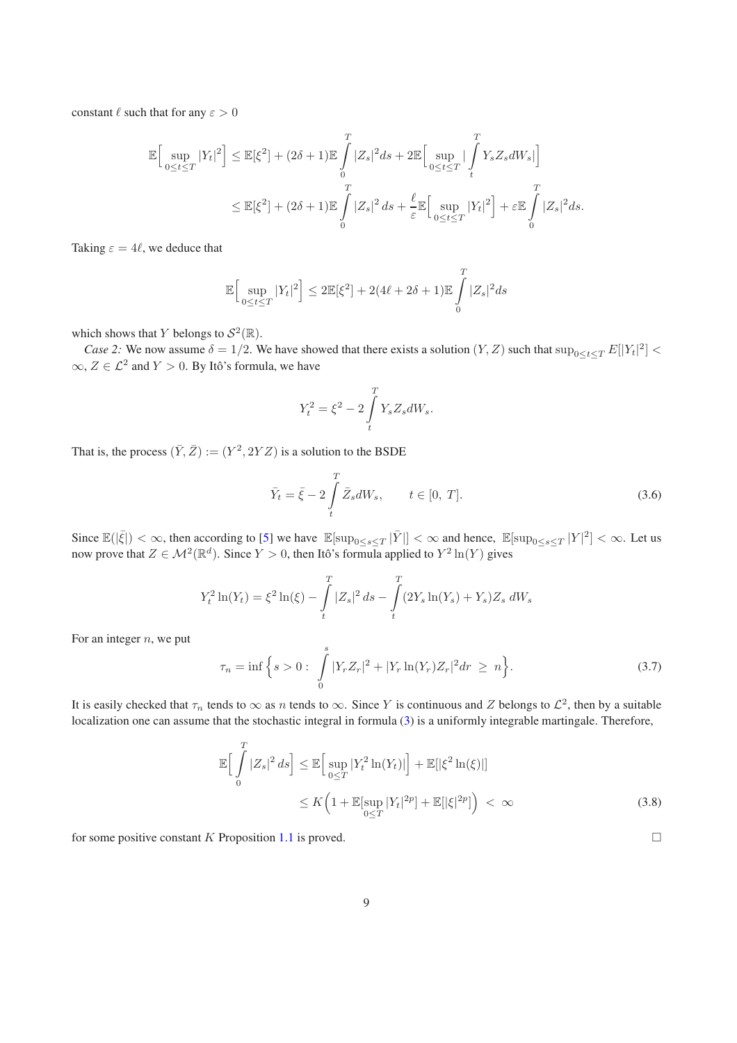constant  $\ell$  such that for any  $\varepsilon > 0$ 

$$
\mathbb{E}\Big[\sup_{0\leq t\leq T}|Y_t|^2\Big]\leq \mathbb{E}[\xi^2]+(2\delta+1)\mathbb{E}\int_{0}^{T}|Z_s|^2ds+2\mathbb{E}\Big[\sup_{0\leq t\leq T}|\int_{t}^{T}Y_sZ_sdW_s|\Big]
$$

$$
\leq \mathbb{E}[\xi^2]+(2\delta+1)\mathbb{E}\int_{0}^{T}|Z_s|^2ds+\frac{\ell}{\varepsilon}\mathbb{E}\Big[\sup_{0\leq t\leq T}|Y_t|^2\Big]+\varepsilon\mathbb{E}\int_{0}^{T}|Z_s|^2ds.
$$

Taking  $\varepsilon = 4\ell$ , we deduce that

$$
\mathbb{E}\Big[\sup_{0\leq t\leq T}|Y_t|^2\Big]\leq 2\mathbb{E}[\xi^2]+2(4\ell+2\delta+1)\mathbb{E}\int\limits_0^T|Z_s|^2ds
$$

which shows that Y belongs to  $\mathcal{S}^2(\mathbb{R})$ .

*Case 2:* We now assume  $\delta = 1/2$ . We have showed that there exists a solution  $(Y, Z)$  such that  $\sup_{0 \le t \le T} E[|Y_t|^2]$  <  $\infty$ ,  $Z \in \mathcal{L}^2$  and  $Y > 0$ . By Itô's formula, we have

$$
Y_t^2 = \xi^2 - 2 \int\limits_t^T Y_s Z_s dW_s.
$$

That is, the process  $(\bar{Y}, \bar{Z}) := (Y^2, 2YZ)$  is a solution to the BSDE

$$
\bar{Y}_t = \bar{\xi} - 2 \int\limits_t^T \bar{Z}_s dW_s, \qquad t \in [0, T]. \tag{3.6}
$$

Since  $\mathbb{E}(|\bar{\xi}|) < \infty$ , then according to [\[5](#page-33-4)] we have  $\mathbb{E}[\sup_{0 \le s \le T} |\bar{Y}|] < \infty$  and hence,  $\mathbb{E}[\sup_{0 \le s \le T} |Y|^2] < \infty$ . Let us now prove that  $Z \in \mathcal{M}^2(\mathbb{R}^d)$ . Since  $Y > 0$ , then Itô's formula applied to  $Y^2 \ln(Y)$  gives

$$
Y_t^2 \ln(Y_t) = \xi^2 \ln(\xi) - \int_t^T |Z_s|^2 ds - \int_t^T (2Y_s \ln(Y_s) + Y_s) Z_s dW_s
$$

For an integer  $n$ , we put

$$
\tau_n = \inf \left\{ s > 0 : \int\limits_0^s |Y_r Z_r|^2 + |Y_r \ln(Y_r) Z_r|^2 dr \geq n \right\}.
$$
\n(3.7)

It is easily checked that  $\tau_n$  tends to  $\infty$  as n tends to  $\infty$ . Since Y is continuous and Z belongs to  $\mathcal{L}^2$ , then by a suitable localization one can assume that the stochastic integral in formula [\(3\)](#page-9-0) is a uniformly integrable martingale. Therefore,

$$
\mathbb{E}\Big[\int_{0}^{T} |Z_s|^2 ds\Big] \leq \mathbb{E}\Big[\sup_{0\leq T} |Y_t^2 \ln(Y_t)|\Big] + \mathbb{E}[\left|\xi^2 \ln(\xi)\right|\Big] \leq K\Big(1 + \mathbb{E}[\sup_{0\leq T} |Y_t|^{2p}] + \mathbb{E}[\left|\xi\right|^{2p}]\Big) < \infty
$$
\n(3.8)

for some positive constant K Proposition [1.1](#page-0-1) is proved.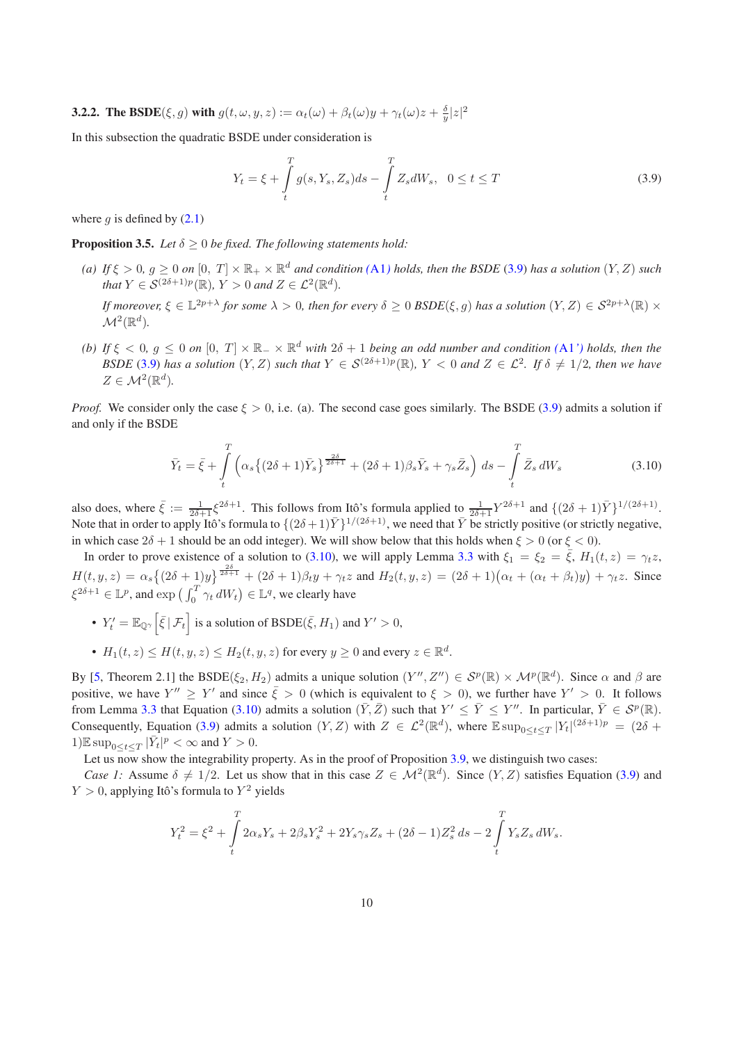**3.2.2.** The BSDE( $\xi, g$ ) with  $g(t, \omega, y, z) := \alpha_t(\omega) + \beta_t(\omega)y + \gamma_t(\omega)z + \frac{\delta}{y}|z|^2$ 

In this subsection the quadratic BSDE under consideration is

<span id="page-9-1"></span>
$$
Y_t = \xi + \int\limits_t^T g(s, Y_s, Z_s) ds - \int\limits_t^T Z_s dW_s, \ \ 0 \le t \le T
$$
\n(3.9)

<span id="page-9-2"></span>where q is defined by  $(2.1)$ 

**Proposition 3.5.** *Let*  $\delta \geq 0$  *be fixed. The following statements hold:* 

*(a)* If  $\xi > 0$ ,  $g \ge 0$  on  $[0, T] \times \mathbb{R}_+ \times \mathbb{R}^d$  and condition *([A1](#page-3-0))* holds, then the BSDE [\(3.9\)](#page-9-1) has a solution  $(Y, Z)$  such *that*  $Y \in \mathcal{S}^{(2\delta+1)p}(\mathbb{R})$ *,*  $Y > 0$  *and*  $Z \in \mathcal{L}^2(\mathbb{R}^d)$ *.* 

*If moreover,*  $\xi \in \mathbb{L}^{2p+\lambda}$  for some  $\lambda > 0$ , then for every  $\delta \geq 0$  BSDE( $\xi, g$ ) has a solution  $(Y, Z) \in \mathcal{S}^{2p+\lambda}(\mathbb{R}) \times$  $\mathcal{M}^2(\mathbb{R}^d).$ 

(b) If  $\xi < 0$ ,  $g \le 0$  on  $[0, T] \times \mathbb{R}_+ \times \mathbb{R}^d$  with  $2\delta + 1$  being an odd number and condition ([A1](#page-3-2)') holds, then the *BSDE* [\(3.9\)](#page-9-1) has a solution  $(Y, Z)$  such that  $Y \in S^{(2\delta+1)p}(\mathbb{R})$ ,  $Y < 0$  and  $Z \in \mathcal{L}^2$ . If  $\delta \neq 1/2$ , then we have  $Z \in \mathcal{M}^2(\mathbb{R}^d)$ .

*Proof.* We consider only the case  $\xi > 0$ , i.e. (a). The second case goes similarly. The BSDE [\(3.9\)](#page-9-1) admits a solution if and only if the BSDE

<span id="page-9-0"></span>
$$
\bar{Y}_t = \bar{\xi} + \int\limits_t^T \left( \alpha_s \left\{ (2\delta + 1)\bar{Y}_s \right\}_{\frac{2\delta}{2\delta + 1}}^{\frac{2\delta}{2\delta + 1}} + (2\delta + 1)\beta_s \bar{Y}_s + \gamma_s \bar{Z}_s \right) ds - \int\limits_t^T \bar{Z}_s dW_s \tag{3.10}
$$

also does, where  $\bar{\xi} := \frac{1}{2\delta + 1} \xi^{2\delta + 1}$ . This follows from Itô's formula applied to  $\frac{1}{2\delta + 1} Y^{2\delta + 1}$  and  $\{(2\delta + 1)\bar{Y}\}^{1/(2\delta + 1)}$ . Note that in order to apply Itô's formula to  $\{(2\delta+1)\bar{Y}\}^{1/(2\delta+1)}$ , we need that  $\bar{Y}$  be strictly positive (or strictly negative, in which case  $2\delta + 1$  should be an odd integer). We will show below that this holds when  $\xi > 0$  (or  $\xi < 0$ ).

In order to prove existence of a solution to [\(3.10\)](#page-9-0), we will apply Lemma [3.3](#page-6-1) with  $\xi_1 = \xi_2 = \overline{\xi}$ ,  $H_1(t, z) = \gamma_t z$ ,  $H(t, y, z) = \alpha_s \left\{ (2\delta + 1)y \right\}^{\frac{2\delta}{2\delta + 1}} + (2\delta + 1)\beta_t y + \gamma_t z$  and  $H_2(t, y, z) = (2\delta + 1)(\alpha_t + (\alpha_t + \beta_t)y) + \gamma_t z$ . Since  $\xi^{2\delta+1} \in \mathbb{L}^p$ , and  $\exp\left(\int_0^T \gamma_t dW_t\right) \in \mathbb{L}^q$ , we clearly have

- $Y'_t = \mathbb{E}_{\mathbb{Q}^\gamma} \left[ \bar{\xi} \, | \, \mathcal{F}_t \right]$  is a solution of  $\text{BSDE}(\bar{\xi}, H_1)$  and  $Y' > 0$ ,
- $H_1(t, z) \le H(t, y, z) \le H_2(t, y, z)$  for every  $y \ge 0$  and every  $z \in \mathbb{R}^d$ .

By [\[5,](#page-33-4) Theorem 2.1] the BSDE( $\xi_2, H_2$ ) admits a unique solution  $(Y'', Z'') \in S^p(\mathbb{R}) \times \mathcal{M}^p(\mathbb{R}^d)$ . Since  $\alpha$  and  $\beta$  are positive, we have  $Y'' \geq Y'$  and since  $\bar{\xi} > 0$  (which is equivalent to  $\xi > 0$ ), we further have  $Y' > 0$ . It follows from Lemma [3.3](#page-6-1) that Equation [\(3.10\)](#page-9-0) admits a solution  $(\bar{Y}, \bar{Z})$  such that  $Y' \leq \bar{Y} \leq Y''$ . In particular,  $\bar{Y} \in \mathcal{S}^p(\mathbb{R})$ . Consequently, Equation [\(3.9\)](#page-9-1) admits a solution  $(Y, Z)$  with  $Z \in \mathcal{L}^2(\mathbb{R}^d)$ , where  $\mathbb{E} \sup_{0 \le t \le T} |Y_t|^{(2\delta+1)p} = (2\delta +$ 1) $\mathbb{E} \sup_{0 \le t \le T} |\bar{Y}_t|^p < \infty$  and  $Y > 0$ .

Let us now show the integrability property. As in the proof of Proposition [3.9,](#page-9-1) we distinguish two cases:

*Case 1:* Assume  $\delta \neq 1/2$ . Let us show that in this case  $Z \in \mathcal{M}^2(\mathbb{R}^d)$ . Since  $(Y, Z)$  satisfies Equation [\(3.9\)](#page-9-1) and  $Y > 0$ , applying Itô's formula to  $Y^2$  yields

$$
Y_t^2 = \xi^2 + \int_t^T 2\alpha_s Y_s + 2\beta_s Y_s^2 + 2Y_s \gamma_s Z_s + (2\delta - 1)Z_s^2 ds - 2\int_t^T Y_s Z_s dW_s.
$$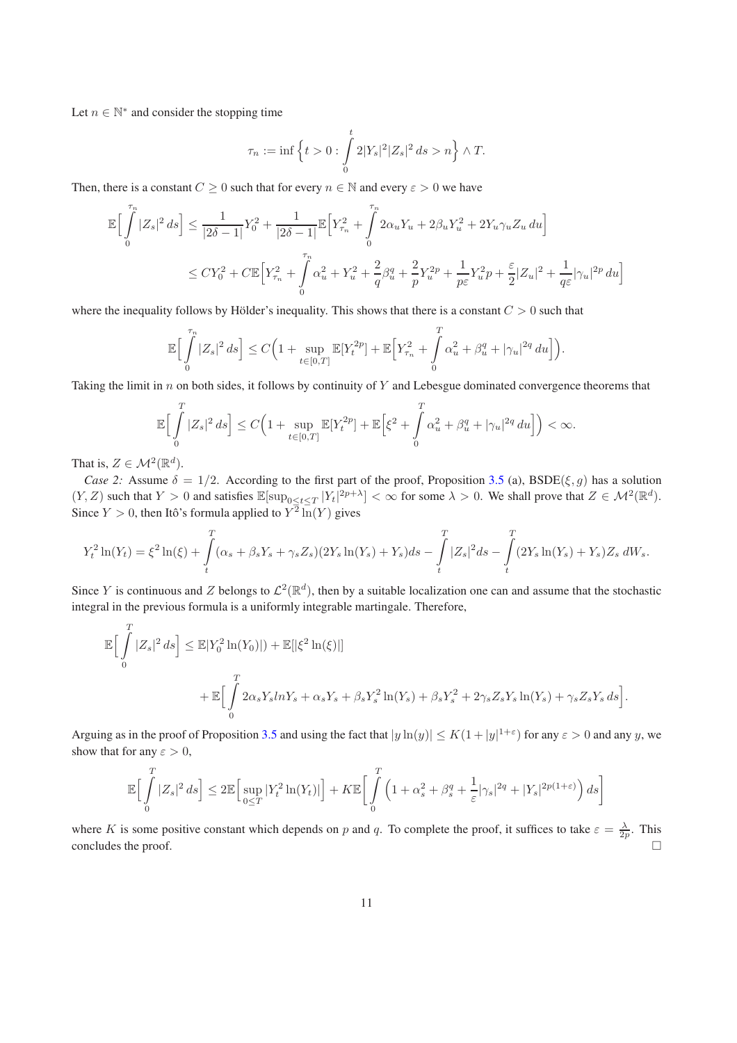Let  $n \in \mathbb{N}^*$  and consider the stopping time

$$
\tau_n:=\inf\Big\{t>0:\int\limits_0^t2|Y_s|^2|Z_s|^2\,ds>n\Big\}\wedge T.
$$

Then, there is a constant  $C \geq 0$  such that for every  $n \in \mathbb{N}$  and every  $\varepsilon > 0$  we have

$$
\mathbb{E}\Big[\int_{0}^{\tau_{n}} |Z_{s}|^{2} ds\Big] \leq \frac{1}{|2\delta - 1|} Y_{0}^{2} + \frac{1}{|2\delta - 1|} \mathbb{E}\Big[Y_{\tau_{n}}^{2} + \int_{0}^{\tau_{n}} 2\alpha_{u} Y_{u} + 2\beta_{u} Y_{u}^{2} + 2Y_{u} \gamma_{u} Z_{u} du\Big]
$$
  

$$
\leq CY_{0}^{2} + C \mathbb{E}\Big[Y_{\tau_{n}}^{2} + \int_{0}^{\tau_{n}} \alpha_{u}^{2} + Y_{u}^{2} + \frac{2}{q} \beta_{u}^{q} + \frac{2}{p} Y_{u}^{2p} + \frac{1}{p\epsilon} Y_{u}^{2} p + \frac{\epsilon}{2} |Z_{u}|^{2} + \frac{1}{q\epsilon} |\gamma_{u}|^{2p} du\Big]
$$

where the inequality follows by Hölder's inequality. This shows that there is a constant  $C > 0$  such that

$$
\mathbb{E}\Big[\int_{0}^{\tau_{n}}|Z_{s}|^{2} ds\Big] \leq C\Big(1+\sup_{t\in[0,T]}\mathbb{E}[Y_{t}^{2p}]+\mathbb{E}\Big[Y_{\tau_{n}}^{2}+\int_{0}^{T}\alpha_{u}^{2}+\beta_{u}^{q}+|\gamma_{u}|^{2q} du\Big]\Big).
$$

Taking the limit in  $n$  on both sides, it follows by continuity of Y and Lebesgue dominated convergence theorems that

$$
\mathbb{E}\Big[\int_{0}^{T} |Z_{s}|^{2} ds\Big] \leq C\Big(1+\sup_{t\in[0,T]}\mathbb{E}[Y_{t}^{2p}]+\mathbb{E}\Big[\xi^{2}+\int_{0}^{T} \alpha_{u}^{2}+\beta_{u}^{q}+|\gamma_{u}|^{2q} du\Big]\Big) < \infty.
$$

That is,  $Z \in \mathcal{M}^2(\mathbb{R}^d)$ .

 $\overline{r}$ 

*Case 2:* Assume  $\delta = 1/2$ . According to the first part of the proof, Proposition [3.5](#page-9-2) (a), BSDE( $\xi, g$ ) has a solution  $(Y, Z)$  such that  $Y > 0$  and satisfies  $\mathbb{E}[\sup_{0 \le t \le T} |Y_t|^{2p+\lambda}] < \infty$  for some  $\lambda > 0$ . We shall prove that  $Z \in \mathcal{M}^2(\mathbb{R}^d)$ . Since  $Y > 0$ , then Itô's formula applied to  $Y^2 \ln(Y)$  gives

$$
Y_t^2 \ln(Y_t) = \xi^2 \ln(\xi) + \int_t^T (\alpha_s + \beta_s Y_s + \gamma_s Z_s) (2Y_s \ln(Y_s) + Y_s) ds - \int_t^T |Z_s|^2 ds - \int_t^T (2Y_s \ln(Y_s) + Y_s) Z_s dW_s.
$$

Since Y is continuous and Z belongs to  $\mathcal{L}^2(\mathbb{R}^d)$ , then by a suitable localization one can and assume that the stochastic integral in the previous formula is a uniformly integrable martingale. Therefore,

$$
\mathbb{E}\Big[\int_{0}^{T} |Z_{s}|^{2} ds\Big] \leq \mathbb{E}|Y_{0}^{2} \ln(Y_{0})|) + \mathbb{E}[|\xi^{2} \ln(\xi)|]
$$
  
+ 
$$
\mathbb{E}\Big[\int_{0}^{T} 2\alpha_{s} Y_{s} ln Y_{s} + \alpha_{s} Y_{s} + \beta_{s} Y_{s}^{2} \ln(Y_{s}) + \beta_{s} Y_{s}^{2} + 2\gamma_{s} Z_{s} Y_{s} \ln(Y_{s}) + \gamma_{s} Z_{s} Y_{s} ds\Big].
$$

Arguing as in the proof of Proposition [3.5](#page-9-2) and using the fact that  $|y \ln(y)| \le K(1+|y|^{1+\epsilon})$  for any  $\varepsilon > 0$  and any y, we show that for any  $\varepsilon > 0$ ,

$$
\mathbb{E}\Big[\int\limits_{0}^{T}|Z_s|^2\,ds\Big]\leq 2\mathbb{E}\Big[\sup_{0\leq T}|Y_t^2\ln(Y_t)|\Big]+K\mathbb{E}\bigg[\int\limits_{0}^{T}\Big(1+\alpha_s^2+\beta_s^q+\frac{1}{\varepsilon}|\gamma_s|^{2q}+|Y_s|^{2p(1+\varepsilon)}\Big)\,ds\bigg]
$$

<span id="page-10-0"></span>where K is some positive constant which depends on p and q. To complete the proof, it suffices to take  $\varepsilon = \frac{\lambda}{2p}$ . This concludes the proof.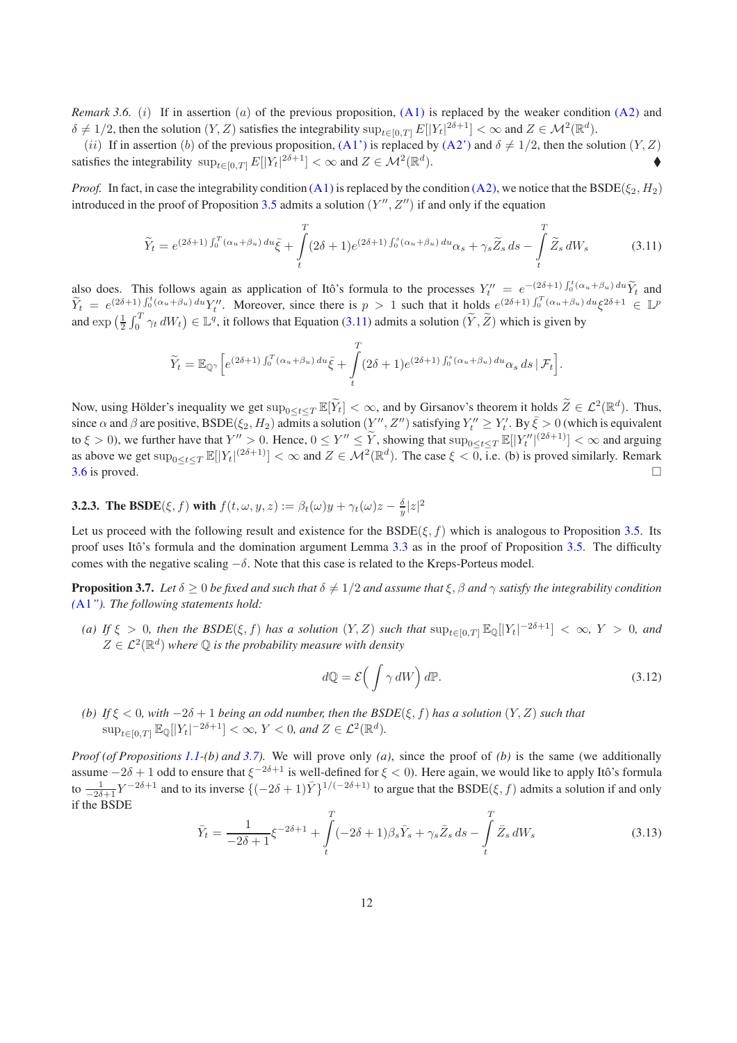*Remark 3.6.* (*i*) If in assertion (*a*) of the previous proposition, [\(A1\)](#page-3-0) is replaced by the weaker condition [\(A2\)](#page-3-1) and  $\delta \neq 1/2$ , then the solution  $(Y, Z)$  satisfies the integrability  $\sup_{t \in [0,T]} E[|Y_t|^{2\delta+1}] < \infty$  and  $Z \in \mathcal{M}^2(\mathbb{R}^d)$ .

(ii) If in assertion (b) of the previous proposition, [\(A1'\)](#page-3-2) is replaced by [\(A2'\)](#page-3-6) and  $\delta \neq 1/2$ , then the solution  $(Y, Z)$ satisfies the integrability  $\sup_{t \in [0,T]} E[|Y_t|^{2\delta+1}] < \infty$  and  $Z \in \mathcal{M}^2(\mathbb{R}^d)$  $\bullet$ 

*Proof.* In fact, in case the integrability condition [\(A1\)](#page-3-0) is replaced by the condition [\(A2\),](#page-3-1) we notice that the BSDE( $\xi_2$ ,  $H_2$ ) introduced in the proof of Proposition [3.5](#page-9-2) admits a solution  $(Y'', Z'')$  if and only if the equation

<span id="page-11-1"></span>
$$
\widetilde{Y}_t = e^{(2\delta+1)\int_0^T (\alpha_u + \beta_u) du} \bar{\xi} + \int_t^T (2\delta+1)e^{(2\delta+1)\int_0^s (\alpha_u + \beta_u) du} \alpha_s + \gamma_s \widetilde{Z}_s ds - \int_t^T \widetilde{Z}_s dW_s
$$
\n(3.11)

also does. This follows again as application of Itô's formula to the processes  $Y_t'' = e^{-(2\delta+1)\int_0^t (\alpha_u + \beta_u) du} \tilde{Y}_t$  and  $\widetilde{Y}_t = e^{(2\delta+1)\int_0^t (\alpha_u+\beta_u) du} Y_t''$ . Moreover, since there is  $p > 1$  such that it holds  $e^{(2\delta+1)\int_0^T (\alpha_u+\beta_u) du} \xi^{2\delta+1} \in \mathbb{L}^p$ and  $\exp\left(\frac{1}{2}\int_0^T \gamma_t dW_t\right) \in \mathbb{L}^q$ , it follows that Equation [\(3.11\)](#page-11-1) admits a solution  $(\widetilde{Y}, \widetilde{Z})$  which is given by

$$
\widetilde{Y}_t = \mathbb{E}_{\mathbb{Q}^\gamma} \Big[ e^{(2\delta+1) \int_0^T (\alpha_u + \beta_u) du} \bar{\xi} + \int_t^T (2\delta+1) e^{(2\delta+1) \int_0^s (\alpha_u + \beta_u) du} \alpha_s ds \, | \, \mathcal{F}_t \Big].
$$

Now, using Hölder's inequality we get  $\sup_{0 \le t \le T} \mathbb{E}[\tilde{Y}_t] < \infty$ , and by Girsanov's theorem it holds  $\tilde{Z} \in \mathcal{L}^2(\mathbb{R}^d)$ . Thus, since  $\alpha$  and  $\beta$  are positive, BSDE( $\xi_2$ ,  $H_2$ ) admits a solution  $(Y'', Z'')$  satisfying  $Y''_t \ge Y'_t$ . By  $\bar{\xi} > 0$  (which is equivalent to  $\xi > 0$ ), we further have that  $Y'' > 0$ . Hence,  $0 \le Y'' \le \tilde{Y}$ , showing that  $\sup_{0 \le t \le T} \mathbb{E}[|Y''_t|^{(2\delta+1)}] < \infty$  and arguing as above we get  $\sup_{0 \le t \le T} \mathbb{E}[|Y_t|^{(2\delta+1)}] < \infty$  and  $Z \in \mathcal{M}^2(\mathbb{R}^d)$ . The case  $\xi < 0$ , i.e. (b) is proved similarly. Remark [3.6](#page-10-0) is proved.  $\square$ 

**3.2.3.** The BSDE( $\xi, f$ ) with  $f(t, \omega, y, z) := \beta_t(\omega)y + \gamma_t(\omega)z - \frac{\delta}{y}|z|^2$ 

Let us proceed with the following result and existence for the  $BSDE(\xi, f)$  which is analogous to Proposition [3.5.](#page-9-2) Its proof uses Itô's formula and the domination argument Lemma [3.3](#page-6-1) as in the proof of Proposition [3.5.](#page-9-2) The difficulty comes with the negative scaling  $-\delta$ . Note that this case is related to the Kreps-Porteus model.

<span id="page-11-0"></span>**Proposition 3.7.** *Let*  $\delta \geq 0$  *be fixed and such that*  $\delta \neq 1/2$  *and assume that*  $\xi, \beta$  *and*  $\gamma$  *satisfy the integrability condition (*[A1](#page-4-0)*"). The following statements hold:*

*(a)* If  $\xi > 0$ , then the BSDE( $\xi, f$ ) has a solution  $(Y, Z)$  such that  $\sup_{t \in [0,T]} \mathbb{E}_{\mathbb{Q}}[|Y_t|^{-2\delta+1}] < \infty$ ,  $Y > 0$ , and  $Z \in \mathcal{L}^2(\mathbb{R}^d)$  where  $\mathbb Q$  is the probability measure with density

$$
d\mathbb{Q} = \mathcal{E}\left(\int \gamma \, dW\right) d\mathbb{P}.\tag{3.12}
$$

*(b) If* ξ < 0*, with* −2δ + 1 *being an odd number, then the BSDE*(ξ, f) *has a solution* (Y, Z) *such that*  $\sup_{t\in[0,T]}\mathbb{E}_{\mathbb{Q}}[|Y_t|^{-2\delta+1}]<\infty,$   $Y<0$ , and  $Z\in\mathcal{L}^2(\mathbb{R}^d).$ 

*Proof (of Propositions [1.1-](#page-0-1)(b) and [3.7\)](#page-11-0).* We will prove only *(a)*, since the proof of *(b)* is the same (we additionally assume  $-2\delta+1$  odd to ensure that  $\xi^{-2\delta+1}$  is well-defined for  $\xi< 0$ ). Here again, we would like to apply Itô's formula to  $\frac{1}{-2\delta+1}Y^{-2\delta+1}$  and to its inverse  $\{(-2\delta+1)\bar{Y}\}^{1/(-2\delta+1)}$  to argue that the BSDE( $\xi, f$ ) admits a solution if and only if the BSDE

<span id="page-11-2"></span>
$$
\bar{Y}_t = \frac{1}{-2\delta + 1} \xi^{-2\delta + 1} + \int_t^T (-2\delta + 1)\beta_s \bar{Y}_s + \gamma_s \bar{Z}_s \, ds - \int_t^T \bar{Z}_s \, dW_s \tag{3.13}
$$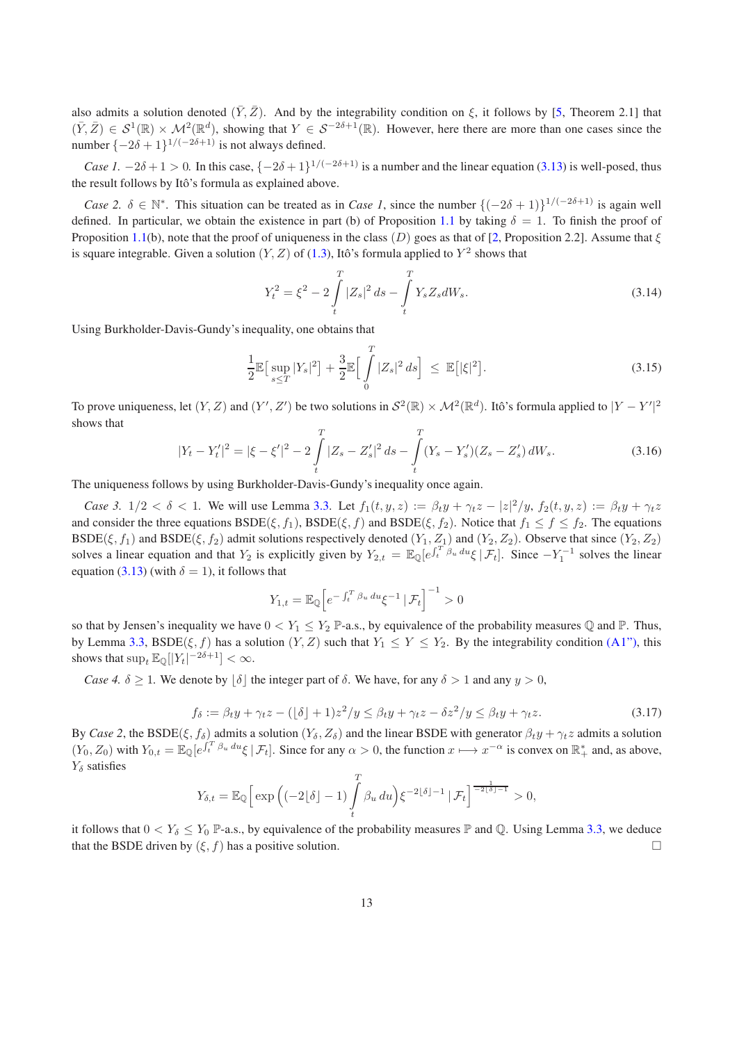also admits a solution denoted  $(\bar{Y}, \bar{Z})$ . And by the integrability condition on  $\xi$ , it follows by [\[5,](#page-33-4) Theorem 2.1] that  $(\bar{Y}, \bar{Z}) \in S^1(\mathbb{R}) \times \mathcal{M}^2(\mathbb{R}^d)$ , showing that  $Y \in S^{-2\delta+1}(\mathbb{R})$ . However, here there are more than one cases since the number  $\{-2\delta+1\}^{1/(-2\delta+1)}$  is not always defined.

*Case 1.*  $-2\delta + 1 > 0$ . In this case,  $\{-2\delta + 1\}^{1/(-2\delta+1)}$  is a number and the linear equation [\(3.13\)](#page-11-2) is well-posed, thus the result follows by Itô's formula as explained above.

*Case 2.*  $\delta \in \mathbb{N}^*$ . This situation can be treated as in *Case 1*, since the number  $\{(-2\delta+1)\}^{1/(-2\delta+1)}$  is again well defined. In particular, we obtain the existence in part (b) of Proposition [1.1](#page-0-1) by taking  $\delta = 1$ . To finish the proof of Proposition [1.1\(](#page-0-1)b), note that the proof of uniqueness in the class  $(D)$  goes as that of [\[2](#page-33-5), Proposition 2.2]. Assume that  $\xi$ is square integrable. Given a solution  $(Y, Z)$  of [\(1.3\)](#page-1-1), Itô's formula applied to  $Y^2$  shows that

$$
Y_t^2 = \xi^2 - 2 \int\limits_t^T |Z_s|^2 \, ds - \int\limits_t^T Y_s Z_s dW_s. \tag{3.14}
$$

Using Burkholder-Davis-Gundy's inequality, one obtains that

$$
\frac{1}{2} \mathbb{E} \big[ \sup_{s \le T} |Y_s|^2 \big] + \frac{3}{2} \mathbb{E} \Big[ \int_0^T |Z_s|^2 \, ds \Big] \le \mathbb{E} \big[ |\xi|^2 \big]. \tag{3.15}
$$

To prove uniqueness, let  $(Y, Z)$  and  $(Y', Z')$  be two solutions in  $S^2(\mathbb{R}) \times \mathcal{M}^2(\mathbb{R}^d)$ . Itô's formula applied to  $|Y - Y'|^2$ shows that

$$
|Y_t - Y'_t|^2 = |\xi - \xi'|^2 - 2\int_t^T |Z_s - Z'_s|^2 ds - \int_t^T (Y_s - Y'_s)(Z_s - Z'_s) dW_s.
$$
 (3.16)

The uniqueness follows by using Burkholder-Davis-Gundy's inequality once again.

*Case 3.*  $1/2 < \delta < 1$ . We will use Lemma [3.3.](#page-6-1) Let  $f_1(t, y, z) := \beta_t y + \gamma_t z - |z|^2/y$ ,  $f_2(t, y, z) := \beta_t y + \gamma_t z$ and consider the three equations  $BSDE(\xi, f_1)$ ,  $BSDE(\xi, f)$  and  $BSDE(\xi, f_2)$ . Notice that  $f_1 \leq f \leq f_2$ . The equations  $BSDE(\xi, f_1)$  and  $BSDE(\xi, f_2)$  admit solutions respectively denoted  $(Y_1, Z_1)$  and  $(Y_2, Z_2)$ . Observe that since  $(Y_2, Z_2)$ solves a linear equation and that  $Y_2$  is explicitly given by  $Y_{2,t} = \mathbb{E}_{\mathbb{Q}}[e^{\int_t^T \beta_u du} \xi | \mathcal{F}_t]$ . Since  $-Y_1^{-1}$  solves the linear equation [\(3.13\)](#page-11-2) (with  $\delta = 1$ ), it follows that

$$
Y_{1,t} = \mathbb{E}_{\mathbb{Q}} \left[ e^{-\int_t^T \beta_u \, du} \xi^{-1} \, \middle| \, \mathcal{F}_t \right]^{-1} > 0
$$

so that by Jensen's inequality we have  $0 < Y_1 \le Y_2$  P-a.s., by equivalence of the probability measures Q and P. Thus, by Lemma [3.3,](#page-6-1) BSDE( $\xi$ , f) has a solution  $(Y, Z)$  such that  $Y_1 \le Y \le Y_2$ . By the integrability condition [\(A1"\),](#page-4-0) this shows that  $\sup_t \mathbb{E}_{\mathbb{Q}}[|Y_t|^{-2\delta+1}] < \infty$ .

*Case 4.*  $\delta \geq 1$ . We denote by  $|\delta|$  the integer part of  $\delta$ . We have, for any  $\delta > 1$  and any  $y > 0$ ,

$$
f_{\delta} := \beta_t y + \gamma_t z - (\lfloor \delta \rfloor + 1) z^2 / y \le \beta_t y + \gamma_t z - \delta z^2 / y \le \beta_t y + \gamma_t z.
$$
 (3.17)

By *Case 2*, the BSDE( $\xi, f_\delta$ ) admits a solution ( $Y_\delta, Z_\delta$ ) and the linear BSDE with generator  $\beta_t y + \gamma_t z$  admits a solution  $(Y_0, Z_0)$  with  $Y_{0,t} = \mathbb{E}_{\mathbb{Q}}[e^{\int_t^T \beta_u du} \xi | \mathcal{F}_t]$ . Since for any  $\alpha > 0$ , the function  $x \mapsto x^{-\alpha}$  is convex on  $\mathbb{R}^*_+$  and, as above,  $Y_\delta$  satisfies

$$
Y_{\delta,t} = \mathbb{E}_{\mathbb{Q}} \Big[ \exp \Big( (-2\lfloor \delta \rfloor - 1) \int\limits_{t}^{T} \beta_u \, du \Big) \xi^{-2\lfloor \delta \rfloor - 1} \, | \, \mathcal{F}_t \Big]^\frac{1}{-2\lfloor \delta \rfloor - 1} > 0,
$$

<span id="page-12-0"></span>it follows that  $0 < Y_{\delta} \le Y_0$  P-a.s., by equivalence of the probability measures P and Q. Using Lemma [3.3,](#page-6-1) we deduce that the BSDE driven by  $(\xi, f)$  has a positive solution.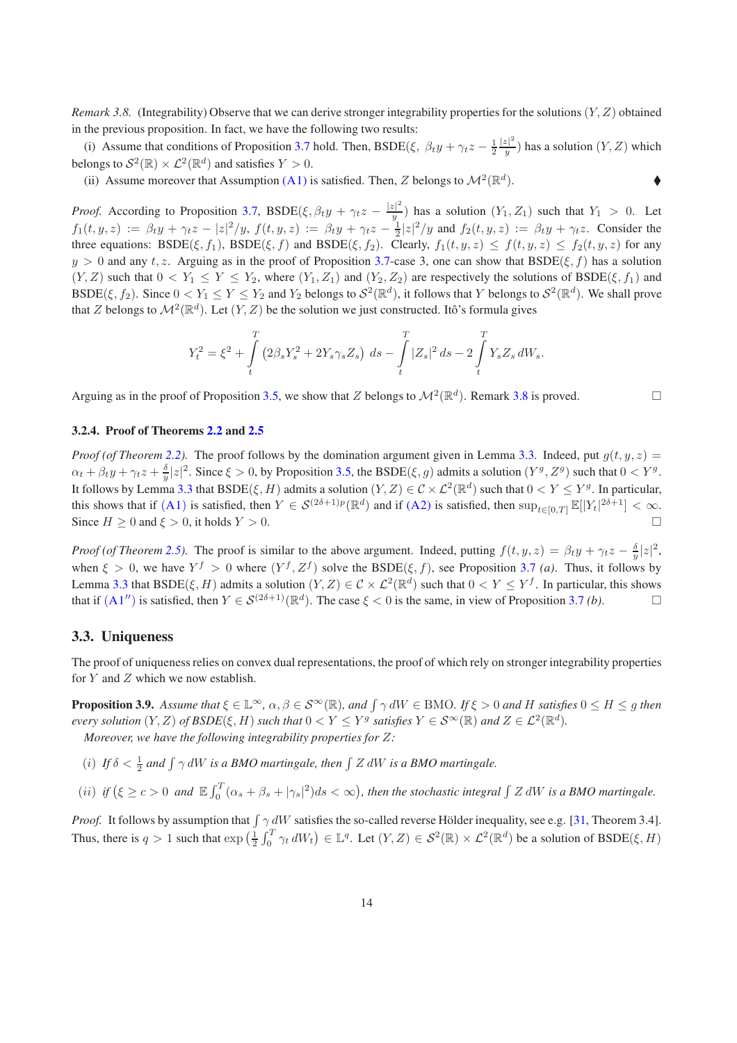*Remark 3.8.* (Integrability) Observe that we can derive stronger integrability properties for the solutions  $(Y, Z)$  obtained in the previous proposition. In fact, we have the following two results:

(i) Assume that conditions of Proposition [3.7](#page-11-0) hold. Then, BSDE( $\xi$ ,  $\beta_t y + \gamma_t z - \frac{1}{2}$  $|z|^2$  $\frac{z_1}{y}$ ) has a solution  $(Y, Z)$  which belongs to  $\mathcal{S}^2(\mathbb{R}) \times \mathcal{L}^2(\mathbb{R}^d)$  and satisfies  $Y > 0$ .

(ii) Assume moreover that Assumption [\(A1\)](#page-3-0) is satisfied. Then, Z belongs to  $\mathcal{M}^2(\mathbb{R}^d)$  $\bullet$ 

*Proof.* According to Proposition [3.7,](#page-11-0) BSDE( $\xi, \beta_t y + \gamma_t z - \frac{|z|^2}{y}$  $(y|y)$  has a solution  $(Y_1, Z_1)$  such that  $Y_1 > 0$ . Let  $f_1(t, y, z) := \beta_t y + \gamma_t z - |z|^2/y$ ,  $f(t, y, z) := \beta_t y + \gamma_t z - \frac{1}{2}|z|^2/y$  and  $f_2(t, y, z) := \beta_t y + \gamma_t z$ . Consider the three equations: BSDE( $\xi$ ,  $f_1$ ), BSDE( $\xi$ ,  $f$ ) and BSDE( $\xi$ ,  $f_2$ ). Clearly,  $f_1(t, y, z) \leq f(t, y, z) \leq f_2(t, y, z)$  for any  $y > 0$  and any  $t, z$ . Arguing as in the proof of Proposition [3.7-](#page-11-0)case 3, one can show that BSDE( $\xi, f$ ) has a solution  $(Y, Z)$  such that  $0 < Y_1 \le Y \le Y_2$ , where  $(Y_1, Z_1)$  and  $(Y_2, Z_2)$  are respectively the solutions of BSDE( $\xi, f_1$ ) and BSDE( $\xi, f_2$ ). Since  $0 < Y_1 \le Y \le Y_2$  and  $Y_2$  belongs to  $\mathcal{S}^2(\mathbb{R}^d)$ , it follows that Y belongs to  $\mathcal{S}^2(\mathbb{R}^d)$ . We shall prove that Z belongs to  $\mathcal{M}^2(\mathbb{R}^d)$ . Let  $(Y, Z)$  be the solution we just constructed. Itô's formula gives

$$
Y_t^2 = \xi^2 + \int\limits_t^T \left(2\beta_s Y_s^2 + 2Y_s\gamma_s Z_s\right) \, ds - \int\limits_t^T |Z_s|^2 \, ds - 2\int\limits_t^T Y_s Z_s \, dW_s.
$$

Arguing as in the proof of Proposition [3.5,](#page-9-2) we show that Z belongs to  $\mathcal{M}^2(\mathbb{R}^d)$ . Remark [3.8](#page-12-0) is proved.

#### 3.2.4. Proof of Theorems [2.2](#page-3-3) and [2.5](#page-4-2)

*Proof (of Theorem [2.2\)](#page-3-3)*. The proof follows by the domination argument given in Lemma [3.3.](#page-6-1) Indeed, put  $q(t, y, z)$  =  $\alpha_t + \beta_t y + \gamma_t z + \frac{\delta}{y} |z|^2$ . Since  $\xi > 0$ , by Proposition [3.5,](#page-9-2) the BSDE( $\xi, g$ ) admits a solution  $(Y^g, Z^g)$  such that  $0 < Y^g$ . It follows by Lemma [3.3](#page-6-1) that  $BSDE(\xi, H)$  admits a solution  $(Y, Z) \in C \times \mathcal{L}^2(\mathbb{R}^d)$  such that  $0 < Y \leq Y^g$ . In particular, this shows that if  $(A1)$  $(A1)$  $(A1)$  is satisfied, then  $Y \in \mathcal{S}^{(2\delta+1)p}(\mathbb{R}^d)$  and if  $(A2)$  is satisfied, then  $\sup_{t \in [0,T]} \mathbb{E}[|Y_t|^{2\delta+1}] < \infty$ . Since  $H \ge 0$  and  $\xi > 0$ , it holds  $Y > 0$ .

*Proof (of Theorem [2.5\)](#page-4-2)*. The proof is similar to the above argument. Indeed, putting  $f(t, y, z) = \beta_t y + \gamma_t z - \frac{\delta}{y} |z|^2$ , when  $\xi > 0$ , we have  $Y^f > 0$  where  $(Y^f, Z^f)$  solve the BSDE( $\xi, f$ ), see Proposition [3.7](#page-11-0) *(a)*. Thus, it follows by Lemma [3.3](#page-6-1) that BSDE( $\xi$ , H) admits a solution  $(Y, Z) \in C \times \mathcal{L}^2(\mathbb{R}^d)$  such that  $0 < Y \leq Y^f$ . In particular, this shows that if  $(A1'')$  $(A1'')$  $(A1'')$  is satisfied, then  $Y \in S^{(2\delta+1)}(\mathbb{R}^d)$ . The case  $\xi < 0$  is the same, in view of Proposition [3.7](#page-11-0) *(b)*.

#### 3.3. Uniqueness

<span id="page-13-0"></span>The proof of uniqueness relies on convex dual representations, the proof of which rely on stronger integrability properties for  $Y$  and  $Z$  which we now establish.

**Proposition 3.9.** Assume that  $\xi \in \mathbb{L}^{\infty}$ ,  $\alpha, \beta \in \mathcal{S}^{\infty}(\mathbb{R})$ , and  $\int \gamma dW \in \text{BMO}$ . If  $\xi > 0$  and H satisfies  $0 \le H \le g$  then *every solution*  $(Y, Z)$  *of BSDE*( $\xi, H$ ) *such that*  $0 < Y \leq Y^g$  *satisfies*  $Y \in S^\infty(\mathbb{R})$  *and*  $Z \in \mathcal{L}^2(\mathbb{R}^d)$ *. Moreover, we have the following integrability properties for* Z*:*

(*i*) *If*  $\delta < \frac{1}{2}$  and  $\int \gamma dW$  *is a BMO martingale, then*  $\int Z dW$  *is a BMO martingale.* 

(*ii*) *if*  $(\xi \ge c > 0$  *and*  $\mathbb{E} \int_0^T (\alpha_s + \beta_s + |\gamma_s|^2) ds < \infty$ ), then the stochastic integral  $\int Z dW$  *is a BMO martingale.* 

*Proof.* It follows by assumption that  $\int \gamma dW$  satisfies the so-called reverse Hölder inequality, see e.g. [\[31](#page-34-15), Theorem 3.4]. Thus, there is  $q > 1$  such that  $\exp\left(\frac{1}{2}\int_0^T \gamma_t dW_t\right) \in \mathbb{L}^q$ . Let  $(Y, Z) \in \mathcal{S}^2(\mathbb{R}) \times \mathcal{L}^2(\mathbb{R}^d)$  be a solution of BSDE( $\xi, H$ )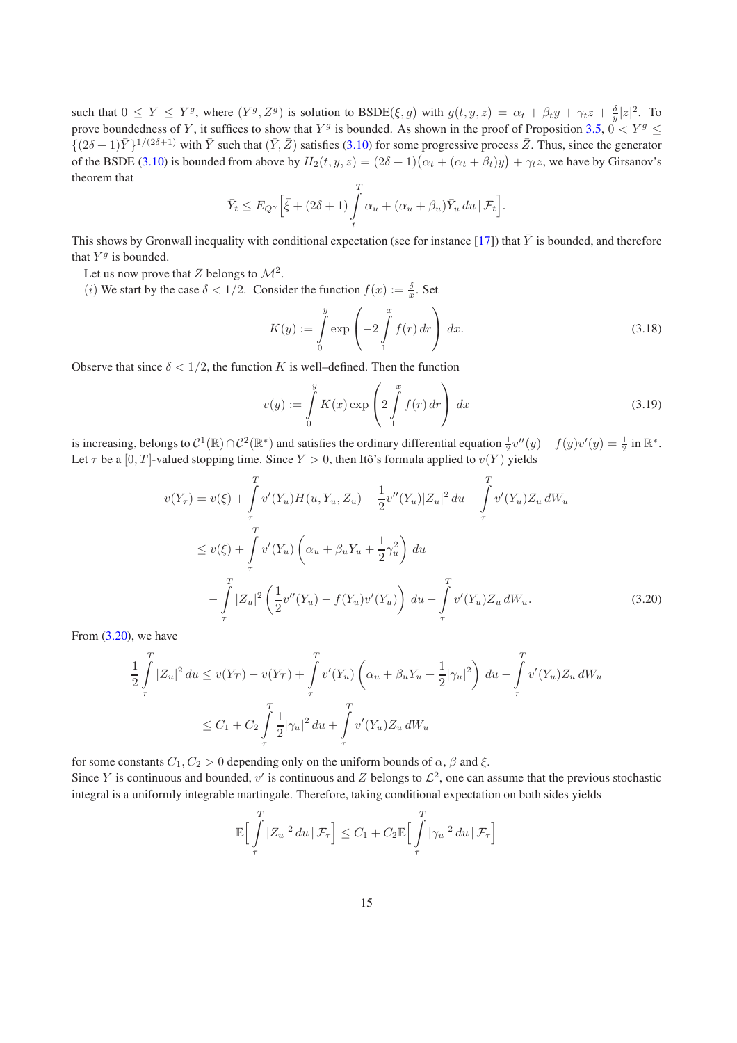such that  $0 \le Y \le Y^g$ , where  $(Y^g, Z^g)$  is solution to  $\text{BSDE}(\xi, g)$  with  $g(t, y, z) = \alpha_t + \beta_t y + \gamma_t z + \frac{\delta}{y} |z|^2$ . To prove boundedness of Y, it suffices to show that  $Y^g$  is bounded. As shown in the proof of Proposition [3.5,](#page-9-2)  $0 < Y^g \le$  $\{(2\delta+1)\bar{Y}\}^{1/(2\delta+1)}$  with  $\bar{Y}$  such that  $(\bar{Y}, \bar{Z})$  satisfies [\(3.10\)](#page-9-0) for some progressive process  $\bar{Z}$ . Thus, since the generator of the BSDE [\(3.10\)](#page-9-0) is bounded from above by  $H_2(t, y, z) = (2\delta + 1)(\alpha_t + (\alpha_t + \beta_t)y) + \gamma_t z$ , we have by Girsanov's theorem that

$$
\bar{Y}_t \leq E_{Q^{\gamma}} \Big[ \bar{\xi} + (2\delta + 1) \int_t^T \alpha_u + (\alpha_u + \beta_u) \bar{Y}_u \, du \, | \, \mathcal{F}_t \Big].
$$

This shows by Gronwall inequality with conditional expectation (see for instance [\[17](#page-33-0)]) that  $\bar{Y}$  is bounded, and therefore that  $Y^g$  is bounded.

Let us now prove that Z belongs to  $\mathcal{M}^2$ .

(*i*) We start by the case  $\delta < 1/2$ . Consider the function  $f(x) := \frac{\delta}{x}$ . Set

<span id="page-14-1"></span>
$$
K(y) := \int\limits_0^y \exp\left(-2\int\limits_1^x f(r) \, dr\right) \, dx. \tag{3.18}
$$

Observe that since  $\delta < 1/2$ , the function K is well–defined. Then the function

<span id="page-14-2"></span><span id="page-14-0"></span>
$$
v(y) := \int_{0}^{y} K(x) \exp\left(2 \int_{1}^{x} f(r) dr\right) dx
$$
\n(3.19)

is increasing, belongs to  $C^1(\mathbb{R}) \cap C^2(\mathbb{R}^*)$  and satisfies the ordinary differential equation  $\frac{1}{2}v''(y) - f(y)v'(y) = \frac{1}{2}$  in  $\mathbb{R}^*$ . Let  $\tau$  be a [0, T]-valued stopping time. Since  $Y > 0$ , then Itô's formula applied to  $v(Y)$  yields

$$
v(Y_{\tau}) = v(\xi) + \int_{\tau}^{T} v'(Y_{u})H(u, Y_{u}, Z_{u}) - \frac{1}{2}v''(Y_{u})|Z_{u}|^{2} du - \int_{\tau}^{T} v'(Y_{u})Z_{u} dW_{u}
$$
  
\n
$$
\leq v(\xi) + \int_{\tau}^{T} v'(Y_{u}) \left(\alpha_{u} + \beta_{u}Y_{u} + \frac{1}{2}\gamma_{u}^{2}\right) du
$$
  
\n
$$
- \int_{\tau}^{T} |Z_{u}|^{2} \left(\frac{1}{2}v''(Y_{u}) - f(Y_{u})v'(Y_{u})\right) du - \int_{\tau}^{T} v'(Y_{u})Z_{u} dW_{u}. \qquad (3.20)
$$

From [\(3.20\)](#page-14-0), we have

$$
\frac{1}{2} \int_{\tau}^{T} |Z_u|^2 du \le v(Y_T) - v(Y_T) + \int_{\tau}^{T} v'(Y_u) \left( \alpha_u + \beta_u Y_u + \frac{1}{2} |\gamma_u|^2 \right) du - \int_{\tau}^{T} v'(Y_u) Z_u dW_u
$$
  

$$
\le C_1 + C_2 \int_{\tau}^{T} \frac{1}{2} |\gamma_u|^2 du + \int_{\tau}^{T} v'(Y_u) Z_u dW_u
$$

for some constants  $C_1, C_2 > 0$  depending only on the uniform bounds of  $\alpha$ ,  $\beta$  and  $\xi$ . Since Y is continuous and bounded,  $v'$  is continuous and Z belongs to  $\mathcal{L}^2$ , one can assume that the previous stochastic integral is a uniformly integrable martingale. Therefore, taking conditional expectation on both sides yields

$$
\mathbb{E}\Big[\int_{\tau}^{T} |Z_u|^2 du \, |\, \mathcal{F}_{\tau}\Big] \leq C_1 + C_2 \mathbb{E}\Big[\int_{\tau}^{T} |\gamma_u|^2 du \, |\, \mathcal{F}_{\tau}\Big]
$$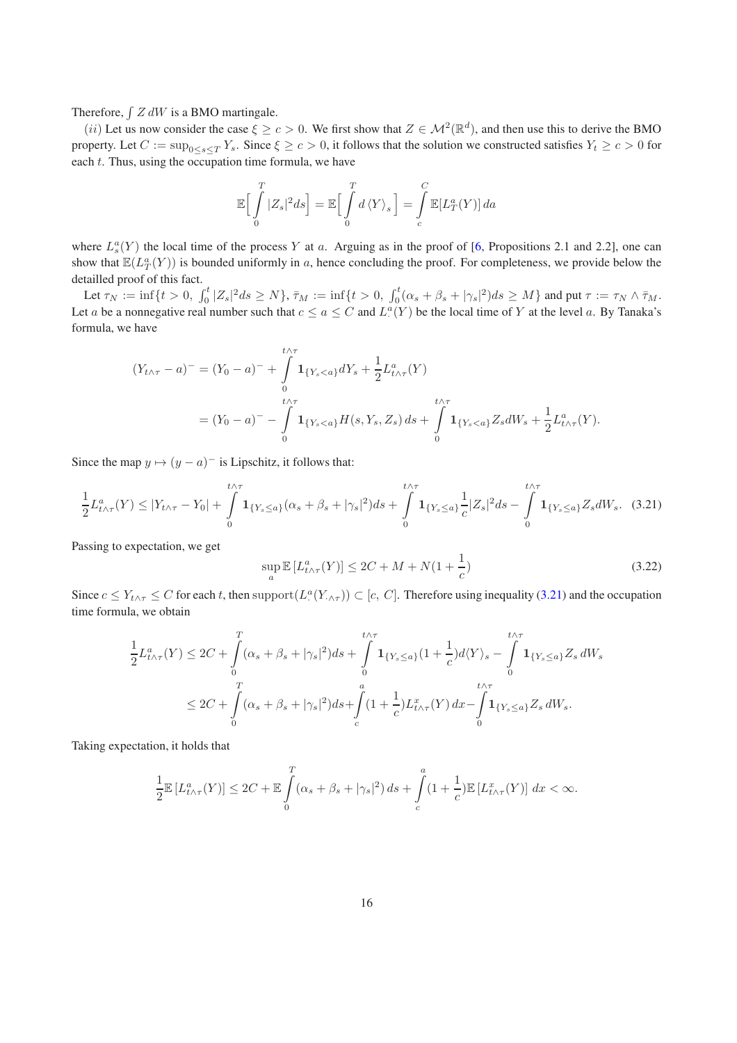Therefore,  $\int Z dW$  is a BMO martingale.

(*ii*) Let us now consider the case  $\xi \ge c > 0$ . We first show that  $Z \in \mathcal{M}^2(\mathbb{R}^d)$ , and then use this to derive the BMO property. Let  $C := \sup_{0 \le s \le T} Y_s$ . Since  $\xi \ge c > 0$ , it follows that the solution we constructed satisfies  $Y_t \ge c > 0$  for each  $t$ . Thus, using the occupation time formula, we have

$$
\mathbb{E}\Big[\int\limits_{0}^{T}|Z_{s}|^{2}ds\Big]=\mathbb{E}\Big[\int\limits_{0}^{T}d\left\langle Y\right\rangle _{s}\Big]=\int\limits_{c}^{C}\mathbb{E}[L_{T}^{a}(Y)]\,da
$$

where  $L_s^a(Y)$  the local time of the process Y at a. Arguing as in the proof of [\[6,](#page-33-7) Propositions 2.1 and 2.2], one can show that  $\mathbb{E}(L_T^a(Y))$  is bounded uniformly in a, hence concluding the proof. For completeness, we provide below the detailled proof of this fact.

Let  $\tau_N := \inf\{t > 0, \int_0^t |Z_s|^2 ds \ge N\}, \bar{\tau}_M := \inf\{t > 0, \int_0^t (\alpha_s + \beta_s + |\gamma_s|^2) ds \ge M\}$  and put  $\tau := \tau_N \wedge \bar{\tau}_M$ . Let a be a nonnegative real number such that  $c \le a \le C$  and  $L^a(Y)$  be the local time of Y at the level a. By Tanaka's formula, we have

$$
(Y_{t \wedge \tau} - a)^{-} = (Y_0 - a)^{-} + \int_{0}^{t \wedge \tau} \mathbf{1}_{\{Y_s < a\}} dY_s + \frac{1}{2} L_{t \wedge \tau}^{a}(Y)
$$
\n
$$
= (Y_0 - a)^{-} - \int_{0}^{t \wedge \tau} \mathbf{1}_{\{Y_s < a\}} H(s, Y_s, Z_s) \, ds + \int_{0}^{t \wedge \tau} \mathbf{1}_{\{Y_s < a\}} Z_s dW_s + \frac{1}{2} L_{t \wedge \tau}^{a}(Y).
$$

Since the map  $y \mapsto (y - a)^{-1}$  is Lipschitz, it follows that:

$$
\frac{1}{2}L_{t\wedge\tau}^{a}(Y) \leq |Y_{t\wedge\tau} - Y_{0}| + \int_{0}^{t\wedge\tau} \mathbf{1}_{\{Y_{s} \leq a\}}(\alpha_{s} + \beta_{s} + |\gamma_{s}|^{2})ds + \int_{0}^{t\wedge\tau} \mathbf{1}_{\{Y_{s} \leq a\}} \frac{1}{c}|Z_{s}|^{2}ds - \int_{0}^{t\wedge\tau} \mathbf{1}_{\{Y_{s} \leq a\}} Z_{s}dW_{s}.
$$
 (3.21)

Passing to expectation, we get

<span id="page-15-1"></span><span id="page-15-0"></span>
$$
\sup_{a} \mathbb{E}\left[L_{t\wedge\tau}^{a}(Y)\right] \le 2C + M + N(1 + \frac{1}{c})\tag{3.22}
$$

Since  $c \leq Y_{t \wedge \tau} \leq C$  for each t, then support  $(L^{\alpha}(Y_{t \wedge \tau})) \subset [c, C]$ . Therefore using inequality [\(3.21\)](#page-15-0) and the occupation time formula, we obtain

$$
\frac{1}{2}L_{t\wedge\tau}^{a}(Y) \leq 2C + \int_{0}^{T} (\alpha_{s} + \beta_{s} + |\gamma_{s}|^{2}) ds + \int_{0}^{t\wedge\tau} \mathbf{1}_{\{Y_{s} \leq a\}} (1 + \frac{1}{c}) d\langle Y \rangle_{s} - \int_{0}^{t\wedge\tau} \mathbf{1}_{\{Y_{s} \leq a\}} Z_{s} dW_{s}
$$
\n
$$
\leq 2C + \int_{0}^{T} (\alpha_{s} + \beta_{s} + |\gamma_{s}|^{2}) ds + \int_{c}^{a} (1 + \frac{1}{c}) L_{t\wedge\tau}^{x}(Y) dx - \int_{0}^{t\wedge\tau} \mathbf{1}_{\{Y_{s} \leq a\}} Z_{s} dW_{s}.
$$

Taking expectation, it holds that

$$
\frac{1}{2}\mathbb{E}\left[L_{t\wedge\tau}^a(Y)\right] \le 2C + \mathbb{E}\int\limits_0^T (\alpha_s + \beta_s + |\gamma_s|^2) \, ds + \int\limits_c^a (1 + \frac{1}{c})\mathbb{E}\left[L_{t\wedge\tau}^x(Y)\right] \, dx < \infty.
$$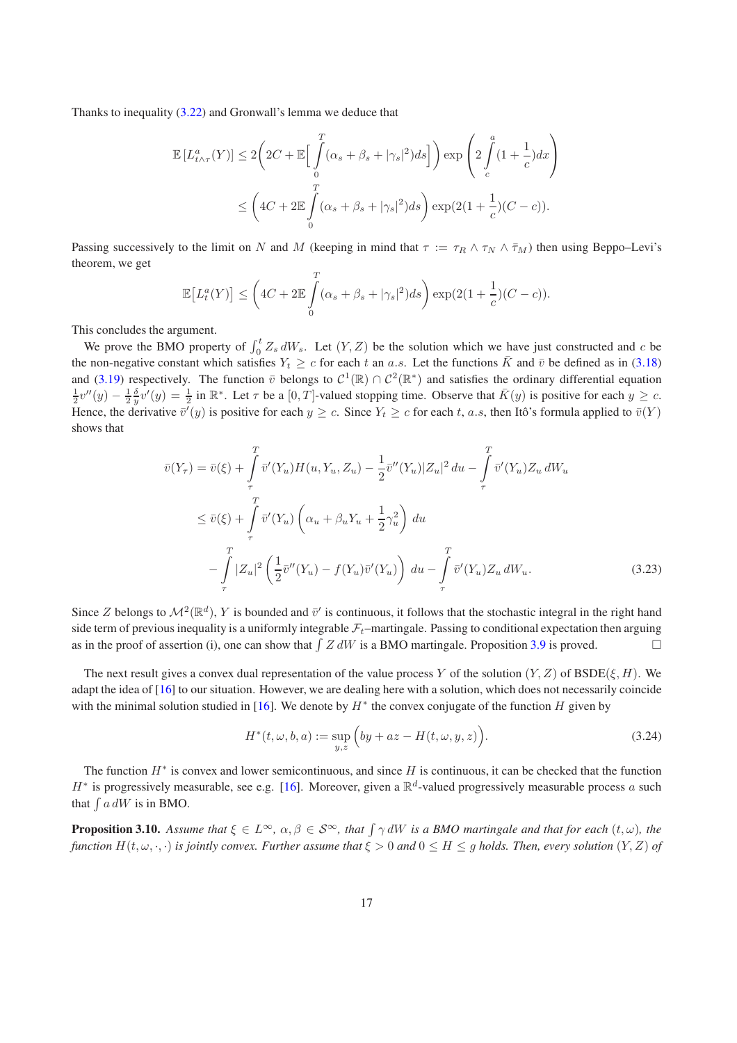Thanks to inequality [\(3.22\)](#page-15-1) and Gronwall's lemma we deduce that

$$
\mathbb{E}\left[L_{t\wedge\tau}^{a}(Y)\right] \leq 2\left(2C + \mathbb{E}\left[\int_{0}^{T} (\alpha_{s} + \beta_{s} + |\gamma_{s}|^{2})ds\right]\right) \exp\left(2\int_{c}^{a} (1 + \frac{1}{c})dx\right)
$$

$$
\leq \left(4C + 2\mathbb{E}\int_{0}^{T} (\alpha_{s} + \beta_{s} + |\gamma_{s}|^{2})ds\right) \exp(2(1 + \frac{1}{c})(C - c)).
$$

Passing successively to the limit on N and M (keeping in mind that  $\tau := \tau_R \wedge \tau_N \wedge \bar{\tau}_M$ ) then using Beppo–Levi's theorem, we get

$$
\mathbb{E}\big[L_t^a(Y)\big] \leq \left(4C + 2\mathbb{E}\int\limits_0^T (\alpha_s + \beta_s + |\gamma_s|^2)ds\right) \exp(2(1+\frac{1}{c})(C-c)).
$$

This concludes the argument.

We prove the BMO property of  $\int_0^t Z_s dW_s$ . Let  $(Y, Z)$  be the solution which we have just constructed and c be the non-negative constant which satisfies  $Y_t \geq c$  for each t an a.s. Let the functions  $\bar{K}$  and  $\bar{v}$  be defined as in [\(3.18\)](#page-14-1) and [\(3.19\)](#page-14-2) respectively. The function  $\bar{v}$  belongs to  $C^1(\mathbb{R}) \cap C^2(\mathbb{R}^*)$  and satisfies the ordinary differential equation  $\frac{1}{2}v''(y) - \frac{1}{2}\frac{\delta}{y}v'(y) = \frac{1}{2}$  in  $\mathbb{R}^*$ . Let  $\tau$  be a  $[0, T]$ -valued stopping time. Observe that  $\bar{K}(y)$  is positive for each  $y \ge c$ . Hence, the derivative  $\bar{v}'(y)$  is positive for each  $y \ge c$ . Since  $Y_t \ge c$  for each t, a.s, then Itô's formula applied to  $\bar{v}(Y)$ shows that

$$
\bar{v}(Y_{\tau}) = \bar{v}(\xi) + \int_{\tau}^{T} \bar{v}'(Y_{u}) H(u, Y_{u}, Z_{u}) - \frac{1}{2} \bar{v}''(Y_{u}) |Z_{u}|^{2} du - \int_{\tau}^{T} \bar{v}'(Y_{u}) Z_{u} dW_{u}
$$
\n
$$
\leq \bar{v}(\xi) + \int_{\tau}^{T} \bar{v}'(Y_{u}) \left( \alpha_{u} + \beta_{u} Y_{u} + \frac{1}{2} \gamma_{u}^{2} \right) du
$$
\n
$$
- \int_{\tau}^{T} |Z_{u}|^{2} \left( \frac{1}{2} \bar{v}''(Y_{u}) - f(Y_{u}) \bar{v}'(Y_{u}) \right) du - \int_{\tau}^{T} \bar{v}'(Y_{u}) Z_{u} dW_{u}. \qquad (3.23)
$$

Since Z belongs to  $\mathcal{M}^2(\mathbb{R}^d)$ , Y is bounded and  $\bar{v}'$  is continuous, it follows that the stochastic integral in the right hand side term of previous inequality is a uniformly integrable  $\mathcal{F}_t$ –martingale. Passing to conditional expectation then arguing as in the proof of assertion (i), one can show that  $\int Z dW$  is a BMO martingale. Proposition [3.9](#page-13-0) is proved.

The next result gives a convex dual representation of the value process Y of the solution  $(Y, Z)$  of BSDE( $\xi, H$ ). We adapt the idea of [\[16\]](#page-33-6) to our situation. However, we are dealing here with a solution, which does not necessarily coincide with the minimal solution studied in [\[16\]](#page-33-6). We denote by  $H^*$  the convex conjugate of the function H given by

<span id="page-16-1"></span>
$$
H^*(t, \omega, b, a) := \sup_{y,z} \Big( by + az - H(t, \omega, y, z) \Big). \tag{3.24}
$$

The function  $H^*$  is convex and lower semicontinuous, and since H is continuous, it can be checked that the function  $H^*$  is progressively measurable, see e.g. [\[16](#page-33-6)]. Moreover, given a  $\mathbb{R}^d$ -valued progressively measurable process a such that  $\int a dW$  is in BMO.

<span id="page-16-0"></span>**Proposition 3.10.** Assume that  $\xi \in L^{\infty}$ ,  $\alpha, \beta \in S^{\infty}$ , that  $\int \gamma dW$  is a BMO martingale and that for each  $(t, \omega)$ , the *function*  $H(t, \omega, \cdot, \cdot)$  *is jointly convex. Further assume that*  $\xi > 0$  *and*  $0 \le H \le g$  *holds. Then, every solution*  $(Y, Z)$  *of*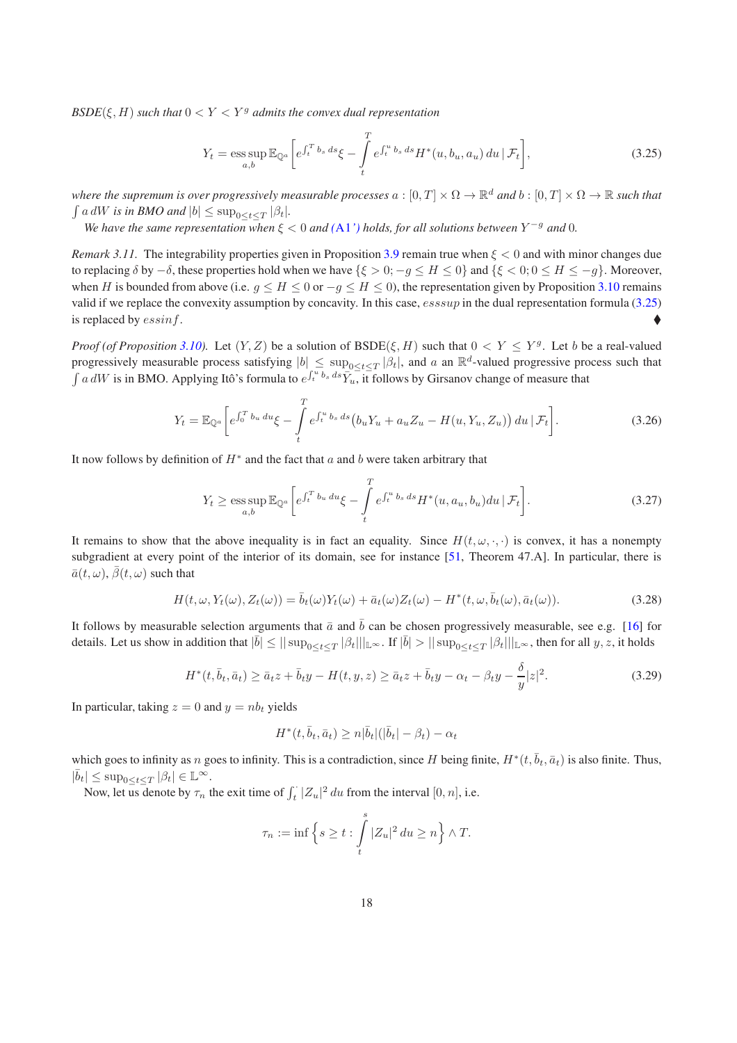$BSDE(\xi, H)$  *such that*  $0 < Y < Y<sup>g</sup>$  *admits the convex dual representation* 

<span id="page-17-0"></span>
$$
Y_t = \underset{a,b}{\text{ess sup}} \mathbb{E}_{\mathbb{Q}^a} \bigg[ e^{\int_t^T b_s \, ds} \xi - \int_t^T e^{\int_t^u b_s \, ds} H^*(u, b_u, a_u) \, du \, | \, \mathcal{F}_t \bigg],\tag{3.25}
$$

where the supremum is over progressively measurable processes  $a:[0,T]\times\Omega\to\R^d$  and  $b:[0,T]\times\Omega\to\R$  such that  $\int a dW$  *is in BMO and*  $|b| \le \sup_{0 \le t \le T} |\beta_t|$ *.* 

*We have the same representation when*  $\xi < 0$  *and*  $(A1')$  $(A1')$  $(A1')$  *holds, for all solutions between*  $Y^{-g}$  *and* 0*.* 

*Remark 3.11.* The integrability properties given in Proposition [3.9](#page-13-0) remain true when  $\xi < 0$  and with minor changes due to replacing δ by −δ, these properties hold when we have { $ξ > 0$ ; −g ≤ H ≤ 0} and { $ξ < 0$ ; 0 ≤ H ≤ −g}. Moreover, when H is bounded from above (i.e.  $g \le H \le 0$  or  $-g \le H \le 0$ ), the representation given by Proposition [3.10](#page-16-0) remains valid if we replace the convexity assumption by concavity. In this case,  $esssup$  in the dual representation formula [\(3.25\)](#page-17-0) is replaced by essinf.

*Proof (of Proposition* [3.10\)](#page-16-0). Let  $(Y, Z)$  be a solution of  $BSDE(\xi, H)$  such that  $0 < Y \leq Y^g$ . Let b be a real-valued progressively measurable process satisfying  $|b| \le \sup_{0 \le t \le T} |\beta_t|$ , and a an  $\mathbb{R}^d$ -valued progressive process such that  $\int a dW$  is in BMO. Applying Itô's formula to  $e^{\int_t^u b_s ds} \overline{Y}_u$ , it follows by Girsanov change of measure that

$$
Y_t = \mathbb{E}_{\mathbb{Q}^a} \left[ e^{\int_0^T b_u \, du} \xi - \int_t^T e^{\int_t^u b_s \, ds} \left( b_u Y_u + a_u Z_u - H(u, Y_u, Z_u) \right) du \, | \, \mathcal{F}_t \right]. \tag{3.26}
$$

It now follows by definition of  $H^*$  and the fact that  $a$  and  $b$  were taken arbitrary that

<span id="page-17-2"></span>
$$
Y_t \ge \operatorname*{ess\,sup}_{a,b} \mathbb{E}_{\mathbb{Q}^a} \bigg[ e^{\int_t^T b_u du} \xi - \int_t^T e^{\int_t^u b_s ds} H^*(u, a_u, b_u) du \, | \, \mathcal{F}_t \bigg]. \tag{3.27}
$$

It remains to show that the above inequality is in fact an equality. Since  $H(t, \omega, \cdot, \cdot)$  is convex, it has a nonempty subgradient at every point of the interior of its domain, see for instance [\[51](#page-35-2), Theorem 47.A]. In particular, there is  $\bar{a}(t, \omega)$ ,  $\bar{\beta}(t, \omega)$  such that

<span id="page-17-1"></span>
$$
H(t,\omega,Y_t(\omega),Z_t(\omega)) = \bar{b}_t(\omega)Y_t(\omega) + \bar{a}_t(\omega)Z_t(\omega) - H^*(t,\omega,\bar{b}_t(\omega),\bar{a}_t(\omega)).
$$
\n(3.28)

It follows by measurable selection arguments that  $\bar{a}$  and  $\bar{b}$  can be chosen progressively measurable, see e.g. [\[16\]](#page-33-6) for details. Let us show in addition that  $|\bar{b}| \le ||\sup_{0 \le t \le T} |\beta_t|||_{\mathbb{L}^{\infty}}$ . If  $|\bar{b}| > ||\sup_{0 \le t \le T} |\beta_t|||_{\mathbb{L}^{\infty}}$ , then for all  $y, z$ , it holds

$$
H^*(t, \bar{b}_t, \bar{a}_t) \ge \bar{a}_t z + \bar{b}_t y - H(t, y, z) \ge \bar{a}_t z + \bar{b}_t y - \alpha_t - \beta_t y - \frac{\delta}{y} |z|^2.
$$
\n
$$
(3.29)
$$

In particular, taking  $z = 0$  and  $y = nb$  yields

<span id="page-17-3"></span>
$$
H^*(t, \bar{b}_t, \bar{a}_t) \ge n|\bar{b}_t|(|\bar{b}_t| - \beta_t) - \alpha_t
$$

which goes to infinity as n goes to infinity. This is a contradiction, since H being finite,  $H^*(t, \bar{b}_t, \bar{a}_t)$  is also finite. Thus,  $|\bar{b}_t| \leq \sup_{0 \leq t \leq T} |\beta_t| \in \mathbb{L}^{\infty}$ .

Now, let us denote by  $\tau_n$  the exit time of  $\int_t^{\cdot} |Z_u|^2 du$  from the interval  $[0, n]$ , i.e.

$$
\tau_n := \inf \left\{ s \ge t : \int\limits_t^s |Z_u|^2 \, du \ge n \right\} \wedge T.
$$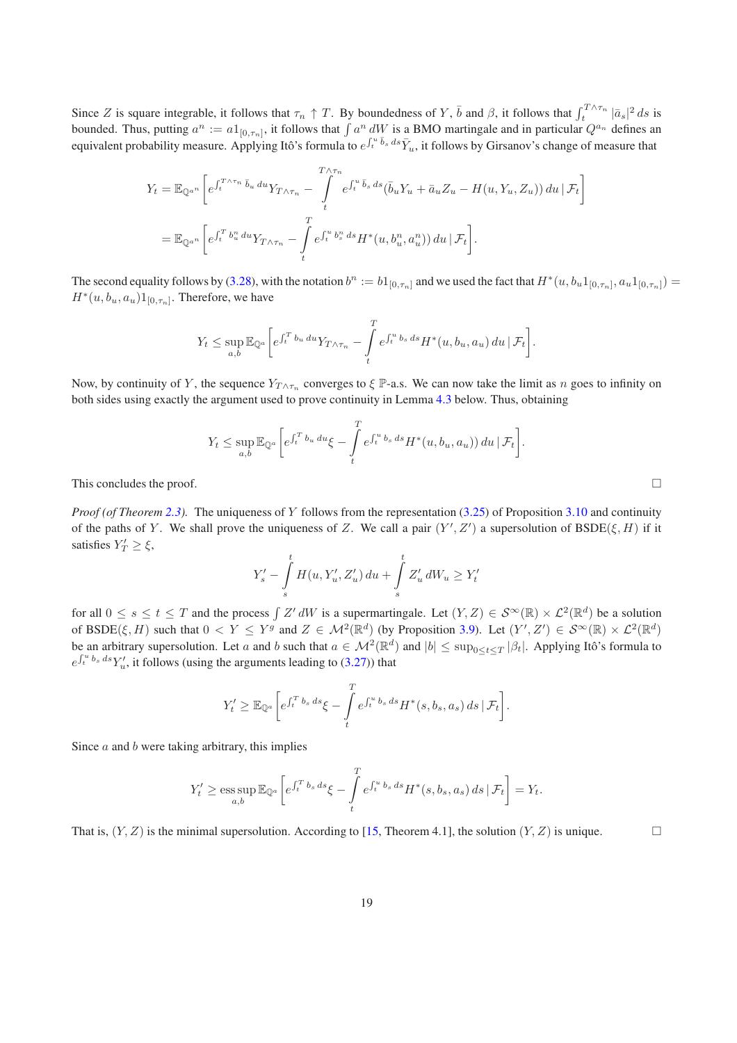Since Z is square integrable, it follows that  $\tau_n \uparrow T$ . By boundedness of Y,  $\bar{b}$  and  $\beta$ , it follows that  $\int_t^{T \wedge \tau_n} |\bar{a}_s|^2 ds$  is bounded. Thus, putting  $a^n := a1_{[0,\tau_n]}$ , it follows that  $\int a^n dW$  is a BMO martingale and in particular  $Q^{a_n}$  defines an equivalent probability measure. Applying Itô's formula to  $e^{\int_t^u \bar{b}_s ds}\bar{Y}_u$ , it follows by Girsanov's change of measure that

$$
Y_t = \mathbb{E}_{\mathbb{Q}^{a^n}} \left[ e^{\int_t^{T \wedge \tau_n} \bar{b}_u \, du} Y_{T \wedge \tau_n} - \int_t^{T \wedge \tau_n} e^{\int_t^u \bar{b}_s \, ds} (\bar{b}_u Y_u + \bar{a}_u Z_u - H(u, Y_u, Z_u)) \, du \, | \, \mathcal{F}_t \right]
$$
  
= 
$$
\mathbb{E}_{\mathbb{Q}^{a^n}} \left[ e^{\int_t^T b_u^u \, du} Y_{T \wedge \tau_n} - \int_t^T e^{\int_t^u b_s^u \, ds} H^*(u, b_u^n, a_u^n) \right] du \, | \, \mathcal{F}_t \right].
$$

The second equality follows by [\(3.28\)](#page-17-1), with the notation  $b^n := b1_{[0,\tau_n]}$  and we used the fact that  $H^*(u, b_u1_{[0,\tau_n]}, a_u1_{[0,\tau_n]}) =$  $H^*(u, b_u, a_u)1_{[0, \tau_n]}$ . Therefore, we have

$$
Y_t \leq \sup_{a,b} \mathbb{E}_{\mathbb{Q}^a} \bigg[ e^{\int_t^T b_u du} Y_{T \wedge \tau_n} - \int_t^T e^{\int_t^u b_s ds} H^*(u, b_u, a_u) du \, | \, \mathcal{F}_t \bigg].
$$

Now, by continuity of Y, the sequence  $Y_{T\wedge\tau_n}$  converges to  $\xi$  P-a.s. We can now take the limit as n goes to infinity on both sides using exactly the argument used to prove continuity in Lemma [4.3](#page-20-0) below. Thus, obtaining

$$
Y_t \leq \sup_{a,b} \mathbb{E}_{\mathbb{Q}^a} \bigg[ e^{\int_t^T b_u du} \xi - \int_t^T e^{\int_t^u b_s ds} H^*(u, b_u, a_u) du \, | \, \mathcal{F}_t \bigg].
$$

This concludes the proof.  $\Box$ 

*Proof (of Theorem [2.3\)](#page-3-7).* The uniqueness of Y follows from the representation [\(3.25\)](#page-17-0) of Proposition [3.10](#page-16-0) and continuity of the paths of Y. We shall prove the uniqueness of Z. We call a pair  $(Y', Z')$  a supersolution of  $BSDE(\xi, H)$  if it satisfies  $Y'_T \geq \xi$ ,

$$
Y'_{s} - \int_{s}^{t} H(u, Y'_{u}, Z'_{u}) du + \int_{s}^{t} Z'_{u} dW_{u} \ge Y'_{t}
$$

for all  $0 \le s \le t \le T$  and the process  $\int Z' dW$  is a supermartingale. Let  $(Y, Z) \in \mathcal{S}^{\infty}(\mathbb{R}) \times \mathcal{L}^{2}(\mathbb{R}^{d})$  be a solution of BSDE $(\xi, H)$  such that  $0 < Y \leq Y^g$  and  $Z \in \mathcal{M}^2(\mathbb{R}^d)$  (by Proposition [3.9\)](#page-13-0). Let  $(Y', Z') \in \mathcal{S}^{\infty}(\mathbb{R}) \times \mathcal{L}^2(\mathbb{R}^d)$ be an arbitrary supersolution. Let a and b such that  $a \in M^2(\mathbb{R}^d)$  and  $|b| \leq \sup_{0 \leq t \leq T} |\beta_t|$ . Applying Itô's formula to  $e^{\int_t^u b_s ds} Y'_u$ , it follows (using the arguments leading to [\(3.27\)](#page-17-2)) that

$$
Y'_t \geq \mathbb{E}_{\mathbb{Q}^a} \bigg[ e^{\int_t^T b_s ds} \xi - \int_t^T e^{\int_t^u b_s ds} H^*(s, b_s, a_s) ds \, | \, \mathcal{F}_t \bigg].
$$

Since  $a$  and  $b$  were taking arbitrary, this implies

$$
Y'_t \ge \operatorname*{ess\,sup}_{a,b} \mathbb{E}_{\mathbb{Q}^a} \bigg[ e^{\int_t^T b_s ds} \xi - \int_t^T e^{\int_t^u b_s ds} H^*(s, b_s, a_s) ds \, | \, \mathcal{F}_t \bigg] = Y_t.
$$

That is,  $(Y, Z)$  is the minimal supersolution. According to [\[15,](#page-33-10) Theorem 4.1], the solution  $(Y, Z)$  is unique.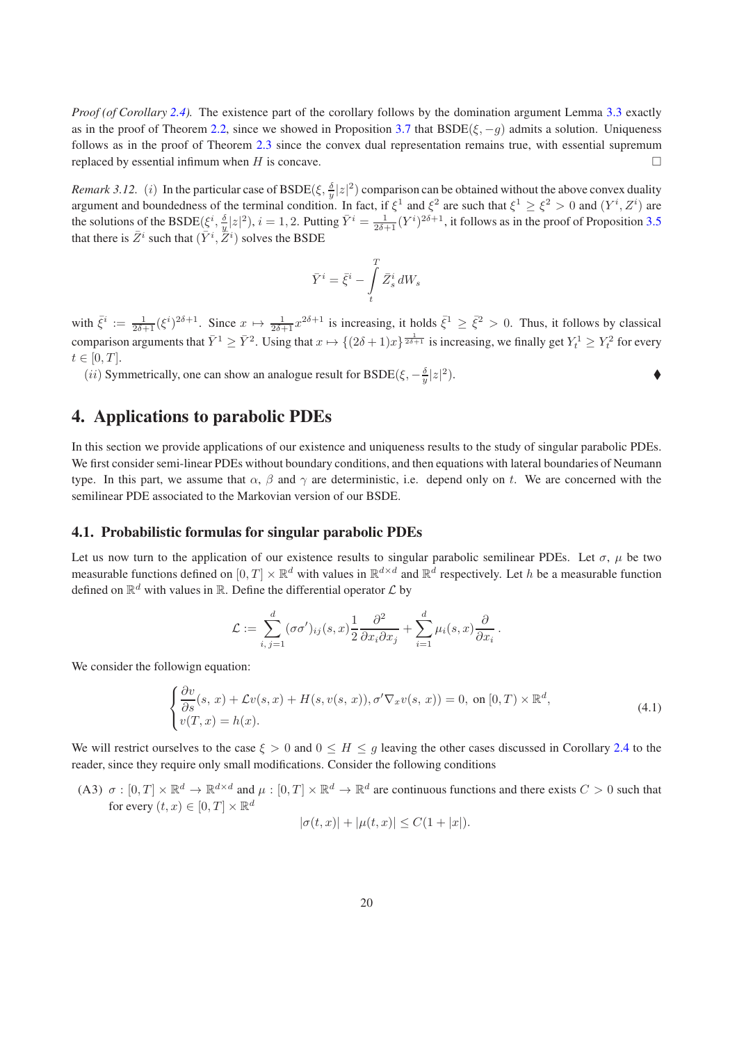*Proof (of Corollary [2.4\)](#page-4-1).* The existence part of the corollary follows by the domination argument Lemma [3.3](#page-6-1) exactly as in the proof of Theorem [2.2,](#page-3-3) since we showed in Proposition [3.7](#page-11-0) that  $BSDE(\xi, -g)$  admits a solution. Uniqueness follows as in the proof of Theorem [2.3](#page-3-7) since the convex dual representation remains true, with essential supremum replaced by essential infimum when H is concave.  $\square$ 

*Remark 3.12.* (*i*) In the particular case of BSDE( $\xi$ ,  $\frac{\delta}{\nu}|z|^2$ ) comparison can be obtained without the above convex duality argument and boundedness of the terminal condition. In fact, if  $\xi^1$  and  $\xi^2$  are such that  $\xi^1 \ge \xi^2 > 0$  and  $(Y^i, Z^i)$  are<br>argument and boundedness of the terminal condition. In fact, if  $\xi^1$  and  $\xi^2$  are such the solutions of the BSDE( $\xi^i$ ,  $\frac{\delta}{y} |z|^2$ ),  $i = 1, 2$ . Putting  $\overline{Y}^i = \frac{1}{2\delta+1} (Y^i)^{2\delta+1}$ , it follows as in the proof of Proposition [3.5](#page-9-2) that there is  $\bar{Z}^i$  such that  $(\bar{Y}^i, \bar{Z}^i)$  solves the BSDE

$$
\bar{Y}^i = \bar{\xi}^i - \int\limits_t^T \bar{Z}^i_s \, dW_s
$$

with  $\bar{\xi}^i := \frac{1}{2\delta+1} (\xi^i)^{2\delta+1}$ . Since  $x \mapsto \frac{1}{2\delta+1} x^{2\delta+1}$  is increasing, it holds  $\bar{\xi}^1 \geq \bar{\xi}^2 > 0$ . Thus, it follows by classical comparison arguments that  $\bar{Y}^1 \ge \bar{Y}^2$ . Using that  $x \mapsto \{(2\delta+1)x\}^{\frac{1}{2\delta+1}}$  is increasing, we finally get  $Y_t^1 \ge Y_t^2$  for every  $t \in [0, T]$ .

(*ii*) Symmetrically, one can show an analogue result for BSDE( $\xi$ ,  $-\frac{\delta}{y}|z|^2$  $\bullet$ 

# <span id="page-19-0"></span>4. Applications to parabolic PDEs

In this section we provide applications of our existence and uniqueness results to the study of singular parabolic PDEs. We first consider semi-linear PDEs without boundary conditions, and then equations with lateral boundaries of Neumann type. In this part, we assume that  $\alpha$ ,  $\beta$  and  $\gamma$  are deterministic, i.e. depend only on t. We are concerned with the semilinear PDE associated to the Markovian version of our BSDE.

#### <span id="page-19-1"></span>4.1. Probabilistic formulas for singular parabolic PDEs

Let us now turn to the application of our existence results to singular parabolic semilinear PDEs. Let  $\sigma$ ,  $\mu$  be two measurable functions defined on  $[0,T] \times \mathbb{R}^d$  with values in  $\mathbb{R}^{d \times d}$  and  $\mathbb{R}^d$  respectively. Let h be a measurable function defined on  $\mathbb{R}^d$  with values in  $\mathbb{R}$ . Define the differential operator  $\mathcal L$  by

<span id="page-19-3"></span>
$$
\mathcal{L} := \sum_{i, j=1}^d (\sigma \sigma')_{ij}(s, x) \frac{1}{2} \frac{\partial^2}{\partial x_i \partial x_j} + \sum_{i=1}^d \mu_i(s, x) \frac{\partial}{\partial x_i}.
$$

We consider the followign equation:

$$
\begin{cases}\n\frac{\partial v}{\partial s}(s, x) + \mathcal{L}v(s, x) + H(s, v(s, x)), \sigma' \nabla_x v(s, x)) = 0, \text{ on } [0, T) \times \mathbb{R}^d, \\
v(T, x) = h(x).\n\end{cases}
$$
\n(4.1)

We will restrict ourselves to the case  $\xi > 0$  and  $0 \leq H \leq g$  leaving the other cases discussed in Corollary [2.4](#page-4-1) to the reader, since they require only small modifications. Consider the following conditions

<span id="page-19-2"></span>(A3)  $\sigma : [0,T] \times \mathbb{R}^d \to \mathbb{R}^{d \times d}$  and  $\mu : [0,T] \times \mathbb{R}^d \to \mathbb{R}^d$  are continuous functions and there exists  $C > 0$  such that for every  $(t, x) \in [0, T] \times \mathbb{R}^d$ 

$$
|\sigma(t, x)| + |\mu(t, x)| \le C(1 + |x|).
$$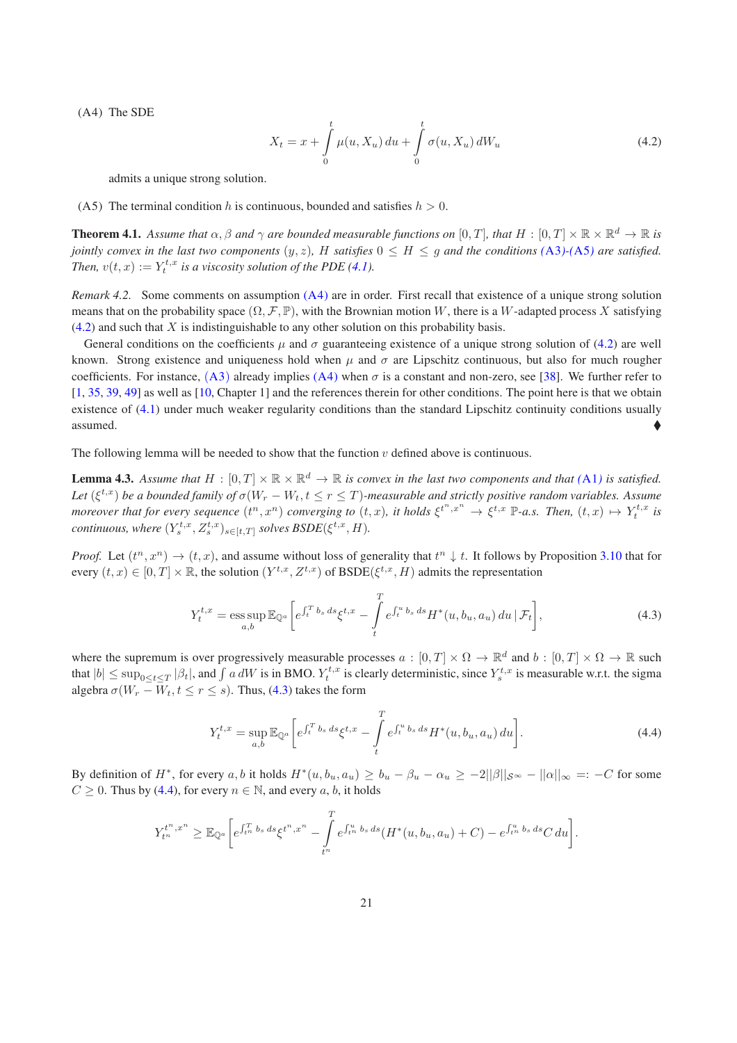<span id="page-20-2"></span>(A4) The SDE

$$
X_t = x + \int_{0}^{t} \mu(u, X_u) \, du + \int_{0}^{t} \sigma(u, X_u) \, dW_u \tag{4.2}
$$

admits a unique strong solution.

<span id="page-20-5"></span><span id="page-20-1"></span>(A5) The terminal condition h is continuous, bounded and satisfies  $h > 0$ .

**Theorem 4.1.** Assume that  $\alpha, \beta$  and  $\gamma$  are bounded measurable functions on  $[0,T]$ , that  $H : [0,T] \times \mathbb{R} \times \mathbb{R}^d \to \mathbb{R}$  is *jointly convex in the last two components*  $(y, z)$ , H *satisfies*  $0 \leq H \leq g$  *and the conditions*  $(A3)$  $(A3)$  $(A3)$ - $(A5)$  $(A5)$  $(A5)$  *are satisfied. Then,*  $v(t, x) := Y_t^{t, x}$  *is a viscosity solution of the PDE* [\(4.1\)](#page-19-3)*.* 

*Remark 4.2.* Some comments on assumption [\(A4\)](#page-20-2) are in order. First recall that existence of a unique strong solution means that on the probability space  $(\Omega, \mathcal{F}, \mathbb{P})$ , with the Brownian motion W, there is a W-adapted process X satisfying  $(4.2)$  and such that X is indistinguishable to any other solution on this probability basis.

General conditions on the coefficients  $\mu$  and  $\sigma$  guaranteeing existence of a unique strong solution of [\(4.2\)](#page-20-2) are well known. Strong existence and uniqueness hold when  $\mu$  and  $\sigma$  are Lipschitz continuous, but also for much rougher coefficients. For instance,  $(A3)$  $(A3)$  $(A3)$  already implies  $(A4)$  when  $\sigma$  is a constant and non-zero, see [\[38\]](#page-34-16). We further refer to [\[1](#page-33-11), [35](#page-34-17), [39,](#page-34-18) [49\]](#page-35-3) as well as [\[10,](#page-33-12) Chapter 1] and the references therein for other conditions. The point here is that we obtain existence of [\(4.1\)](#page-19-3) under much weaker regularity conditions than the standard Lipschitz continuity conditions usually  $\triangle$  assumed.

The following lemma will be needed to show that the function  $v$  defined above is continuous.

**Lemma 4.3.** Assume that  $H : [0,T] \times \mathbb{R} \times \mathbb{R}^d \to \mathbb{R}$  is convex in the last two components and that ([A1](#page-3-0)) is satisfied. Let  $(\xi^{t,x})$  be a bounded family of  $\sigma(W_r-W_t, t\leq r\leq T)$ -measurable and strictly positive random variables. Assume *moreover that for every sequence*  $(t^n, x^n)$  *converging to*  $(t, x)$ *, it holds*  $\xi^{t^n, x^n} \to \xi^{t, x} \mathbb{P}$ -a.s. Then,  $(t, x) \mapsto Y_t^{t, x}$  is  $\textit{continuous}, \textit{where } (Y^{t,x}_s, Z^{t,x}_s)_{s \in [t,T]} \textit{ solves } \textit{BSDE}(\xi^{t,x}, H).$ 

*Proof.* Let  $(t^n, x^n) \to (t, x)$ , and assume without loss of generality that  $t^n \downarrow t$ . It follows by Proposition [3.10](#page-16-0) that for every  $(t, x) \in [0, T] \times \mathbb{R}$ , the solution  $(Y^{t,x}, Z^{t,x})$  of  $\text{BSDE}(\xi^{t,x}, H)$  admits the representation

<span id="page-20-3"></span><span id="page-20-0"></span>
$$
Y_t^{t,x} = \operatorname*{ess\,sup}_{a,b} \mathbb{E}_{\mathbb{Q}^a} \left[ e^{\int_t^T b_s ds} \xi^{t,x} - \int_t^T e^{\int_t^u b_s ds} H^*(u, b_u, a_u) du \, | \, \mathcal{F}_t \right],\tag{4.3}
$$

where the supremum is over progressively measurable processes  $a:[0,T]\times\Omega\to\mathbb{R}^d$  and  $b:[0,T]\times\Omega\to\mathbb{R}$  such that  $|b| \le \sup_{0 \le t \le T} |\beta_t|$ , and  $\int a dW$  is in BMO.  $Y_t^{t,x}$  is clearly deterministic, since  $Y_s^{t,x}$  is measurable w.r.t. the sigma algebra  $\sigma(W_r - W_t, t \leq r \leq s)$ . Thus, [\(4.3\)](#page-20-3) takes the form

<span id="page-20-4"></span>
$$
Y_t^{t,x} = \sup_{a,b} \mathbb{E}_{\mathbb{Q}^a} \left[ e^{\int_t^T b_s \, ds} \xi^{t,x} - \int_t^T e^{\int_t^u b_s \, ds} H^*(u, b_u, a_u) \, du \right]. \tag{4.4}
$$

By definition of  $H^*$ , for every  $a, b$  it holds  $H^*(u, b_u, a_u) \ge b_u - \beta_u - \alpha_u \ge -2||\beta||_{\mathcal{S}^{\infty}} - ||\alpha||_{\infty} =: -C$  for some  $C \ge 0$ . Thus by [\(4.4\)](#page-20-4), for every  $n \in \mathbb{N}$ , and every a, b, it holds

$$
Y_{t^n}^{t^n, x^n} \geq \mathbb{E}_{\mathbb{Q}^a} \bigg[ e^{\int_{t^n}^T b_s ds} \xi^{t^n, x^n} - \int_{t^n}^T e^{\int_{t^n}^u b_s ds} (H^*(u, b_u, a_u) + C) - e^{\int_{t^n}^u b_s ds} C du \bigg].
$$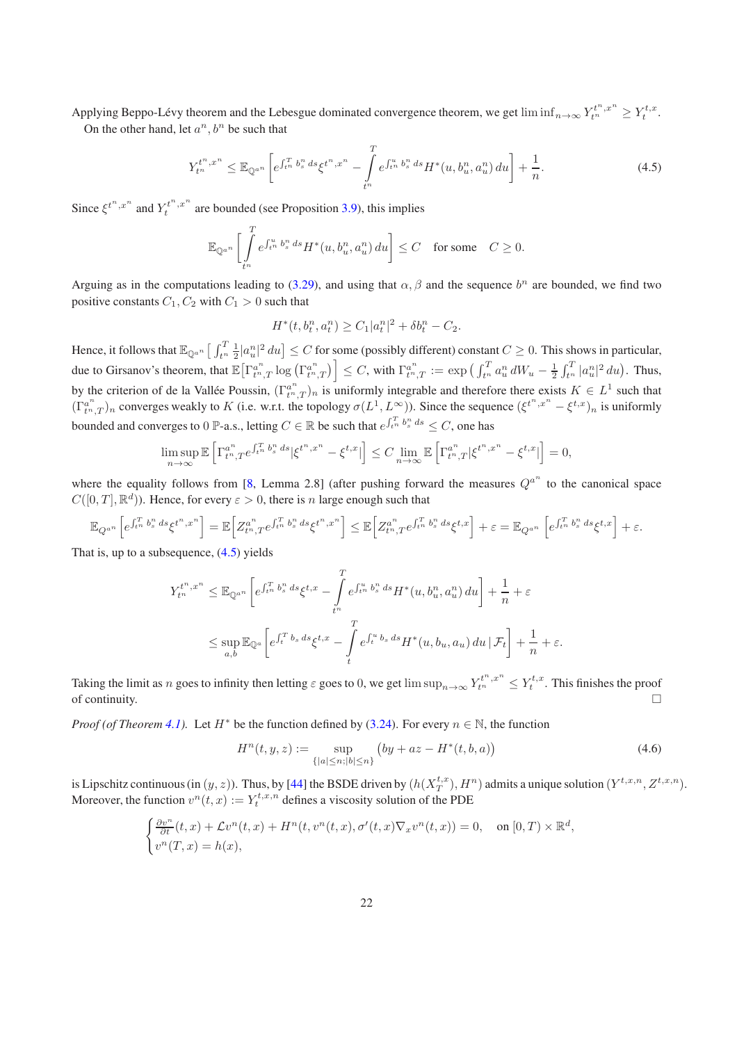Applying Beppo-Lévy theorem and the Lebesgue dominated convergence theorem, we get  $\liminf_{n\to\infty} Y^{t^n,x^n}_{t^n} \ge Y^{t,x}_t$ . On the other hand, let  $a^n, b^n$  be such that

<span id="page-21-0"></span>
$$
Y_{t^n}^{t^n, x^n} \leq \mathbb{E}_{\mathbb{Q}^{a^n}} \left[ e^{\int_{t^n}^T b_s^n ds} \xi^{t^n, x^n} - \int_{t^n}^T e^{\int_{t^n}^u b_s^n ds} H^*(u, b_u^n, a_u^n) du \right] + \frac{1}{n}.
$$
 (4.5)

Since  $\xi^{t^n, x^n}$  and  $Y_t^{t^n, x^n}$  are bounded (see Proposition [3.9\)](#page-13-0), this implies

$$
\mathbb{E}_{\mathbb{Q}^{a^n}}\bigg[\int\limits_{t^n}^T e^{\int_{t^n}^u b^n_s\,ds}H^*(u,b^n_u,a^n_u)\,du\bigg]\leq C\quad\text{for some}\quad C\geq 0.
$$

Arguing as in the computations leading to [\(3.29\)](#page-17-3), and using that  $\alpha$ ,  $\beta$  and the sequence  $b^n$  are bounded, we find two positive constants  $C_1$ ,  $C_2$  with  $C_1 > 0$  such that

$$
H^*(t, b_t^n, a_t^n) \ge C_1 |a_t^n|^2 + \delta b_t^n - C_2.
$$

Hence, it follows that  $\mathbb{E}_{\mathbb{Q}^{a^n}}\left[\int_{t^n}^T \frac{1}{2} |a_u^n|^2 du\right] \leq C$  for some (possibly different) constant  $C \geq 0$ . This shows in particular, due to Girsanov's theorem, that  $\mathbb{E}\left[\Gamma^{a^n}_{t^n,T}\log\left(\Gamma^{a^n}_{t^n,T}\right)\right] \leq C$ , with  $\Gamma^{a^n}_{t^n,T} := \exp\left(\int_{t^n}^T a^n_u dW_u - \frac{1}{2} \int_{t^n}^T |a^n_u|^2 du\right)$ . Thus, by the criterion of de la Vallée Poussin,  $(\Gamma_{t^n,T}^{a^n})_n$  is uniformly integrable and therefore there exists  $K \in L^1$  such that  $(\Gamma_{t^n,T}^{a^n})_n$  converges weakly to K (i.e. w.r.t. the topology  $\sigma(L^1,L^{\infty})$ ). Since the sequence  $(\xi^{t^n,x^n}-\xi^{t,x})_n$  is uniformly bounded and converges to 0 P-a.s., letting  $C \in \mathbb{R}$  be such that  $e^{\int_{t^n}^T b_s^n ds} \leq C$ , one has

$$
\limsup_{n \to \infty} \mathbb{E}\left[\Gamma^{a^n}_{t^n,T} e^{\int_{t^n}^T b^n_s ds} |\xi^{t^n,x^n} - \xi^{t,x}| \right] \le C \lim_{n \to \infty} \mathbb{E}\left[\Gamma^{a^n}_{t^n,T} |\xi^{t^n,x^n} - \xi^{t,x}| \right] = 0,
$$

where the equality follows from [\[8](#page-33-13), Lemma 2.8] (after pushing forward the measures  $Q^{a^n}$  to the canonical space  $C([0,T], \mathbb{R}^d)$ ). Hence, for every  $\varepsilon > 0$ , there is n large enough such that

$$
\mathbb{E}_{Q^{a^n}}\Big[e^{\int_{t^n}^T b^n_s\,ds}\xi^{t^n,x^n}\Big]=\mathbb{E}\Big[Z^{a^n}_{t^n,T}e^{\int_{t^n}^T b^n_s\,ds}\xi^{t^n,x^n}\Big]\leq \mathbb{E}\Big[Z^{a^n}_{t^n,T}e^{\int_{t^n}^T b^n_s\,ds}\xi^{t,x}\Big]+\varepsilon=\mathbb{E}_{Q^{a^n}}\left[e^{\int_{t^n}^T b^n_s\,ds}\xi^{t,x}\right]+\varepsilon.
$$

That is, up to a subsequence,  $(4.5)$  yields

$$
Y_{t^{n}}^{t^{n},x^{n}} \leq \mathbb{E}_{\mathbb{Q}^{a^{n}}} \left[ e^{\int_{t^{n}}^{T} b_{s}^{n} ds} \xi^{t,x} - \int_{t^{n}}^{T} e^{\int_{t^{n}}^{u} b_{s}^{n} ds} H^{*}(u, b_{u}^{n}, a_{u}^{n}) du \right] + \frac{1}{n} + \varepsilon
$$
  

$$
\leq \sup_{a,b} \mathbb{E}_{\mathbb{Q}^{a}} \left[ e^{\int_{t}^{T} b_{s} ds} \xi^{t,x} - \int_{t}^{T} e^{\int_{t}^{u} b_{s} ds} H^{*}(u, b_{u}, a_{u}) du \, | \, \mathcal{F}_{t} \right] + \frac{1}{n} + \varepsilon.
$$

Taking the limit as n goes to infinity then letting  $\varepsilon$  goes to 0, we get  $\limsup_{n\to\infty} Y^{t^n,x^n}_{t^n} \leq Y^{t,x}_t$ . This finishes the proof of continuity.  $\Box$ 

*Proof (of Theorem [4.1\)](#page-20-5).* Let  $H^*$  be the function defined by [\(3.24\)](#page-16-1). For every  $n \in \mathbb{N}$ , the function

<span id="page-21-1"></span>
$$
H^{n}(t, y, z) := \sup_{\{|a| \le n; |b| \le n\}} (by + az - H^{*}(t, b, a))
$$
\n(4.6)

is Lipschitz continuous (in  $(y, z)$ ). Thus, by [\[44\]](#page-34-11) the BSDE driven by  $(h(X_T^{t,x}), H^n)$  admits a unique solution  $(Y^{t,x,n}, Z^{t,x,n})$ . S Eipsemiz commods (iii  $(y, z)$ ). Thus, by  $\left[\frac{4}{7}\right]$  are BSDE directively  $(h(X_T, t), H)$ <br>Moreover, the function  $v^n(t, x) := Y_t^{t, x, n}$  defines a viscosity solution of the PDE

$$
\begin{cases} \frac{\partial v^n}{\partial t}(t,x) + \mathcal{L}v^n(t,x) + H^n(t,v^n(t,x),\sigma'(t,x)\nabla_x v^n(t,x)) = 0, & \text{on } [0,T) \times \mathbb{R}^d, \\ v^n(T,x) = h(x), & \end{cases}
$$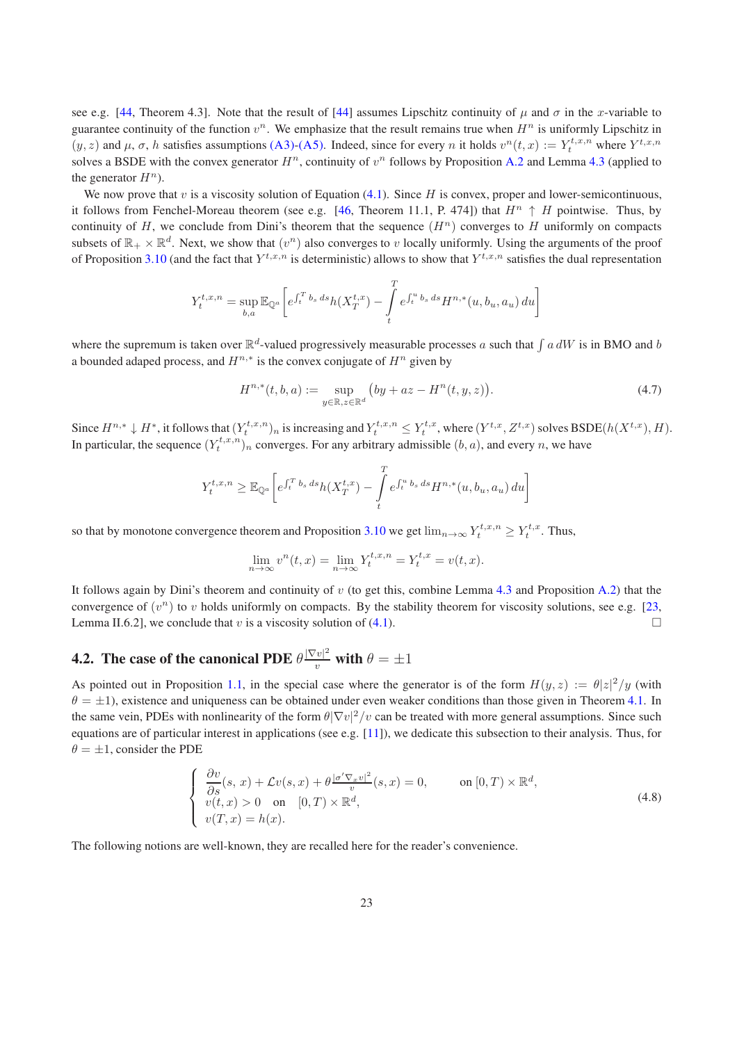see e.g. [\[44,](#page-34-11) Theorem 4.3]. Note that the result of [\[44\]](#page-34-11) assumes Lipschitz continuity of  $\mu$  and  $\sigma$  in the x-variable to guarantee continuity of the function  $v^n$ . We emphasize that the result remains true when  $H^n$  is uniformly Lipschitz in  $(y, z)$  and  $\mu$ ,  $\sigma$ , h satisfies assumptions [\(A3\)-](#page-19-2)[\(A5\).](#page-20-1) Indeed, since for every n it holds  $v^n(t, x) := Y_t^{t, x, n}$  where  $Y^{t, x, n}$ solves a BSDE with the convex generator  $H^n$ , continuity of  $v^n$  follows by Proposition [A.2](#page-32-0) and Lemma [4.3](#page-20-0) (applied to the generator  $H^n$ ).

We now prove that v is a viscosity solution of Equation  $(4.1)$ . Since H is convex, proper and lower-semicontinuous, it follows from Fenchel-Moreau theorem (see e.g. [\[46](#page-35-4), Theorem 11.1, P. 474]) that  $H^n \uparrow H$  pointwise. Thus, by continuity of H, we conclude from Dini's theorem that the sequence  $(H<sup>n</sup>)$  converges to H uniformly on compacts subsets of  $\mathbb{R}_+ \times \mathbb{R}^d$ . Next, we show that  $(v^n)$  also converges to v locally uniformly. Using the arguments of the proof of Proposition [3.10](#page-16-0) (and the fact that  $Y^{t,x,n}$  is deterministic) allows to show that  $Y^{t,x,n}$  satisfies the dual representation

$$
Y_t^{t,x,n} = \sup_{b,a} \mathbb{E}_{\mathbb{Q}^a} \bigg[ e^{\int_t^T b_s ds} h(X_T^{t,x}) - \int_t^T e^{\int_t^u b_s ds} H^{n,*}(u, b_u, a_u) du \bigg]
$$

where the supremum is taken over  $\mathbb{R}^d$ -valued progressively measurable processes a such that  $\int a dW$  is in BMO and b a bounded adaped process, and  $H^{n,*}$  is the convex conjugate of  $H^n$  given by

$$
H^{n,*}(t,b,a) := \sup_{y \in \mathbb{R}, z \in \mathbb{R}^d} (by + az - H^n(t,y,z)).
$$
\n(4.7)

Since  $H^{n,*} \downarrow H^*,$  it follows that  $(Y_t^{t,x,n})_n$  is increasing and  $Y_t^{t,x,n} \leq Y_t^{t,x}$ , where  $(Y^{t,x}, Z^{t,x})$  solves  $\text{BSDE}(h(X^{t,x}), H)$ . In particular, the sequence  $(Y_t^{t,x,n})_n$  converges. For any arbitrary admissible  $(b, a)$ , and every n, we have

$$
Y_t^{t,x,n} \geq \mathbb{E}_{\mathbb{Q}^a} \bigg[ e^{\int_t^T b_s ds} h(X_T^{t,x}) - \int_t^T e^{\int_t^u b_s ds} H^{n,*}(u, b_u, a_u) du \bigg]
$$

so that by monotone convergence theorem and Proposition [3.10](#page-16-0) we get  $\lim_{n\to\infty} Y_t^{t,x,n} \ge Y_t^{t,x}$ . Thus,

$$
\lim_{n \to \infty} v^n(t, x) = \lim_{n \to \infty} Y_t^{t, x, n} = Y_t^{t, x} = v(t, x).
$$

It follows again by Dini's theorem and continuity of v (to get this, combine Lemma [4.3](#page-20-0) and Proposition [A.2\)](#page-32-0) that the convergence of  $(v^n)$  to v holds uniformly on compacts. By the stability theorem for viscosity solutions, see e.g. [\[23,](#page-34-19) Lemma II.6.2], we conclude that v is a viscosity solution of [\(4.1\)](#page-19-3).

# **4.2.** The case of the canonical PDE  $\theta \frac{|\nabla v|^2}{v}$  with  $\theta = \pm 1$

As pointed out in Proposition [1.1,](#page-0-1) in the special case where the generator is of the form  $H(y, z) := \theta |z|^2/y$  (with  $\theta = \pm 1$ ), existence and uniqueness can be obtained under even weaker conditions than those given in Theorem [4.1.](#page-20-5) In the same vein, PDEs with nonlinearity of the form  $\theta |\nabla v|^2/v$  can be treated with more general assumptions. Since such equations are of particular interest in applications (see e.g.  $[11]$ ), we dedicate this subsection to their analysis. Thus, for  $\theta = \pm 1$ , consider the PDE

<span id="page-22-0"></span>
$$
\begin{cases}\n\frac{\partial v}{\partial s}(s, x) + \mathcal{L}v(s, x) + \theta \frac{|\sigma' \nabla_x v|^2}{v}(s, x) = 0, & \text{on } [0, T) \times \mathbb{R}^d, \\
v(t, x) > 0 & \text{on } [0, T) \times \mathbb{R}^d, \\
v(T, x) = h(x).\n\end{cases}
$$
\n(4.8)

The following notions are well-known, they are recalled here for the reader's convenience.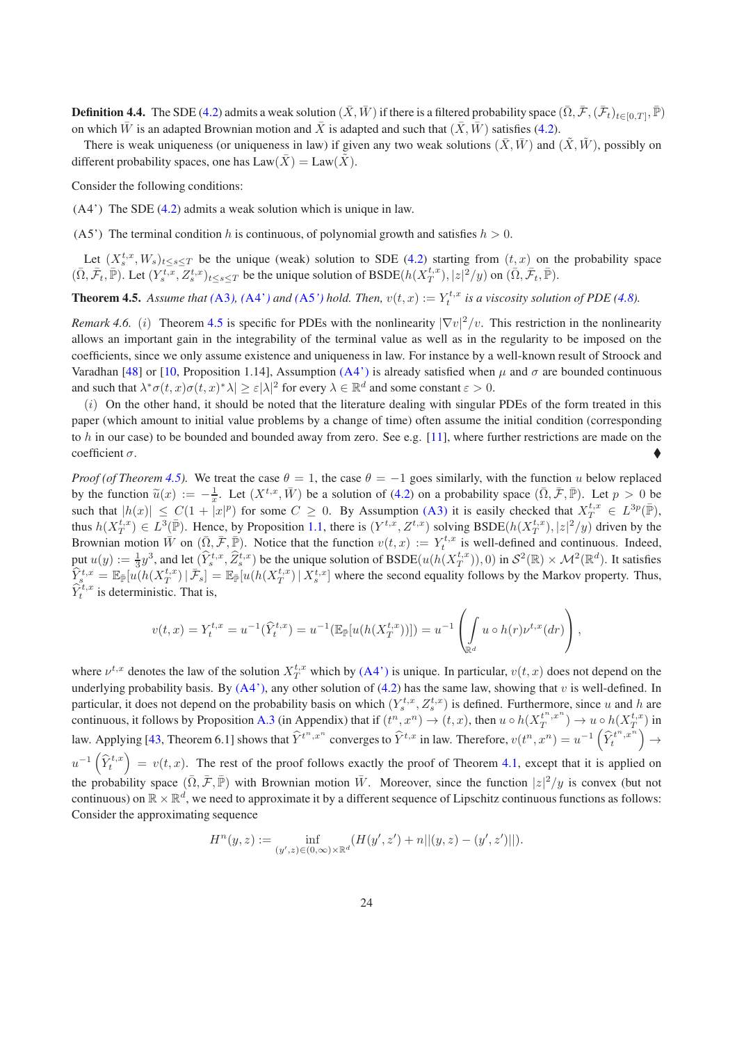**Definition 4.4.** The SDE [\(4.2\)](#page-20-2) admits a weak solution  $(\bar{X}, \bar{W})$  if there is a filtered probability space  $(\bar{\Omega}, \bar{\mathcal{F}}, (\bar{\mathcal{F}}_t)_{t\in [0,T]}, \bar{\mathbb{P}})$ on which  $\bar{W}$  is an adapted Brownian motion and  $\bar{X}$  is adapted and such that  $(\bar{X}, \bar{W})$  satisfies [\(4.2\)](#page-20-2).

There is weak uniqueness (or uniqueness in law) if given any two weak solutions  $(\bar{X}, \bar{W})$  and  $(\tilde{X}, \tilde{W})$ , possibly on different probability spaces, one has  $Law(\bar{X}) = Law(\tilde{X})$ .

<span id="page-23-2"></span>Consider the following conditions:

<span id="page-23-3"></span>(A4') The SDE [\(4.2\)](#page-20-2) admits a weak solution which is unique in law.

(A5') The terminal condition h is continuous, of polynomial growth and satisfies  $h > 0$ .

<span id="page-23-0"></span>Let  $(X_s^{t,x}, W_s)_{t\leq s\leq T}$  be the unique (weak) solution to SDE [\(4.2\)](#page-20-2) starting from  $(t, x)$  on the probability space  $(\bar{\Omega}, \bar{\mathcal{F}}_t, \bar{\mathbb{P}})$ . Let  $(Y_s^{t,x}, Z_s^{t,x})_{t \le s \le T}$  be the unique solution of BSDE $(h(X_T^{t,x}), |z|^2/y)$  on  $(\bar{\Omega}, \bar{\mathcal{F}}_t, \bar{\mathbb{P}})$ .

<span id="page-23-1"></span>**Theorem 4.5.** Assume that ([A3](#page-19-2)), ([A4'](#page-23-2)) and ([A5](#page-23-3)') hold. Then,  $v(t, x) := Y_t^{t, x}$  is a viscosity solution of PDE [\(4.8\)](#page-22-0).

*Remark 4.6.* (*i*) Theorem [4.5](#page-23-0) is specific for PDEs with the nonlinearity  $|\nabla v|^2/v$ . This restriction in the nonlinearity allows an important gain in the integrability of the terminal value as well as in the regularity to be imposed on the coefficients, since we only assume existence and uniqueness in law. For instance by a well-known result of Stroock and Varadhan [\[48\]](#page-35-5) or [\[10,](#page-33-12) Proposition 1.14], Assumption [\(A4'\)](#page-23-2) is already satisfied when  $\mu$  and  $\sigma$  are bounded continuous and such that  $\lambda^* \sigma(t, x) \sigma(t, x)^* \lambda \geq \varepsilon |\lambda|^2$  for every  $\lambda \in \mathbb{R}^d$  and some constant  $\varepsilon > 0$ .

 $(i)$  On the other hand, it should be noted that the literature dealing with singular PDEs of the form treated in this paper (which amount to initial value problems by a change of time) often assume the initial condition (corresponding to h in our case) to be bounded and bounded away from zero. See e.g. [\[11\]](#page-33-14), where further restrictions are made on the coefficient  $\sigma$ .

*Proof (of Theorem [4.5\)](#page-23-0)*. We treat the case  $\theta = 1$ , the case  $\theta = -1$  goes similarly, with the function u below replaced by the function  $\widetilde{u}(x) := -\frac{1}{x}$ . Let  $(X^{t,x}, \overline{W})$  be a solution of [\(4.2\)](#page-20-2) on a probability space  $(\overline{\Omega}, \overline{\mathcal{F}}, \overline{\mathbb{P}})$ . Let  $p > 0$  be such that  $|h(x)| \leq C(1 + \bar{x}|^p)$  for some  $C \geq 0$ . By Assumption [\(A3\)](#page-19-2) it is easily checked that  $X^{t,x}_T \in L^{3p}(\bar{\mathbb{P}})$ , thus  $h(X_T^{t,x}) \in L^3(\bar{\mathbb{P}})$ . Hence, by Proposition [1.1,](#page-0-1) there is  $(Y^{t,x}, Z^{t,x})$  solving  $\text{BSDE}(h(X_T^{t,x}), |z|^2/y)$  driven by the Brownian motion  $\bar{W}$  on  $(\bar{\Omega}, \bar{\mathcal{F}}, \bar{\mathbb{P}})$ . Notice that the function  $v(t, x) := Y_t^{t, x}$  is well-defined and continuous. Indeed, put  $u(y) := \frac{1}{3}y^3$ , and let  $(\widehat{Y}_{s}^{t,x}, \widehat{Z}_{s}^{t,x})$  be the unique solution of  $\text{BSDE}(u(h(X_T^{t,x})), 0)$  in  $\mathcal{S}^2(\mathbb{R}) \times \mathcal{M}^2(\mathbb{R}^d)$ . It satisfies  $\hat{Y}_{s}^{t,x} = \mathbb{E}_{\bar{\mathbb{P}}}[u(h(X^{t,x}_T) | \bar{\mathcal{F}}_s] = \mathbb{E}_{\bar{\mathbb{P}}}[u(h(X^{t,x}_T) | X^{t,x}_s])]$  where the second equality follows by the Markov property. Thus,  $\hat{Y}_t^{t,x}$  is deterministic. That is,

$$
v(t,x) = Y_t^{t,x} = u^{-1}(\widehat{Y}_t^{t,x}) = u^{-1}(\mathbb{E}_{\bar{\mathbb{P}}}[u(h(X_T^{t,x}))]) = u^{-1}\left(\int_{\mathbb{R}^d} u \circ h(r)\nu^{t,x}(dr)\right),
$$

where  $\nu^{t,x}$  denotes the law of the solution  $X_T^{t,x}$  which by  $(A4')$  is unique. In particular,  $v(t,x)$  does not depend on the underlying probability basis. By  $(A4')$ , any other solution of  $(4.2)$  has the same law, showing that v is well-defined. In particular, it does not depend on the probability basis on which  $(Y_s^{t,x}, Z_s^{t,x})$  is defined. Furthermore, since u and h are continuous, it follows by Proposition [A.3](#page-32-1) (in Appendix) that if  $(t^n, x^n) \to (t, x)$ , then  $u \circ h(X_T^{t^n, x^n}) \to u \circ h(X_T^{t, x})$  in law. Applying [\[43](#page-34-20), Theorem 6.1] shows that  $\hat{Y}^{t^n, x^n}$  converges to  $\hat{Y}^{t, x}$  in law. Therefore,  $v(t^n, x^n) = u^{-1} \left( \hat{Y}^{t^n, x^n}_{t, x^n} \right) \rightarrow$  $u^{-1}(\hat{Y}_{t}^{t,x}) = v(t,x)$ . The rest of the proof follows exactly the proof of Theorem [4.1,](#page-20-5) except that it is applied on the probability space  $(\bar{\Omega}, \bar{\mathcal{F}}, \bar{\mathbb{P}})$  with Brownian motion  $\bar{W}$ . Moreover, since the function  $|z|^2/y$  is convex (but not continuous) on  $\mathbb{R}\times\mathbb{R}^d$ , we need to approximate it by a different sequence of Lipschitz continuous functions as follows: Consider the approximating sequence

$$
H^n(y, z) := \inf_{(y', z) \in (0, \infty) \times \mathbb{R}^d} (H(y', z') + n || (y, z) - (y', z') ||).
$$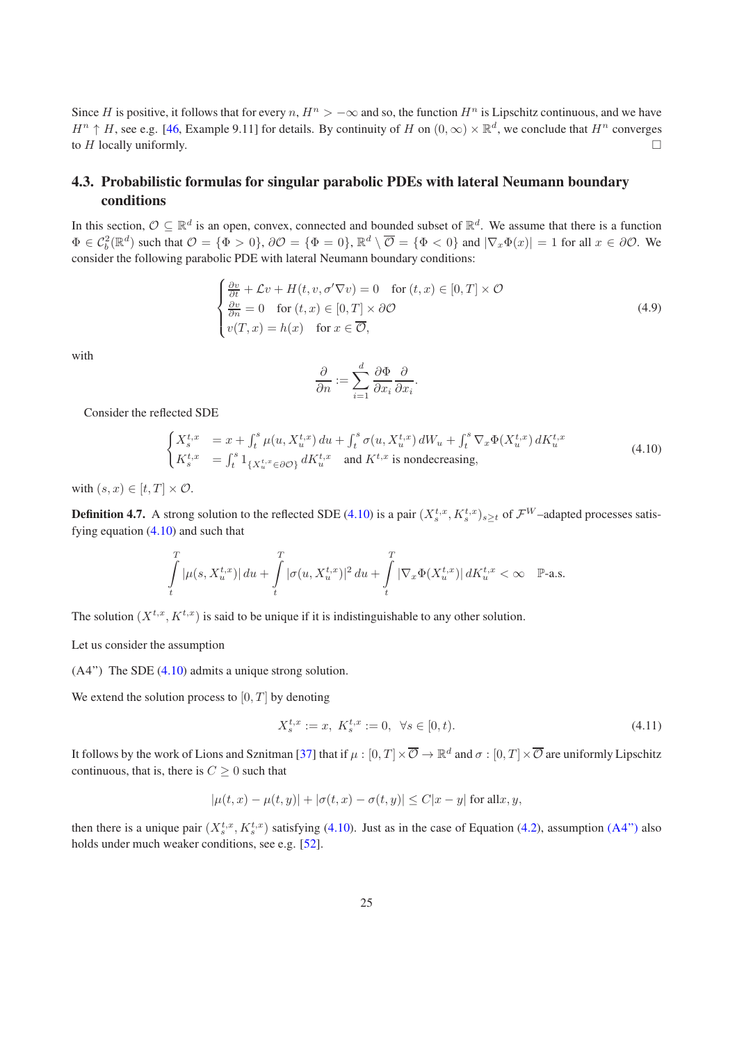Since H is positive, it follows that for every  $n$ ,  $H^n > -\infty$  and so, the function  $H^n$  is Lipschitz continuous, and we have  $H^n \uparrow H$ , see e.g. [\[46,](#page-35-4) Example 9.11] for details. By continuity of H on  $(0,\infty) \times \mathbb{R}^d$ , we conclude that  $H^n$  converges to H locally uniformly.  $\square$ 

## <span id="page-24-0"></span>4.3. Probabilistic formulas for singular parabolic PDEs with lateral Neumann boundary conditions

In this section,  $\mathcal{O} \subseteq \mathbb{R}^d$  is an open, convex, connected and bounded subset of  $\mathbb{R}^d$ . We assume that there is a function  $\Phi \in C_b^2(\mathbb{R}^d)$  such that  $\mathcal{O} = {\Phi > 0}$ ,  $\partial \mathcal{O} = {\Phi = 0}$ ,  $\mathbb{R}^d \setminus \overline{\mathcal{O}} = {\Phi < 0}$  and  $|\nabla_x \Phi(x)| = 1$  for all  $x \in \partial \mathcal{O}$ . We consider the following parabolic PDE with lateral Neumann boundary conditions:

$$
\begin{cases}\n\frac{\partial v}{\partial t} + \mathcal{L}v + H(t, v, \sigma'\nabla v) = 0 & \text{for } (t, x) \in [0, T] \times \mathcal{O} \\
\frac{\partial v}{\partial n} = 0 & \text{for } (t, x) \in [0, T] \times \partial \mathcal{O} \\
v(T, x) = h(x) & \text{for } x \in \overline{\mathcal{O}},\n\end{cases}
$$
\n(4.9)

with

$$
\frac{\partial}{\partial n} := \sum_{i=1}^d \frac{\partial \Phi}{\partial x_i} \frac{\partial}{\partial x_i}
$$

Consider the reflected SDE

<span id="page-24-1"></span>
$$
\begin{cases}\nX_s^{t,x} &= x + \int_t^s \mu(u, X_u^{t,x}) du + \int_t^s \sigma(u, X_u^{t,x}) dW_u + \int_t^s \nabla_x \Phi(X_u^{t,x}) dK_u^{t,x} \\
K_s^{t,x} &= \int_t^s 1_{\{X_u^{t,x} \in \partial \mathcal{O}\}} dK_u^{t,x} \text{ and } K^{t,x} \text{ is nondecreasing,} \n\end{cases} \tag{4.10}
$$

<span id="page-24-3"></span>.

with  $(s, x) \in [t, T] \times \mathcal{O}$ .

**Definition 4.7.** A strong solution to the reflected SDE [\(4.10\)](#page-24-1) is a pair  $(X_s^{t,x}, K_s^{t,x})_{s\geq t}$  of  $\mathcal{F}^W$ –adapted processes satisfying equation  $(4.10)$  and such that

$$
\int\limits_t^T|\mu(s,X^{t,x}_u)|\,du+\int\limits_t^T|\sigma(u,X^{t,x}_u)|^2\,du+\int\limits_t^T|\nabla_x\Phi(X^{t,x}_u)|\,dK^{t,x}_u<\infty\quad\mathbb{P}\text{-a.s.}
$$

The solution  $(X^{t,x}, K^{t,x})$  is said to be unique if it is indistinguishable to any other solution.

<span id="page-24-2"></span>Let us consider the assumption

(A4") The SDE [\(4.10\)](#page-24-1) admits a unique strong solution.

We extend the solution process to  $[0, T]$  by denoting

$$
X_s^{t,x} := x, \ K_s^{t,x} := 0, \ \forall s \in [0,t). \tag{4.11}
$$

It follows by the work of Lions and Sznitman [\[37](#page-34-21)] that if  $\mu:[0,T]\times\overline{{\cal O}}\to\mathbb{R}^d$  and  $\sigma:[0,T]\times\overline{{\cal O}}$  are uniformly Lipschitz continuous, that is, there is  $C \geq 0$  such that

$$
|\mu(t,x)-\mu(t,y)|+|\sigma(t,x)-\sigma(t,y)|\leq C|x-y| \text{ for all } x,y,
$$

then there is a unique pair  $(X_s^{t,x}, K_s^{t,x})$  satisfying [\(4.10\)](#page-24-1). Just as in the case of Equation [\(4.2\)](#page-20-2), assumption [\(A4"\)](#page-24-2) also holds under much weaker conditions, see e.g. [\[52](#page-35-6)].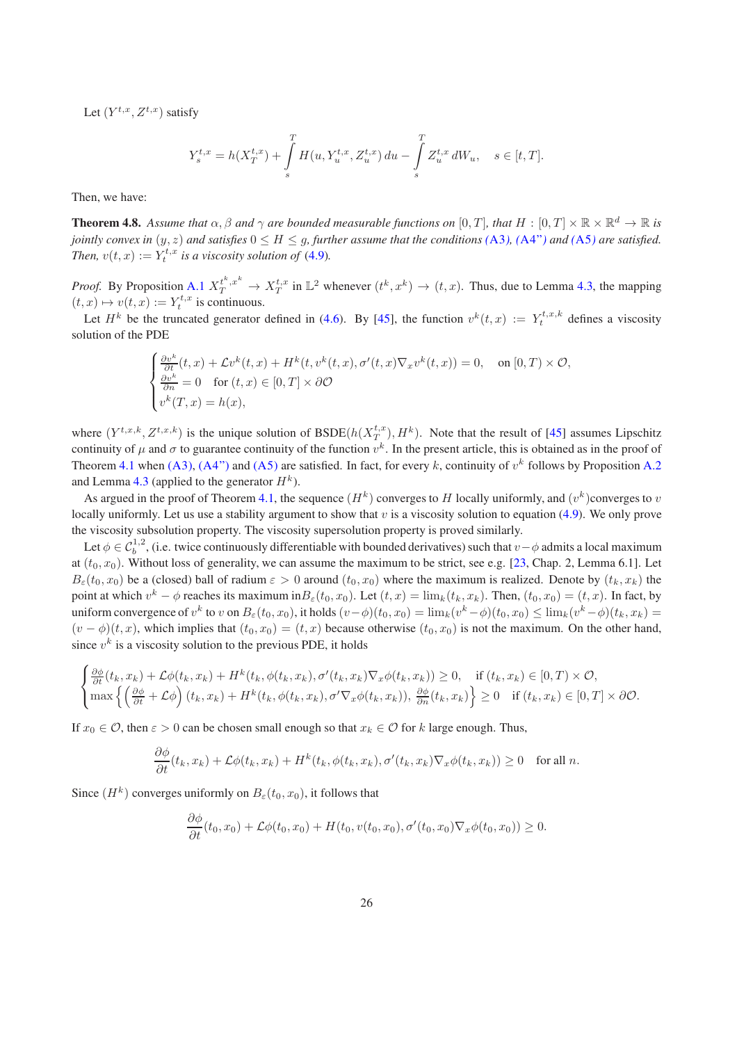Let  $(Y^{t,x}, Z^{t,x})$  satisfy

$$
Y_s^{t,x} = h(X_T^{t,x}) + \int_s^T H(u, Y_u^{t,x}, Z_u^{t,x}) du - \int_s^T Z_u^{t,x} dW_u, \quad s \in [t, T].
$$

Then, we have:

**Theorem 4.8.** Assume that  $\alpha, \beta$  and  $\gamma$  are bounded measurable functions on  $[0,T]$ , that  $H : [0,T] \times \mathbb{R} \times \mathbb{R}^d \to \mathbb{R}$  is *jointly convex in*  $(y, z)$  *and satisfies*  $0 \leq H \leq g$ , *further assume that the conditions*  $(A3)$  $(A3)$  $(A3)$ ,  $(A4'')$  *and*  $(A5)$  $(A5)$  $(A5)$  *are satisfied. Then,*  $v(t, x) := Y_t^{t, x}$  *is a viscosity solution of* [\(4.9\)](#page-24-3)*.* 

*Proof.* By Proposition [A.1](#page-31-0)  $X_T^{t^k, x^k} \to X_T^{t, x}$  in  $\mathbb{L}^2$  whenever  $(t^k, x^k) \to (t, x)$ . Thus, due to Lemma [4.3,](#page-20-0) the mapping  $(t, x) \mapsto v(t, x) := Y_t^{t, x}$  is continuous.

Let  $H^k$  be the truncated generator defined in [\(4.6\)](#page-21-1). By [\[45](#page-35-7)], the function  $v^k(t, x) := Y_t^{t, x, k}$  defines a viscosity solution of the PDE

$$
\begin{cases} \frac{\partial v^k}{\partial t}(t,x) + \mathcal{L}v^k(t,x) + H^k(t,v^k(t,x),\sigma'(t,x)\nabla_x v^k(t,x)) = 0, & \text{on } [0,T) \times \mathcal{O},\\ \frac{\partial v^k}{\partial n} = 0 & \text{for } (t,x) \in [0,T] \times \partial \mathcal{O}\\ v^k(T,x) = h(x), & \end{cases}
$$

where  $(Y^{t,x,k}, Z^{t,x,k})$  is the unique solution of  $\text{BSDE}(h(X_T^{t,x}), H^k)$ . Note that the result of [\[45\]](#page-35-7) assumes Lipschitz continuity of  $\mu$  and  $\sigma$  to guarantee continuity of the function  $v^k$ . In the present article, this is obtained as in the proof of Theorem [4.1](#page-20-5) when [\(A3\),](#page-19-2) [\(A4"\)](#page-24-2) and [\(A5\)](#page-20-1) are satisfied. In fact, for every k, continuity of  $v^k$  follows by Proposition [A.2](#page-32-0) and Lemma [4.3](#page-20-0) (applied to the generator  $H^k$ ).

As argued in the proof of Theorem [4.1,](#page-20-5) the sequence  $(H^k)$  converges to H locally uniformly, and  $(v^k)$ converges to v locally uniformly. Let us use a stability argument to show that  $v$  is a viscosity solution to equation [\(4.9\)](#page-24-3). We only prove the viscosity subsolution property. The viscosity supersolution property is proved similarly.

Let  $\phi \in C_b^{1,2}$ , (i.e. twice continuously differentiable with bounded derivatives) such that  $v-\phi$  admits a local maximum at  $(t_0, x_0)$ . Without loss of generality, we can assume the maximum to be strict, see e.g. [\[23,](#page-34-19) Chap. 2, Lemma 6.1]. Let  $B_{\varepsilon}(t_0, x_0)$  be a (closed) ball of radium  $\varepsilon > 0$  around  $(t_0, x_0)$  where the maximum is realized. Denote by  $(t_k, x_k)$  the point at which  $v^k - \phi$  reaches its maximum in $B_\varepsilon(t_0, x_0)$ . Let  $(t, x) = \lim_k(t_k, x_k)$ . Then,  $(t_0, x_0) = (t, x)$ . In fact, by uniform convergence of  $v^k$  to  $v$  on  $B_\varepsilon(t_0, x_0)$ , it holds  $(v-\phi)(t_0, x_0) = \lim_k (v^k - \phi)(t_0, x_0) \leq \lim_k (v^k - \phi)(t_k, x_k) =$  $(v - \phi)(t, x)$ , which implies that  $(t_0, x_0) = (t, x)$  because otherwise  $(t_0, x_0)$  is not the maximum. On the other hand, since  $v^k$  is a viscosity solution to the previous PDE, it holds

$$
\begin{cases} \frac{\partial \phi}{\partial t}(t_k, x_k) + \mathcal{L}\phi(t_k, x_k) + H^k(t_k, \phi(t_k, x_k), \sigma'(t_k, x_k) \nabla_x \phi(t_k, x_k)) \ge 0, & \text{if } (t_k, x_k) \in [0, T) \times \mathcal{O}, \\ \max \left\{ \left( \frac{\partial \phi}{\partial t} + \mathcal{L}\phi \right) (t_k, x_k) + H^k(t_k, \phi(t_k, x_k), \sigma' \nabla_x \phi(t_k, x_k)), \frac{\partial \phi}{\partial n}(t_k, x_k) \right\} \ge 0 & \text{if } (t_k, x_k) \in [0, T] \times \partial \mathcal{O}. \end{cases}
$$

If  $x_0 \in \mathcal{O}$ , then  $\varepsilon > 0$  can be chosen small enough so that  $x_k \in \mathcal{O}$  for k large enough. Thus,

$$
\frac{\partial \phi}{\partial t}(t_k, x_k) + \mathcal{L}\phi(t_k, x_k) + H^k(t_k, \phi(t_k, x_k), \sigma'(t_k, x_k) \nabla_x \phi(t_k, x_k)) \ge 0 \quad \text{for all } n.
$$

Since  $(H^k)$  converges uniformly on  $B_\varepsilon(t_0, x_0)$ , it follows that

$$
\frac{\partial \phi}{\partial t}(t_0, x_0) + \mathcal{L}\phi(t_0, x_0) + H(t_0, v(t_0, x_0), \sigma'(t_0, x_0) \nabla_x \phi(t_0, x_0)) \geq 0.
$$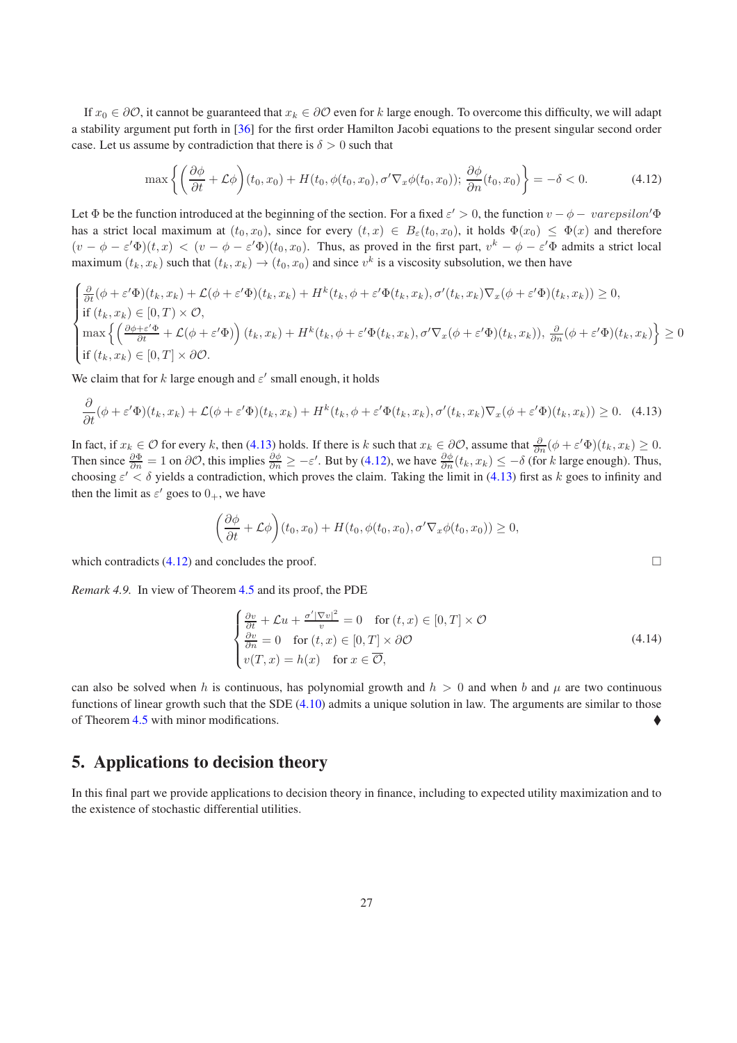If  $x_0 \in \partial \mathcal{O}$ , it cannot be guaranteed that  $x_k \in \partial \mathcal{O}$  even for k large enough. To overcome this difficulty, we will adapt a stability argument put forth in [\[36](#page-34-22)] for the first order Hamilton Jacobi equations to the present singular second order case. Let us assume by contradiction that there is  $\delta > 0$  such that

<span id="page-26-2"></span>
$$
\max\left\{ \left(\frac{\partial\phi}{\partial t} + \mathcal{L}\phi\right)(t_0, x_0) + H(t_0, \phi(t_0, x_0), \sigma'\nabla_x\phi(t_0, x_0)); \frac{\partial\phi}{\partial n}(t_0, x_0) \right\} = -\delta < 0. \tag{4.12}
$$

Let  $\Phi$  be the function introduced at the beginning of the section. For a fixed  $\varepsilon' > 0$ , the function  $v - \phi - \text{varepsilon}$ has a strict local maximum at  $(t_0, x_0)$ , since for every  $(t, x) \in B_\varepsilon(t_0, x_0)$ , it holds  $\Phi(x_0) \leq \Phi(x)$  and therefore  $(v - \phi - \varepsilon' \Phi)(t, x) < (v - \phi - \varepsilon' \Phi)(t_0, x_0)$ . Thus, as proved in the first part,  $v^k - \phi - \varepsilon' \Phi$  admits a strict local maximum  $(t_k, x_k)$  such that  $(t_k, x_k) \rightarrow (t_0, x_0)$  and since  $v^k$  is a viscosity subsolution, we then have

$$
\begin{cases} \frac{\partial}{\partial t}(\phi + \varepsilon' \Phi)(t_k, x_k) + \mathcal{L}(\phi + \varepsilon' \Phi)(t_k, x_k) + H^k(t_k, \phi + \varepsilon' \Phi(t_k, x_k), \sigma'(t_k, x_k) \nabla_x(\phi + \varepsilon' \Phi)(t_k, x_k)) \ge 0, \\ \text{if } (t_k, x_k) \in [0, T) \times \mathcal{O}, \\ \max \left\{ \left( \frac{\partial \phi + \varepsilon' \Phi}{\partial t} + \mathcal{L}(\phi + \varepsilon' \Phi)\right)(t_k, x_k) + H^k(t_k, \phi + \varepsilon' \Phi(t_k, x_k), \sigma' \nabla_x(\phi + \varepsilon' \Phi)(t_k, x_k)), \frac{\partial}{\partial n}(\phi + \varepsilon' \Phi)(t_k, x_k) \right\} \ge 0 \\ \text{if } (t_k, x_k) \in [0, T] \times \partial \mathcal{O}. \end{cases}
$$

We claim that for k large enough and  $\varepsilon'$  small enough, it holds

$$
\frac{\partial}{\partial t}(\phi + \varepsilon' \Phi)(t_k, x_k) + \mathcal{L}(\phi + \varepsilon' \Phi)(t_k, x_k) + H^k(t_k, \phi + \varepsilon' \Phi(t_k, x_k), \sigma'(t_k, x_k) \nabla_x(\phi + \varepsilon' \Phi)(t_k, x_k)) \ge 0. \tag{4.13}
$$

In fact, if  $x_k \in \mathcal{O}$  for every k, then [\(4.13\)](#page-26-1) holds. If there is k such that  $x_k \in \partial \mathcal{O}$ , assume that  $\frac{\partial}{\partial n}(\phi + \varepsilon' \Phi)(t_k, x_k) \ge 0$ . Then since  $\frac{\partial \Phi}{\partial n} = 1$  on  $\partial \mathcal{O}$ , this implies  $\frac{\partial \phi}{\partial n} \ge -\varepsilon'$ . But by [\(4.12\)](#page-26-2), we have  $\frac{\partial \phi}{\partial n}(t_k, x_k) \le -\delta$  (for k large enough). Thus, choosing  $\varepsilon' < \delta$  yields a contradiction, which proves the claim. Taking the limit in [\(4.13\)](#page-26-1) first as k goes to infinity and then the limit as  $\varepsilon'$  goes to  $0_+$ , we have

<span id="page-26-1"></span>
$$
\left(\frac{\partial \phi}{\partial t} + \mathcal{L}\phi\right)(t_0, x_0) + H(t_0, \phi(t_0, x_0), \sigma'\nabla_x\phi(t_0, x_0)) \ge 0,
$$

which contradicts  $(4.12)$  and concludes the proof.

*Remark 4.9.* In view of Theorem [4.5](#page-23-0) and its proof, the PDE

$$
\begin{cases}\n\frac{\partial v}{\partial t} + \mathcal{L}u + \frac{\sigma'|\nabla v|^2}{v} = 0 & \text{for } (t, x) \in [0, T] \times \mathcal{O} \\
\frac{\partial v}{\partial n} = 0 & \text{for } (t, x) \in [0, T] \times \partial \mathcal{O} \\
v(T, x) = h(x) & \text{for } x \in \overline{\mathcal{O}},\n\end{cases}
$$
\n(4.14)

can also be solved when h is continuous, has polynomial growth and  $h > 0$  and when b and  $\mu$  are two continuous functions of linear growth such that the SDE  $(4.10)$  admits a unique solution in law. The arguments are similar to those of Theorem [4.5](#page-23-0) with minor modifications.

# <span id="page-26-0"></span>5. Applications to decision theory

In this final part we provide applications to decision theory in finance, including to expected utility maximization and to the existence of stochastic differential utilities.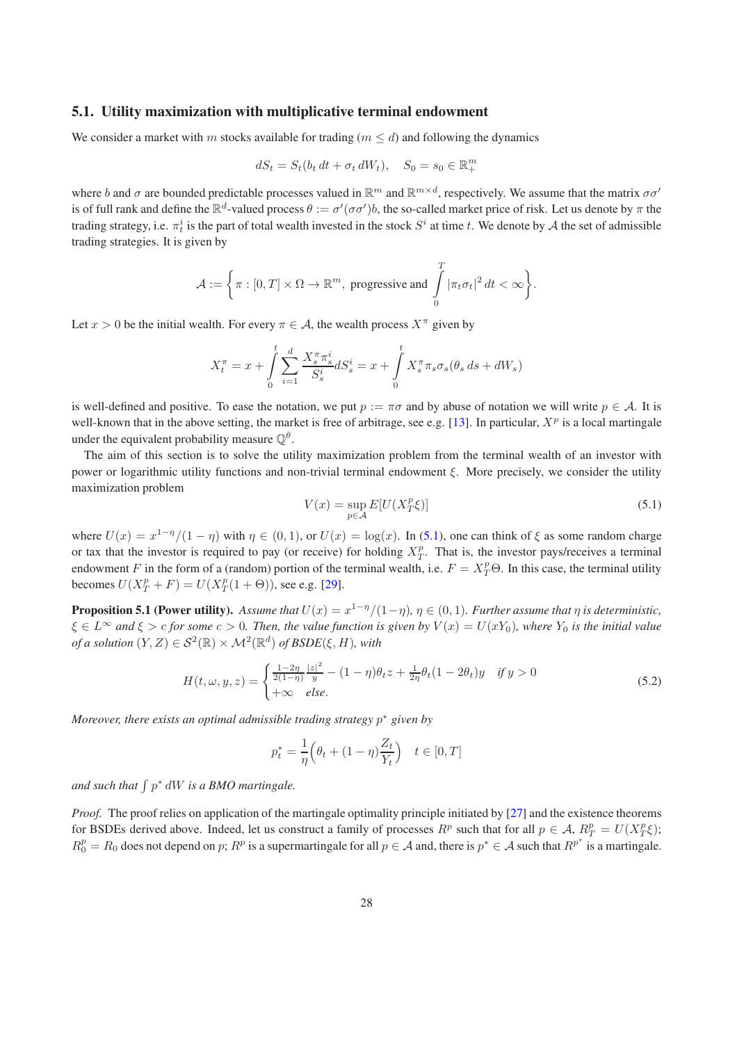#### <span id="page-27-0"></span>5.1. Utility maximization with multiplicative terminal endowment

We consider a market with m stocks available for trading ( $m \le d$ ) and following the dynamics

$$
dS_t = S_t(b_t dt + \sigma_t dW_t), \quad S_0 = s_0 \in \mathbb{R}_+^m
$$

where b and  $\sigma$  are bounded predictable processes valued in  $\mathbb{R}^m$  and  $\mathbb{R}^{m \times d}$ , respectively. We assume that the matrix  $\sigma \sigma'$ is of full rank and define the  $\mathbb{R}^d$ -valued process  $\theta := \sigma'(\sigma\sigma')b$ , the so-called market price of risk. Let us denote by  $\pi$  the trading strategy, i.e.  $\pi_t^i$  is the part of total wealth invested in the stock  $S^i$  at time t. We denote by  $A$  the set of admissible trading strategies. It is given by

$$
\mathcal{A}:=\bigg\{\pi:[0,T]\times\Omega\rightarrow\mathbb{R}^m,\text{ progressive and }\int\limits_0^T|\pi_t\sigma_t|^2\,dt<\infty\bigg\}.
$$

Let  $x > 0$  be the initial wealth. For every  $\pi \in A$ , the wealth process  $X^{\pi}$  given by

$$
X_t^{\pi} = x + \int_0^t \sum_{i=1}^d \frac{X_s^{\pi} \pi_s^i}{S_s^i} dS_s^i = x + \int_0^t X_s^{\pi} \pi_s \sigma_s(\theta_s \, ds + dW_s)
$$

is well-defined and positive. To ease the notation, we put  $p := \pi \sigma$  and by abuse of notation we will write  $p \in A$ . It is well-known that in the above setting, the market is free of arbitrage, see e.g. [\[13\]](#page-33-15). In particular,  $X^p$  is a local martingale under the equivalent probability measure  $\mathbb{Q}^{\theta}$ .

The aim of this section is to solve the utility maximization problem from the terminal wealth of an investor with power or logarithmic utility functions and non-trivial terminal endowment  $\xi$ . More precisely, we consider the utility maximization problem

<span id="page-27-1"></span>
$$
V(x) = \sup_{p \in \mathcal{A}} E[U(X_T^p \xi)] \tag{5.1}
$$

where  $U(x) = x^{1-\eta}/(1-\eta)$  with  $\eta \in (0,1)$ , or  $U(x) = \log(x)$ . In [\(5.1\)](#page-27-1), one can think of  $\xi$  as some random charge or tax that the investor is required to pay (or receive) for holding  $X_T^p$ . That is, the investor pays/receives a terminal endowment F in the form of a (random) portion of the terminal wealth, i.e.  $F = X_T^p \Theta$ . In this case, the terminal utility becomes  $U(X_T^p + F) = U(X_T^p(1 + \Theta))$ , see e.g. [\[29\]](#page-34-23).

<span id="page-27-3"></span>**Proposition 5.1 (Power utility).** Assume that  $U(x) = x^{1-\eta}/(1-\eta)$ ,  $\eta \in (0,1)$ . Further assume that  $\eta$  is deterministic,  $\xi \in L^{\infty}$  and  $\xi > c$  for some  $c > 0$ . Then, the value function is given by  $V(x) = U(xY_0)$ , where  $Y_0$  is the initial value *of a solution*  $(Y, Z) \in \mathcal{S}^2(\mathbb{R}) \times \mathcal{M}^2(\mathbb{R}^d)$  *of BSDE*( $\xi, H$ )*, with* 

$$
H(t, \omega, y, z) = \begin{cases} \frac{1 - 2\eta}{2(1 - \eta)} \frac{|z|^2}{y} - (1 - \eta)\theta_t z + \frac{1}{2\eta}\theta_t (1 - 2\theta_t)y & \text{if } y > 0\\ +\infty & \text{else.} \end{cases}
$$
(5.2)

*Moreover, there exists an optimal admissible trading strategy* p <sup>∗</sup> *given by*

<span id="page-27-2"></span>
$$
p_t^* = \frac{1}{\eta} \Big( \theta_t + (1 - \eta) \frac{Z_t}{Y_t} \Big) \quad t \in [0, T]
$$

and such that  $\int p^* dW$  is a BMO martingale.

*Proof.* The proof relies on application of the martingale optimality principle initiated by [\[27\]](#page-34-24) and the existence theorems for BSDEs derived above. Indeed, let us construct a family of processes  $R^p$  such that for all  $p \in A$ ,  $R^p_T = U(X^p_T \xi)$ ;  $R_0^p = R_0$  does not depend on p;  $R^p$  is a supermartingale for all  $p \in A$  and, there is  $p^* \in A$  such that  $R^{p^*}$  is a martingale.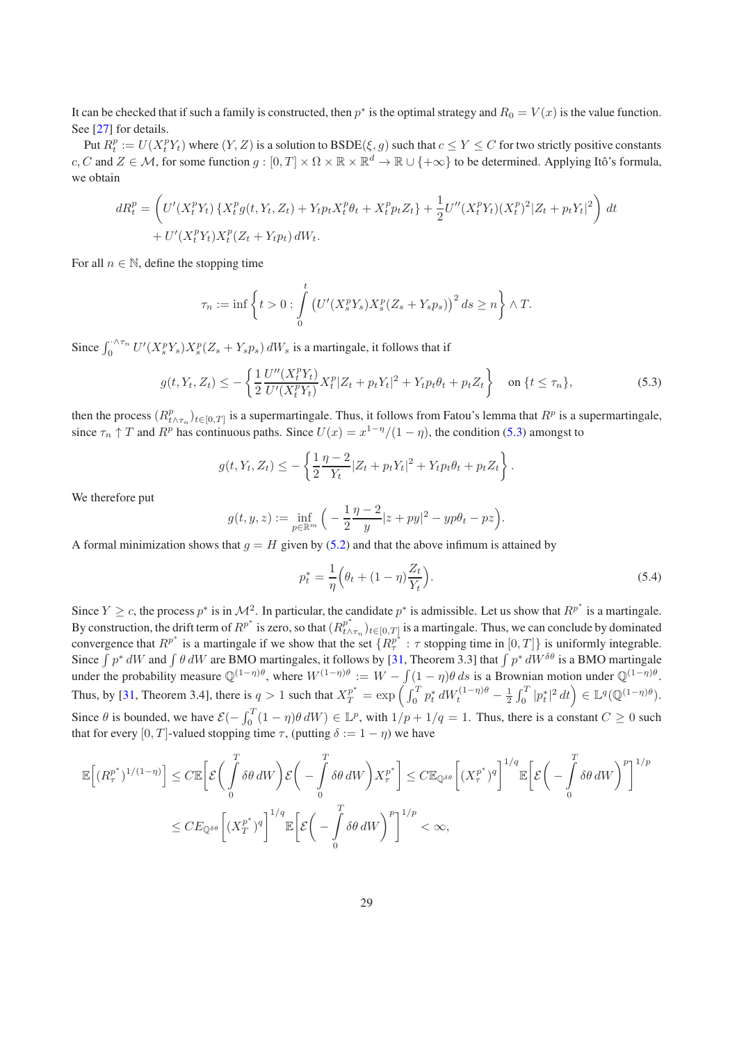It can be checked that if such a family is constructed, then  $p^*$  is the optimal strategy and  $R_0 = V(x)$  is the value function. See [\[27\]](#page-34-24) for details.

Put  $R_t^p := U(X_t^p Y_t)$  where  $(Y, Z)$  is a solution to  $\text{BSDE}(\xi, g)$  such that  $c \le Y \le C$  for two strictly positive constants c, C and  $Z \in \mathcal{M}$ , for some function  $g: [0, T] \times \Omega \times \mathbb{R} \times \mathbb{R}^d \to \mathbb{R} \cup \{+\infty\}$  to be determined. Applying Itô's formula, we obtain

$$
dR_t^p = \left( U'(X_t^p Y_t) \{ X_t^p g(t, Y_t, Z_t) + Y_t p_t X_t^p \theta_t + X_t^p p_t Z_t \} + \frac{1}{2} U''(X_t^p Y_t) (X_t^p)^2 | Z_t + p_t Y_t |^2 \right) dt + U'(X_t^p Y_t) X_t^p (Z_t + Y_t p_t) dW_t.
$$

For all  $n \in \mathbb{N}$ , define the stopping time

<span id="page-28-0"></span>
$$
\tau_n := \inf \left\{ t > 0 : \int\limits_0^t \left( U'(X_s^p Y_s) X_s^p (Z_s + Y_s p_s) \right)^2 ds \ge n \right\} \wedge T.
$$

Since  $\int_0^{\cdot \wedge \tau_n} U'(X_s^p Y_s) X_s^p (Z_s + Y_s p_s) dW_s$  is a martingale, it follows that if

$$
g(t, Y_t, Z_t) \le -\left\{\frac{1}{2}\frac{U''(X_t^p Y_t)}{U'(X_t^p Y_t)} X_t^p |Z_t + p_t Y_t|^2 + Y_t p_t \theta_t + p_t Z_t\right\} \quad \text{on } \{t \le \tau_n\},\tag{5.3}
$$

then the process  $(R^p_{t \wedge \tau_n})_{t \in [0,T]}$  is a supermartingale. Thus, it follows from Fatou's lemma that  $R^p$  is a supermartingale, since  $\tau_n \uparrow T$  and  $R^p$  has continuous paths. Since  $U(x) = x^{1-\eta}/(1-\eta)$ , the condition [\(5.3\)](#page-28-0) amongst to

$$
g(t, Y_t, Z_t) \leq -\left\{\frac{1}{2}\frac{\eta - 2}{Y_t}|Z_t + p_tY_t|^2 + Y_t p_t \theta_t + p_t Z_t\right\}.
$$

We therefore put

$$
g(t, y, z) := \inf_{p \in \mathbb{R}^m} \left( -\frac{1}{2} \frac{\eta - 2}{y} |z + py|^2 - yp\theta_t - pz \right).
$$

A formal minimization shows that  $g = H$  given by [\(5.2\)](#page-27-2) and that the above infimum is attained by

$$
p_t^* = \frac{1}{\eta} \left( \theta_t + (1 - \eta) \frac{Z_t}{Y_t} \right). \tag{5.4}
$$

Since  $Y \ge c$ , the process  $p^*$  is in  $\mathcal{M}^2$ . In particular, the candidate  $p^*$  is admissible. Let us show that  $R^{p^*}$  is a martingale. By construction, the drift term of  $R^{p^*}$  is zero, so that  $(R^{p^*}_{t\wedge})$  $_{t\wedge\tau_n}^p)_{t\in[0,T]}$  is a martingale. Thus, we can conclude by dominated convergence that  $R^{p^*}$  is a martingale if we show that the set  $\{R^{p^*}_{\tau} : \tau \text{ stopping time in } [0,T]\}$  is uniformly integrable. Since  $\int p^* dW$  and  $\int \theta dW$  are BMO martingales, it follows by [\[31](#page-34-15), Theorem 3.3] that  $\int p^* dW^{\delta\theta}$  is a BMO martingale under the probability measure  $\mathbb{Q}^{(1-\eta)\theta}$ , where  $W^{(1-\eta)\theta} := W - \int (1-\eta)\theta ds$  is a Brownian motion under  $\mathbb{Q}^{(1-\eta)\theta}$ . Thus, by [\[31](#page-34-15), Theorem 3.4], there is  $q > 1$  such that  $X_T^{p^*} = \exp\left(\int_0^T p_t^* dW_t^{(1-\eta)\theta} - \frac{1}{2} \int_0^T |p_t^*|^2 dt\right) \in \mathbb{L}^q(\mathbb{Q}^{(1-\eta)\theta})$ . Since  $\theta$  is bounded, we have  $\mathcal{E}(-\int_0^T (1-\eta)\theta dW) \in \mathbb{L}^p$ , with  $1/p + 1/q = 1$ . Thus, there is a constant  $C \ge 0$  such that for every [0, T]-valued stopping time  $\tau$ , (putting  $\delta := 1 - \eta$ ) we have

$$
\mathbb{E}\Big[(R_\tau^{p^*})^{1/(1-\eta)}\Big] \leq C \mathbb{E}\Big[\mathcal{E}\bigg(\int_0^T \delta \theta \,dW\bigg)\mathcal{E}\bigg(-\int_0^T \delta \theta \,dW\bigg)X_\tau^{p^*}\Bigg] \leq C \mathbb{E}_{\mathbb{Q}^{\delta \theta}}\Big[(X_\tau^{p^*})^q\Big]^{1/q} \mathbb{E}\Big[\mathcal{E}\bigg(-\int_0^T \delta \theta \,dW\bigg)^p\Big]^{1/p}
$$
  

$$
\leq CE_{\mathbb{Q}^{\delta \theta}}\Big[(X_T^{p^*})^q\Big]^{1/q} \mathbb{E}\Big[\mathcal{E}\bigg(-\int_0^T \delta \theta \,dW\bigg)^p\Big]^{1/p} < \infty,
$$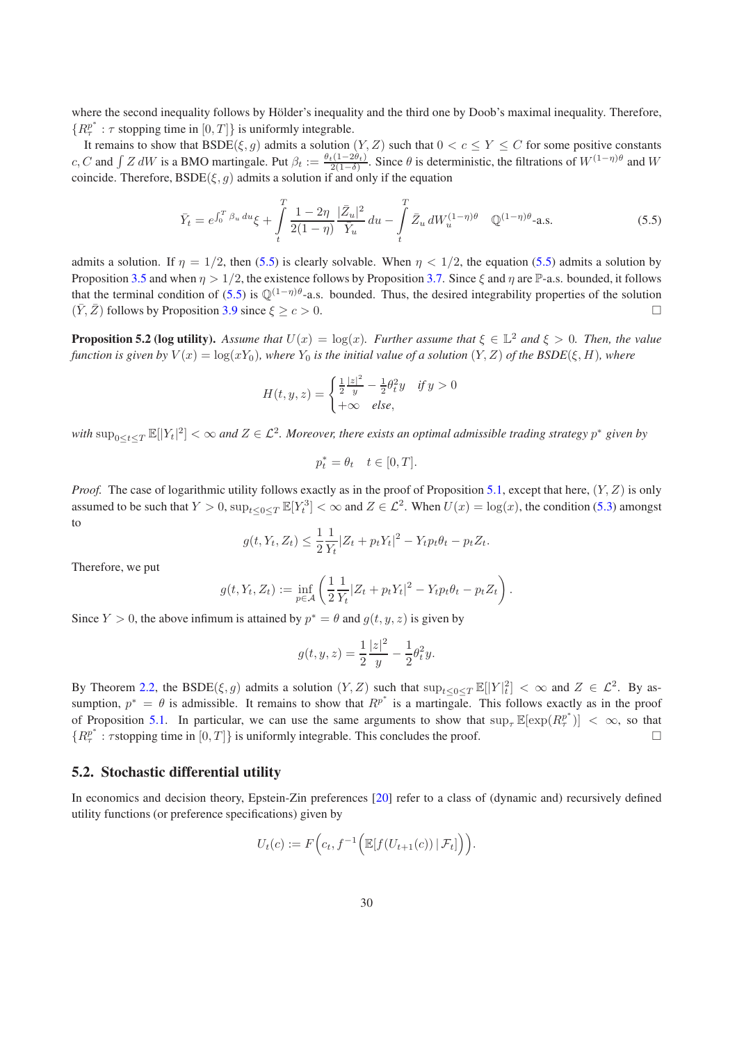where the second inequality follows by Hölder's inequality and the third one by Doob's maximal inequality. Therefore,  ${R}^{p^*}$  :  $\tau$  stopping time in  $[0,T]$ } is uniformly integrable.

It remains to show that  $BSDE(\xi, q)$  admits a solution  $(Y, Z)$  such that  $0 < c \le Y \le C$  for some positive constants c, C and  $\int Z dW$  is a BMO martingale. Put  $\beta_t := \frac{\theta_t(1-2\theta_t)}{2(1-\delta)}$ . Since  $\theta$  is deterministic, the filtrations of  $W^{(1-\eta)\theta}$  and W coincide. Therefore,  $\text{BSDE}(\xi, g)$  admits a solution if and only if the equation

<span id="page-29-1"></span>
$$
\bar{Y}_t = e^{\int_0^T \beta_u \, du} \xi + \int_t^T \frac{1 - 2\eta}{2(1 - \eta)} \frac{|\bar{Z}_u|^2}{\bar{Y}_u} \, du - \int_t^T \bar{Z}_u \, dW_u^{(1 - \eta)\theta} \quad \mathbb{Q}^{(1 - \eta)\theta} \text{-a.s.}
$$
\n
$$
(5.5)
$$

admits a solution. If  $\eta = 1/2$ , then [\(5.5\)](#page-29-1) is clearly solvable. When  $\eta < 1/2$ , the equation [\(5.5\)](#page-29-1) admits a solution by Proposition [3.5](#page-9-2) and when  $\eta > 1/2$ , the existence follows by Proposition [3.7.](#page-11-0) Since  $\xi$  and  $\eta$  are  $\mathbb{P}$ -a.s. bounded, it follows that the terminal condition of [\(5.5\)](#page-29-1) is  $\mathbb{Q}^{(1-\eta)\theta}$ -a.s. bounded. Thus, the desired integrability properties of the solution  $(\overline{Y}, \overline{Z})$  follows by Proposition [3.9](#page-13-0) since  $\xi \ge c > 0$ .

**Proposition 5.2 (log utility).** Assume that  $U(x) = \log(x)$ . Further assume that  $\xi \in \mathbb{L}^2$  and  $\xi > 0$ . Then, the value *function is given by*  $V(x) = \log(xY_0)$ *, where*  $Y_0$  *is the initial value of a solution*  $(Y, Z)$  *of the BSDE*( $\xi, H$ )*, where* 

$$
H(t, y, z) = \begin{cases} \frac{1}{2} \frac{|z|^2}{y} - \frac{1}{2} \theta_t^2 y & \text{if } y > 0\\ +\infty & \text{else,} \end{cases}
$$

with  $\sup_{0\leq t\leq T}\mathbb{E}[|Y_t|^2]<\infty$  and  $Z\in\mathcal{L}^2$ . Moreover, there exists an optimal admissible trading strategy  $p^*$  given by

$$
p_t^* = \theta_t \quad t \in [0, T].
$$

*Proof.* The case of logarithmic utility follows exactly as in the proof of Proposition [5.1,](#page-27-3) except that here,  $(Y, Z)$  is only assumed to be such that  $Y > 0$ ,  $\sup_{t \leq 0 \leq T} \mathbb{E}[Y_t^3] < \infty$  and  $Z \in \mathcal{L}^2$ . When  $U(x) = \log(x)$ , the condition [\(5.3\)](#page-28-0) amongst to

$$
g(t, Y_t, Z_t) \le \frac{1}{2} \frac{1}{Y_t} |Z_t + p_t Y_t|^2 - Y_t p_t \theta_t - p_t Z_t.
$$

Therefore, we put

$$
g(t, Y_t, Z_t) := \inf_{p \in \mathcal{A}} \left( \frac{1}{2} \frac{1}{Y_t} |Z_t + p_t Y_t|^2 - Y_t p_t \theta_t - p_t Z_t \right).
$$

Since  $Y > 0$ , the above infimum is attained by  $p^* = \theta$  and  $g(t, y, z)$  is given by

$$
g(t, y, z) = \frac{1}{2} \frac{|z|^2}{y} - \frac{1}{2} \theta_t^2 y.
$$

By Theorem [2.2,](#page-3-3) the BSDE $(\xi, g)$  admits a solution  $(Y, Z)$  such that  $\sup_{t \leq 0 \leq T} \mathbb{E}[|Y|_t^2] < \infty$  and  $Z \in \mathcal{L}^2$ . By assumption,  $p^* = \theta$  is admissible. It remains to show that  $\overline{R}^{p^*}$  is a martingale. This follows exactly as in the proof of Proposition [5.1.](#page-27-3) In particular, we can use the same arguments to show that  $\sup_{\tau} \mathbb{E}[\exp(R_{\tau}^{p^*})] < \infty$ , so that  ${R_\tau^p}^*$ :  $\tau$ stopping time in  $[0,T]$ } is uniformly integrable. This concludes the proof.

#### <span id="page-29-0"></span>5.2. Stochastic differential utility

In economics and decision theory, Epstein-Zin preferences [\[20\]](#page-34-5) refer to a class of (dynamic and) recursively defined utility functions (or preference specifications) given by

$$
U_t(c) := F\Big(c_t, f^{-1}\Big(\mathbb{E}[f(U_{t+1}(c)) | \mathcal{F}_t]\Big)\Big).
$$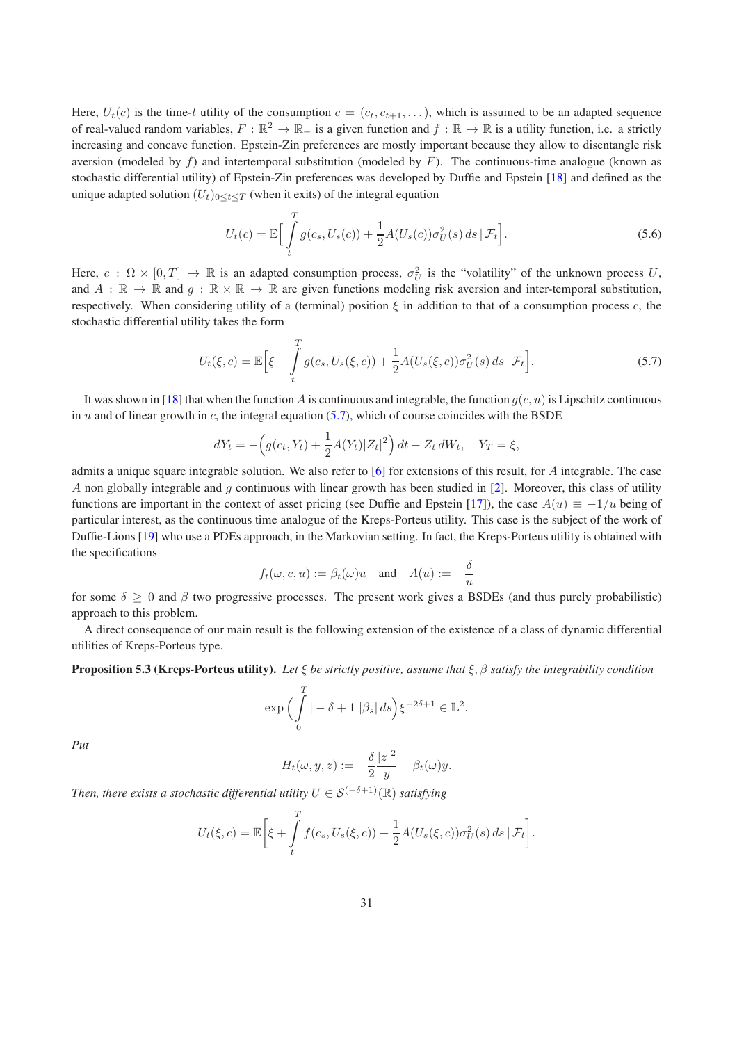Here,  $U_t(c)$  is the time-t utility of the consumption  $c = (c_t, c_{t+1}, \ldots)$ , which is assumed to be an adapted sequence of real-valued random variables,  $F:\mathbb{R}^2\to\mathbb{R}_+$  is a given function and  $f:\mathbb{R}\to\mathbb{R}$  is a utility function, i.e. a strictly increasing and concave function. Epstein-Zin preferences are mostly important because they allow to disentangle risk aversion (modeled by f) and intertemporal substitution (modeled by F). The continuous-time analogue (known as stochastic differential utility) of Epstein-Zin preferences was developed by Duffie and Epstein [\[18\]](#page-33-8) and defined as the unique adapted solution  $(U_t)_{0 \leq t \leq T}$  (when it exits) of the integral equation

$$
U_t(c) = \mathbb{E}\Big[\int\limits_t^T g(c_s, U_s(c)) + \frac{1}{2}A(U_s(c))\sigma_U^2(s) \, ds \,|\, \mathcal{F}_t\Big].\tag{5.6}
$$

Here,  $c: \Omega \times [0,T] \to \mathbb{R}$  is an adapted consumption process,  $\sigma_U^2$  is the "volatility" of the unknown process U, and  $A : \mathbb{R} \to \mathbb{R}$  and  $g : \mathbb{R} \times \mathbb{R} \to \mathbb{R}$  are given functions modeling risk aversion and inter-temporal substitution, respectively. When considering utility of a (terminal) position  $\xi$  in addition to that of a consumption process c, the stochastic differential utility takes the form

<span id="page-30-0"></span>
$$
U_t(\xi, c) = \mathbb{E}\Big[\xi + \int_t^T g(c_s, U_s(\xi, c)) + \frac{1}{2}A(U_s(\xi, c))\sigma_U^2(s) ds \,|\, \mathcal{F}_t\Big].\tag{5.7}
$$

It was shown in [\[18](#page-33-8)] that when the function A is continuous and integrable, the function  $q(c, u)$  is Lipschitz continuous in u and of linear growth in c, the integral equation  $(5.7)$ , which of course coincides with the BSDE

$$
dY_t = -\left(g(c_t, Y_t) + \frac{1}{2}A(Y_t)|Z_t|^2\right)dt - Z_t dW_t, \quad Y_T = \xi,
$$

admits a unique square integrable solution. We also refer to  $[6]$  $[6]$  for extensions of this result, for A integrable. The case A non globally integrable and q continuous with linear growth has been studied in [\[2](#page-33-5)]. Moreover, this class of utility functions are important in the context of asset pricing (see Duffie and Epstein [\[17\]](#page-33-0)), the case  $A(u) \equiv -1/u$  being of particular interest, as the continuous time analogue of the Kreps-Porteus utility. This case is the subject of the work of Duffie-Lions [\[19\]](#page-34-0) who use a PDEs approach, in the Markovian setting. In fact, the Kreps-Porteus utility is obtained with the specifications

$$
f_t(\omega, c, u) := \beta_t(\omega)u
$$
 and  $A(u) := -\frac{\delta}{u}$ 

for some  $\delta \geq 0$  and  $\beta$  two progressive processes. The present work gives a BSDEs (and thus purely probabilistic) approach to this problem.

A direct consequence of our main result is the following extension of the existence of a class of dynamic differential utilities of Kreps-Porteus type.

#### Proposition 5.3 (Kreps-Porteus utility). *Let* ξ *be strictly positive, assume that* ξ, β *satisfy the integrability condition*

$$
\exp\Big(\int\limits_0^T |-\delta+1| |\beta_s| \, ds\Big) \xi^{-2\delta+1} \in \mathbb{L}^2.
$$

*Put*

$$
H_t(\omega, y, z) := -\frac{\delta |z|^2}{2} - \beta_t(\omega) y.
$$

*Then, there exists a stochastic differential utility*  $U \in \mathcal{S}^{(-\delta+1)}(\mathbb{R})$  *satisfying* 

$$
U_t(\xi, c) = \mathbb{E}\bigg[\xi + \int\limits_t^T f(c_s, U_s(\xi, c)) + \frac{1}{2}A(U_s(\xi, c))\sigma_U^2(s) ds \,|\,\mathcal{F}_t\bigg].
$$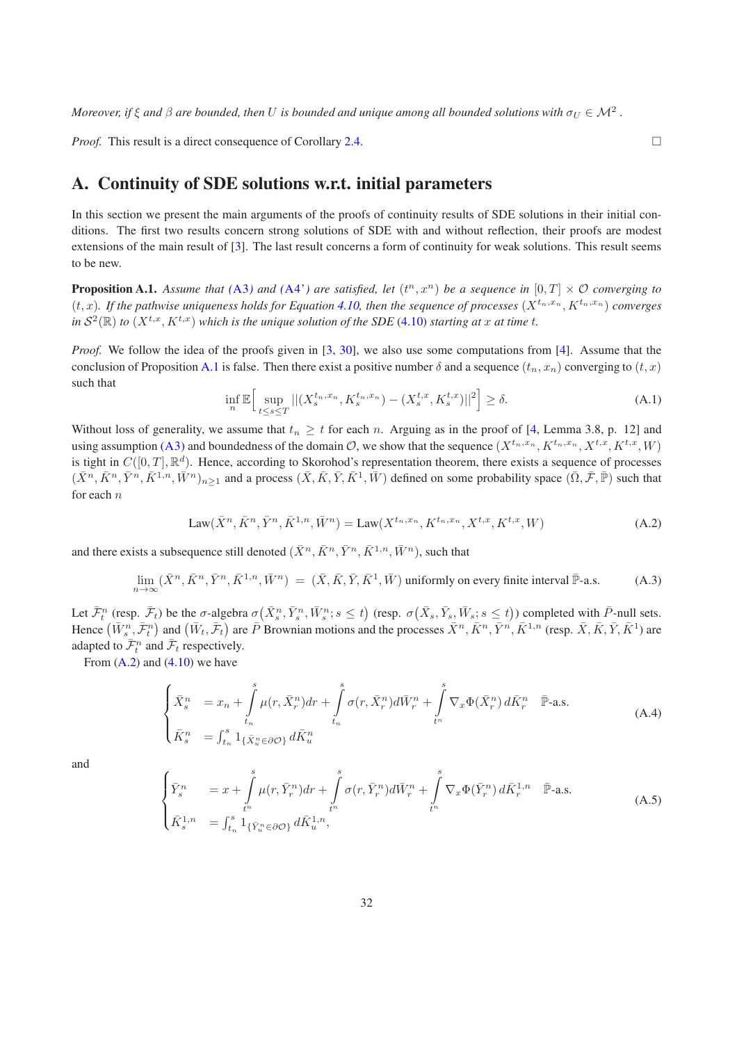*Moreover, if*  $\xi$  *and*  $\beta$  *are bounded, then*  $U$  *is bounded and unique among all bounded solutions with*  $\sigma_U \in \mathcal{M}^2$  *.* 

*Proof.* This result is a direct consequence of Corollary [2.4.](#page-4-1) □

# A. Continuity of SDE solutions w.r.t. initial parameters

In this section we present the main arguments of the proofs of continuity results of SDE solutions in their initial conditions. The first two results concern strong solutions of SDE with and without reflection, their proofs are modest extensions of the main result of [\[3\]](#page-33-16). The last result concerns a form of continuity for weak solutions. This result seems to be new.

<span id="page-31-0"></span>**Proposition A.1.** Assume that  $(A3)$  $(A3)$  $(A3)$  and  $(A4)$  are satisfied, let  $(t^n, x^n)$  be a sequence in  $[0, T] \times \mathcal{O}$  converging to  $(t, x)$ . If the pathwise uniqueness holds for Equation [4.10,](#page-24-1) then the sequence of processes  $(X^{t_n, x_n}, K^{t_n, x_n})$  converges in  $S^2(\mathbb{R})$  to  $(X^{t,x}, K^{t,x})$  *which is the unique solution of the SDE* [\(4.10\)](#page-24-1) *starting at* x at time t.

<span id="page-31-5"></span>*Proof.* We follow the idea of the proofs given in [\[3,](#page-33-16) [30](#page-34-25)], we also use some computations from [\[4\]](#page-33-17). Assume that the conclusion of Proposition [A.1](#page-31-0) is false. Then there exist a positive number  $\delta$  and a sequence  $(t_n, x_n)$  converging to  $(t, x)$ such that

<span id="page-31-2"></span><span id="page-31-1"></span>
$$
\inf_{n} \mathbb{E} \Big[ \sup_{t \le s \le T} ||(X_s^{t_n, x_n}, K_s^{t_n, x_n}) - (X_s^{t, x}, K_s^{t, x})||^2 \Big] \ge \delta. \tag{A.1}
$$

Without loss of generality, we assume that  $t_n \geq t$  for each n. Arguing as in the proof of [\[4](#page-33-17), Lemma 3.8, p. 12] and using assumption [\(A3\)](#page-19-2) and boundedness of the domain  $\mathcal{O}$ , we show that the sequence  $(X^{t_n,x_n}, K^{t_n,x_n}, X^{t,x}, K^{t,x}, W)$ is tight in  $C([0,T], \mathbb{R}^d)$ . Hence, according to Skorohod's representation theorem, there exists a sequence of processes  $(\bar{X}^n, \bar{K}^n, \bar{Y}^n, \bar{K}^{1,n}, \bar{W}^n)_{n \ge 1}$  and a process  $(\bar{X}, \bar{K}, \bar{Y}, \bar{K}^1, \bar{W})$  defined on some probability space  $(\bar{\Omega}, \bar{\mathcal{F}}, \bar{\mathbb{P}})$  such that for each  $n$ 

Law
$$
(\bar{X}^n, \bar{K}^n, \bar{Y}^n, \bar{K}^{1,n}, \bar{W}^n)
$$
 = Law $(X^{t_n, x_n}, K^{t_n, x_n}, X^{t, x}, K^{t, x}, W)$  (A.2)

and there exists a subsequence still denoted  $(\bar{X}^n, \bar{K}^n, \bar{Y}^n, \bar{K}^{1,n}, \bar{W}^n)$ , such that

$$
\lim_{n \to \infty} (\bar{X}^n, \bar{K}^n, \bar{Y}^n, \bar{K}^{1,n}, \bar{W}^n) = (\bar{X}, \bar{K}, \bar{Y}, \bar{K}^1, \bar{W})
$$
 uniformly on every finite interval  $\bar{\mathbb{P}}$ -a.s. (A.3)

Let  $\bar{\mathcal{F}}_t^n$  (resp.  $\bar{\mathcal{F}}_t$ ) be the  $\sigma$ -algebra  $\sigma(\bar{X}_s^n, \bar{Y}_s^n, \bar{W}_s^n; s \le t)$  (resp.  $\sigma(\bar{X}_s, \bar{Y}_s, \bar{W}_s; s \le t)$ ) completed with  $\bar{P}$ -null sets. Hence  $(\bar{W}_s^n, \bar{\mathcal{F}}_t^n)$  and  $(\bar{W}_t, \bar{\mathcal{F}}_t)$  are  $\bar{P}$  Brownian motions and the processes  $\bar{X}^n, \bar{K}^n, \bar{Y}^n, \bar{K}^{1,n}$  (resp.  $\bar{X}, \bar{K}, \bar{Y}, \bar{K}^1$ ) are adapted to  $\bar{\mathcal{F}}_t^n$  and  $\bar{\mathcal{F}}_t$  respectively.

From  $(A.2)$  and  $(4.10)$  we have

<span id="page-31-3"></span>
$$
\begin{cases}\n\bar{X}_s^n = x_n + \int\limits_{t_n}^s \mu(r, \bar{X}_r^n) dr + \int\limits_{t_n}^s \sigma(r, \bar{X}_r^n) d\bar{W}_r^n + \int\limits_{t^n}^s \nabla_x \Phi(\bar{X}_r^n) d\bar{K}_r^n \quad \bar{\mathbb{P}}\text{-a.s.} \\
\bar{K}_s^n = \int_{t_n}^s \mathbf{1}_{\{\bar{X}_u^n \in \partial \mathcal{O}\}} d\bar{K}_u^n\n\end{cases} \tag{A.4}
$$

<span id="page-31-4"></span>and

$$
\begin{cases}\n\bar{Y}_{s}^{n} &= x + \int_{t^{n}}^{s} \mu(r, \bar{Y}_{r}^{n}) dr + \int_{t^{n}}^{s} \sigma(r, \bar{Y}_{r}^{n}) d\bar{W}_{r}^{n} + \int_{t^{n}}^{s} \nabla_{x} \Phi(\bar{Y}_{r}^{n}) d\bar{K}_{r}^{1,n} \quad \bar{\mathbb{P}}\text{-a.s.} \\
\bar{K}_{s}^{1,n} &= \int_{t_{n}}^{s} 1_{\{\bar{Y}_{u}^{n} \in \partial \mathcal{O}\}} d\bar{K}_{u}^{1,n},\n\end{cases} \tag{A.5}
$$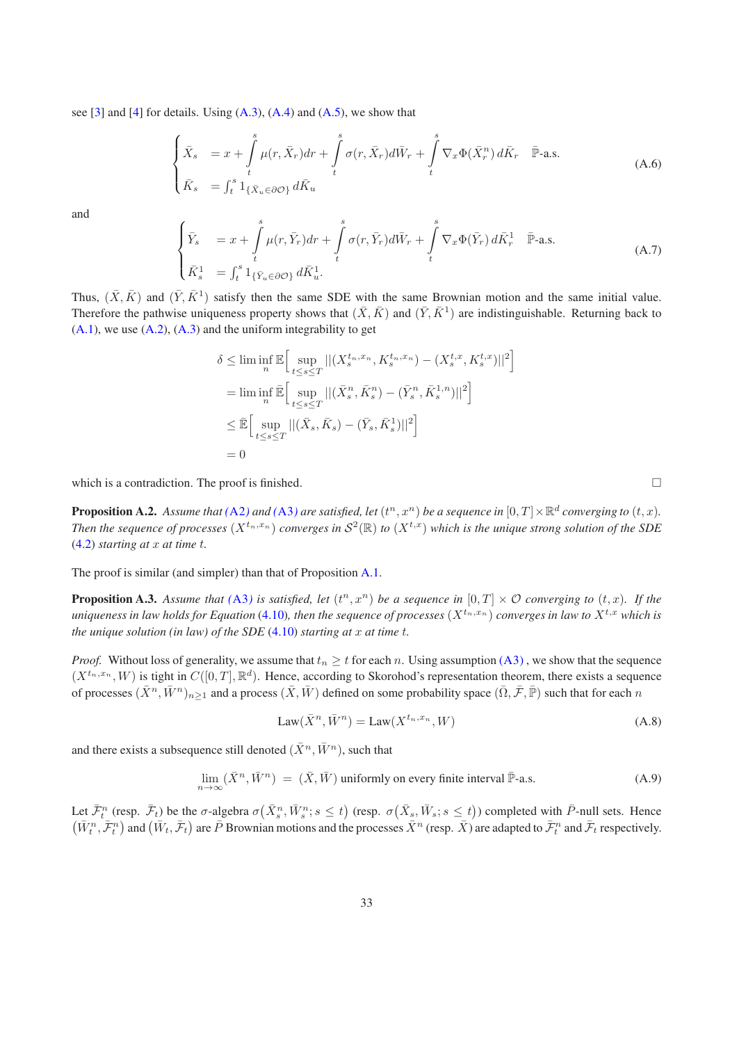see  $[3]$  and  $[4]$  for details. Using  $(A.3)$ ,  $(A.4)$  and  $(A.5)$ , we show that

$$
\begin{cases}\n\bar{X}_s &= x + \int\limits_t^s \mu(r, \bar{X}_r) dr + \int\limits_t^s \sigma(r, \bar{X}_r) d\bar{W}_r + \int\limits_t^s \nabla_x \Phi(\bar{X}_r^n) d\bar{K}_r \quad \bar{\mathbb{P}}\text{-a.s.} \\
\bar{K}_s &= \int_t^s \mathbf{1}_{\{\bar{X}_u \in \partial \mathcal{O}\}} d\bar{K}_u\n\end{cases} \tag{A.6}
$$

and

$$
\begin{cases}\n\bar{Y}_s &= x + \int\limits_t^s \mu(r, \bar{Y}_r) dr + \int\limits_t^s \sigma(r, \bar{Y}_r) d\bar{W}_r + \int\limits_t^s \nabla_x \Phi(\bar{Y}_r) d\bar{K}_r^1 \quad \bar{\mathbb{P}}\text{-a.s.} \\
\bar{K}_s^1 &= \int_t^s \mathbf{1}_{\{\bar{Y}_u \in \partial \mathcal{O}\}} d\bar{K}_u^1.\n\end{cases} \tag{A.7}
$$

Thus,  $(\bar{X}, \bar{K})$  and  $(\bar{Y}, \bar{K}^1)$  satisfy then the same SDE with the same Brownian motion and the same initial value. Therefore the pathwise uniqueness property shows that  $(\bar{X}, \bar{K})$  and  $(\bar{Y}, \bar{K}^1)$  are indistinguishable. Returning back to  $(A.1)$ , we use  $(A.2)$ ,  $(A.3)$  and the uniform integrability to get

$$
\delta \leq \liminf_{n} \mathbb{E} \Big[ \sup_{t \leq s \leq T} ||(X_s^{t_n, x_n}, K_s^{t_n, x_n}) - (X_s^{t, x}, K_s^{t, x})||^2 \Big]
$$
  
\n
$$
= \liminf_{n} \mathbb{E} \Big[ \sup_{t \leq s \leq T} ||(\bar{X}_s^n, \bar{K}_s^n) - (\bar{Y}_s^n, \bar{K}_s^{1, n})||^2 \Big]
$$
  
\n
$$
\leq \mathbb{E} \Big[ \sup_{t \leq s \leq T} ||(\bar{X}_s, \bar{K}_s) - (\bar{Y}_s, \bar{K}_s^{1})||^2 \Big]
$$
  
\n
$$
= 0
$$

<span id="page-32-0"></span>which is a contradiction. The proof is finished.  $\Box$ 

**Proposition A.2.** Assume that ([A2](#page-3-1)) and ([A3](#page-19-2)) are satisfied, let  $(t^n, x^n)$  be a sequence in  $[0, T] \times \mathbb{R}^d$  converging to  $(t, x)$ . Then the sequence of processes  $(X^{t_n,x_n})$  converges in  $S^2(\mathbb{R})$  to  $(X^{t,x})$  which is the unique strong solution of the SDE [\(4.2\)](#page-20-2) *starting at* x *at time* t*.*

The proof is similar (and simpler) than that of Proposition [A.1.](#page-31-0)

**Proposition A.3.** Assume that  $(A3)$  $(A3)$  $(A3)$  is satisfied, let  $(t^n, x^n)$  be a sequence in  $[0, T] \times \mathcal{O}$  converging to  $(t, x)$ . If the *uniqueness in law holds for Equation* [\(4.10\)](#page-24-1), then the sequence of processes  $(X^{t_n,x_n})$  converges in law to  $X^{t,x}$  which is *the unique solution (in law) of the SDE*  $(4.10)$  *starting at x at time t.* 

*Proof.* Without loss of generality, we assume that  $t_n \geq t$  for each n. Using assumption [\(A3\)](#page-19-2), we show that the sequence  $(X^{t_n,x_n}, W)$  is tight in  $C([0,T], \mathbb{R}^d)$ . Hence, according to Skorohod's representation theorem, there exists a sequence of processes  $(\bar{X}^n, \bar{W}^n)_{n\geq 1}$  and a process  $(\bar{X}, \bar{W})$  defined on some probability space  $(\bar{\Omega}, \bar{\mathcal{F}}, \bar{\mathbb{P}})$  such that for each n

<span id="page-32-1"></span>
$$
Law(\bar{X}^n, \bar{W}^n) = Law(X^{t_n, x_n}, W)
$$
\n(A.8)

and there exists a subsequence still denoted  $(\bar{X}^n, \bar{W}^n)$ , such that

 $\lim_{n\to\infty} (\bar{X}^n, \bar{W}^n) = (\bar{X}, \bar{W})$  uniformly on every finite interval  $\bar{\mathbb{P}}$ -a.s. (A.9)

Let  $\bar{\mathcal{F}}_t^n$  (resp.  $\bar{\mathcal{F}}_t$ ) be the  $\sigma$ -algebra  $\sigma(\bar{X}_s^n, \bar{W}_s^n; s \leq t)$  (resp.  $\sigma(\bar{X}_s, \bar{W}_s; s \leq t)$ ) completed with  $\bar{P}$ -null sets. Hence  $(\bar{W}_t^n, \bar{\mathcal{F}}_t^n)$  and  $(\bar{W}_t, \bar{\mathcal{F}}_t)$  are  $\bar{P}$  Brownian motions and the processes  $\bar{X}^n$  (resp.  $\bar{X}$ ) are adapted to  $\bar{\mathcal{F}}_t^n$  and  $\bar{\mathcal{F}}_t$  respectively.

<span id="page-32-3"></span><span id="page-32-2"></span>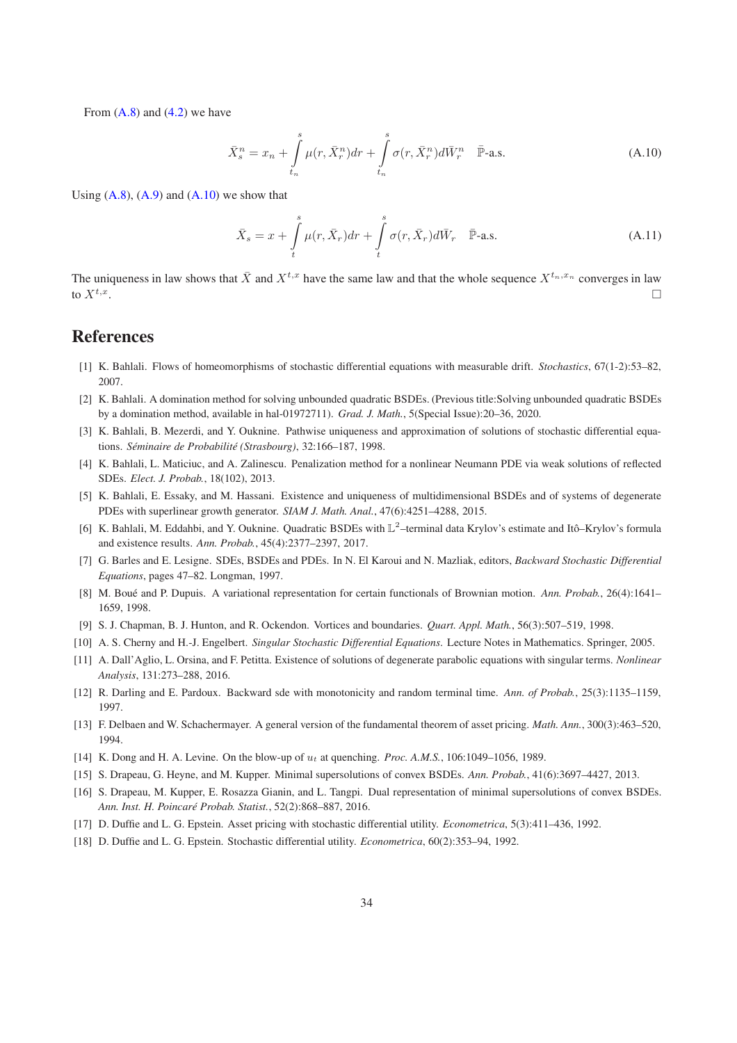From  $(A.8)$  and  $(4.2)$  we have

<span id="page-33-18"></span>
$$
\bar{X}_s^n = x_n + \int\limits_{t_n}^s \mu(r, \bar{X}_r^n) dr + \int\limits_{t_n}^s \sigma(r, \bar{X}_r^n) d\bar{W}_r^n \quad \bar{\mathbb{P}}\text{-a.s.}
$$
\n(A.10)

Using  $(A.8)$ ,  $(A.9)$  and  $(A.10)$  we show that

$$
\bar{X}_s = x + \int\limits_t^s \mu(r, \bar{X}_r) dr + \int\limits_t^s \sigma(r, \bar{X}_r) d\bar{W}_r \quad \bar{\mathbb{P}}\text{-a.s.}
$$
\n(A.11)

The uniqueness in law shows that  $\bar{X}$  and  $X^{t,x}$  have the same law and that the whole sequence  $X^{t_n,x_n}$  converges in law to  $X^{t,x}$ . . The contract of the contract of the contract of the contract of the contract of  $\Box$ 

# **References**

- <span id="page-33-11"></span>[1] K. Bahlali. Flows of homeomorphisms of stochastic differential equations with measurable drift. *Stochastics*, 67(1-2):53–82, 2007.
- <span id="page-33-5"></span>[2] K. Bahlali. A domination method for solving unbounded quadratic BSDEs. (Previous title:Solving unbounded quadratic BSDEs by a domination method, available in hal-01972711). *Grad. J. Math.*, 5(Special Issue):20–36, 2020.
- <span id="page-33-16"></span>[3] K. Bahlali, B. Mezerdi, and Y. Ouknine. Pathwise uniqueness and approximation of solutions of stochastic differential equations. *Séminaire de Probabilité (Strasbourg)*, 32:166–187, 1998.
- <span id="page-33-17"></span>[4] K. Bahlali, L. Maticiuc, and A. Zalinescu. Penalization method for a nonlinear Neumann PDE via weak solutions of reflected SDEs. *Elect. J. Probab.*, 18(102), 2013.
- <span id="page-33-4"></span>[5] K. Bahlali, E. Essaky, and M. Hassani. Existence and uniqueness of multidimensional BSDEs and of systems of degenerate PDEs with superlinear growth generator. *SIAM J. Math. Anal.*, 47(6):4251–4288, 2015.
- <span id="page-33-7"></span>[6] K. Bahlali, M. Eddahbi, and Y. Ouknine. Quadratic BSDEs with L<sup>2</sup>-terminal data Krylov's estimate and Itô-Krylov's formula and existence results. *Ann. Probab.*, 45(4):2377–2397, 2017.
- <span id="page-33-3"></span>[7] G. Barles and E. Lesigne. SDEs, BSDEs and PDEs. In N. El Karoui and N. Mazliak, editors, *Backward Stochastic Differential Equations*, pages 47–82. Longman, 1997.
- <span id="page-33-13"></span>[8] M. Boué and P. Dupuis. A variational representation for certain functionals of Brownian motion. *Ann. Probab.*, 26(4):1641– 1659, 1998.
- <span id="page-33-2"></span>[9] S. J. Chapman, B. J. Hunton, and R. Ockendon. Vortices and boundaries. *Quart. Appl. Math.*, 56(3):507–519, 1998.
- <span id="page-33-12"></span>[10] A. S. Cherny and H.-J. Engelbert. *Singular Stochastic Differential Equations*. Lecture Notes in Mathematics. Springer, 2005.
- <span id="page-33-14"></span>[11] A. Dall'Aglio, L. Orsina, and F. Petitta. Existence of solutions of degenerate parabolic equations with singular terms. *Nonlinear Analysis*, 131:273–288, 2016.
- <span id="page-33-9"></span>[12] R. Darling and E. Pardoux. Backward sde with monotonicity and random terminal time. *Ann. of Probab.*, 25(3):1135–1159, 1997.
- <span id="page-33-15"></span>[13] F. Delbaen and W. Schachermayer. A general version of the fundamental theorem of asset pricing. *Math. Ann.*, 300(3):463–520, 1994.
- <span id="page-33-1"></span>[14] K. Dong and H. A. Levine. On the blow-up of  $u_t$  at quenching. *Proc. A.M.S.*, 106:1049–1056, 1989.
- <span id="page-33-10"></span>[15] S. Drapeau, G. Heyne, and M. Kupper. Minimal supersolutions of convex BSDEs. *Ann. Probab.*, 41(6):3697–4427, 2013.
- <span id="page-33-6"></span>[16] S. Drapeau, M. Kupper, E. Rosazza Gianin, and L. Tangpi. Dual representation of minimal supersolutions of convex BSDEs. *Ann. Inst. H. Poincaré Probab. Statist.*, 52(2):868–887, 2016.
- <span id="page-33-0"></span>[17] D. Duffie and L. G. Epstein. Asset pricing with stochastic differential utility. *Econometrica*, 5(3):411–436, 1992.
- <span id="page-33-8"></span>[18] D. Duffie and L. G. Epstein. Stochastic differential utility. *Econometrica*, 60(2):353–94, 1992.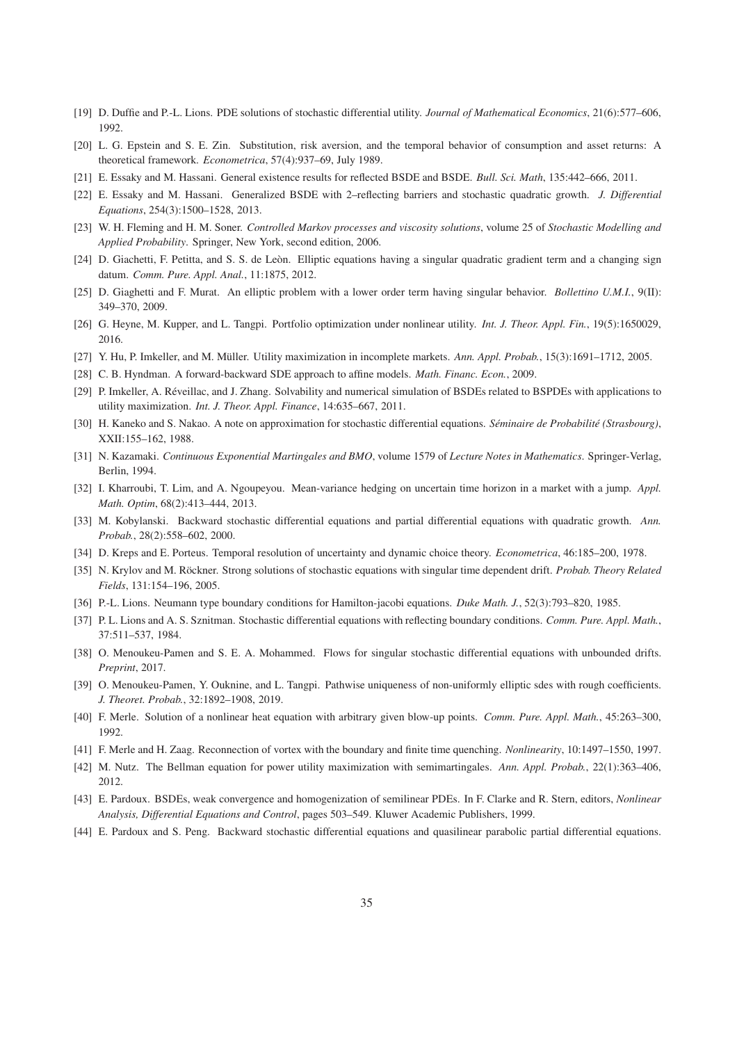- <span id="page-34-0"></span>[19] D. Duffie and P.-L. Lions. PDE solutions of stochastic differential utility. *Journal of Mathematical Economics*, 21(6):577–606, 1992.
- <span id="page-34-5"></span>[20] L. G. Epstein and S. E. Zin. Substitution, risk aversion, and the temporal behavior of consumption and asset returns: A theoretical framework. *Econometrica*, 57(4):937–69, July 1989.
- <span id="page-34-14"></span>[21] E. Essaky and M. Hassani. General existence results for reflected BSDE and BSDE. *Bull. Sci. Math*, 135:442–666, 2011.
- <span id="page-34-13"></span>[22] E. Essaky and M. Hassani. Generalized BSDE with 2–reflecting barriers and stochastic quadratic growth. *J. Differential Equations*, 254(3):1500–1528, 2013.
- <span id="page-34-19"></span>[23] W. H. Fleming and H. M. Soner. *Controlled Markov processes and viscosity solutions*, volume 25 of *Stochastic Modelling and Applied Probability*. Springer, New York, second edition, 2006.
- <span id="page-34-9"></span>[24] D. Giachetti, F. Petitta, and S. S. de Leòn. Elliptic equations having a singular quadratic gradient term and a changing sign datum. *Comm. Pure. Appl. Anal.*, 11:1875, 2012.
- <span id="page-34-10"></span>[25] D. Giaghetti and F. Murat. An elliptic problem with a lower order term having singular behavior. *Bollettino U.M.I.*, 9(II): 349–370, 2009.
- <span id="page-34-3"></span>[26] G. Heyne, M. Kupper, and L. Tangpi. Portfolio optimization under nonlinear utility. *Int. J. Theor. Appl. Fin.*, 19(5):1650029, 2016.
- <span id="page-34-24"></span>[27] Y. Hu, P. Imkeller, and M. Müller. Utility maximization in incomplete markets. *Ann. Appl. Probab.*, 15(3):1691–1712, 2005.
- <span id="page-34-6"></span>[28] C. B. Hyndman. A forward-backward SDE approach to affine models. *Math. Financ. Econ.*, 2009.
- <span id="page-34-23"></span>[29] P. Imkeller, A. Réveillac, and J. Zhang. Solvability and numerical simulation of BSDEs related to BSPDEs with applications to utility maximization. *Int. J. Theor. Appl. Finance*, 14:635–667, 2011.
- <span id="page-34-25"></span>[30] H. Kaneko and S. Nakao. A note on approximation for stochastic differential equations. *Séminaire de Probabilité (Strasbourg)*, XXII:155–162, 1988.
- <span id="page-34-15"></span>[31] N. Kazamaki. *Continuous Exponential Martingales and BMO*, volume 1579 of *Lecture Notes in Mathematics*. Springer-Verlag, Berlin, 1994.
- <span id="page-34-4"></span>[32] I. Kharroubi, T. Lim, and A. Ngoupeyou. Mean-variance hedging on uncertain time horizon in a market with a jump. *Appl. Math. Optim*, 68(2):413–444, 2013.
- <span id="page-34-12"></span>[33] M. Kobylanski. Backward stochastic differential equations and partial differential equations with quadratic growth. *Ann. Probab.*, 28(2):558–602, 2000.
- <span id="page-34-1"></span>[34] D. Kreps and E. Porteus. Temporal resolution of uncertainty and dynamic choice theory. *Econometrica*, 46:185–200, 1978.
- <span id="page-34-17"></span>[35] N. Krylov and M. Röckner. Strong solutions of stochastic equations with singular time dependent drift. *Probab. Theory Related Fields*, 131:154–196, 2005.
- <span id="page-34-22"></span>[36] P.-L. Lions. Neumann type boundary conditions for Hamilton-jacobi equations. *Duke Math. J.*, 52(3):793–820, 1985.
- <span id="page-34-21"></span>[37] P. L. Lions and A. S. Sznitman. Stochastic differential equations with reflecting boundary conditions. *Comm. Pure. Appl. Math.*, 37:511–537, 1984.
- <span id="page-34-16"></span>[38] O. Menoukeu-Pamen and S. E. A. Mohammed. Flows for singular stochastic differential equations with unbounded drifts. *Preprint*, 2017.
- <span id="page-34-18"></span>[39] O. Menoukeu-Pamen, Y. Ouknine, and L. Tangpi. Pathwise uniqueness of non-uniformly elliptic sdes with rough coefficients. *J. Theoret. Probab.*, 32:1892–1908, 2019.
- <span id="page-34-7"></span>[40] F. Merle. Solution of a nonlinear heat equation with arbitrary given blow-up points. *Comm. Pure. Appl. Math.*, 45:263–300, 1992.
- <span id="page-34-8"></span>[41] F. Merle and H. Zaag. Reconnection of vortex with the boundary and finite time quenching. *Nonlinearity*, 10:1497–1550, 1997.
- <span id="page-34-2"></span>[42] M. Nutz. The Bellman equation for power utility maximization with semimartingales. *Ann. Appl. Probab.*, 22(1):363–406, 2012.
- <span id="page-34-20"></span>[43] E. Pardoux. BSDEs, weak convergence and homogenization of semilinear PDEs. In F. Clarke and R. Stern, editors, *Nonlinear Analysis, Differential Equations and Control*, pages 503–549. Kluwer Academic Publishers, 1999.
- <span id="page-34-11"></span>[44] E. Pardoux and S. Peng. Backward stochastic differential equations and quasilinear parabolic partial differential equations.